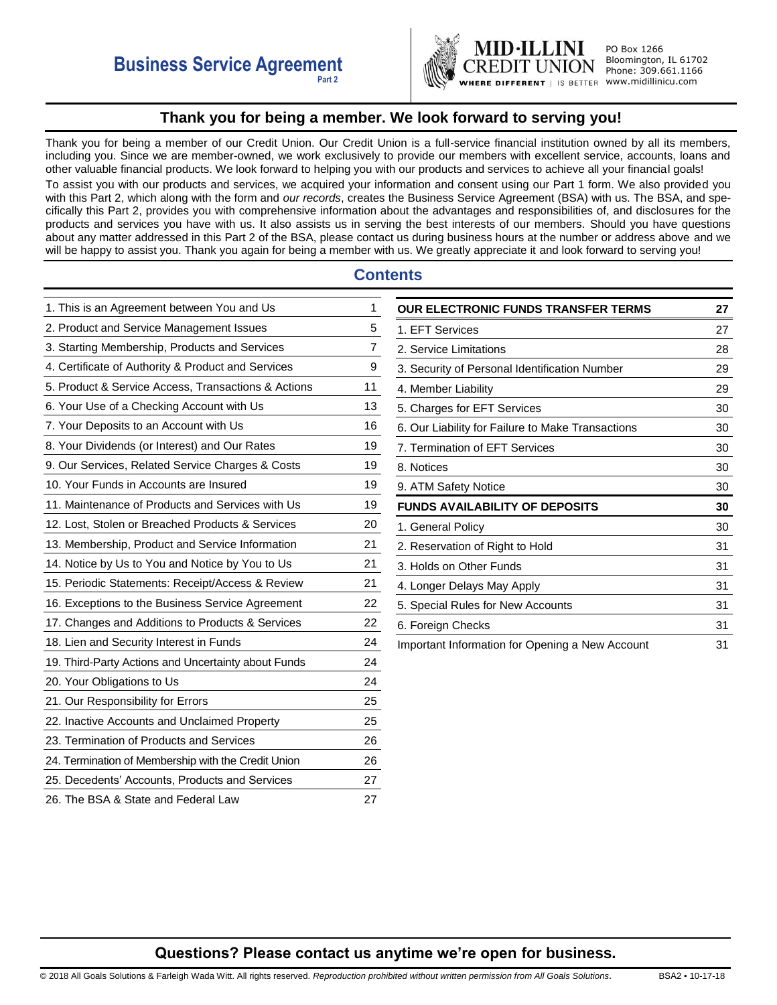

PO Box 1266 Bloomington, IL 61702 Phone: 309.661.1166 I IS BETTER WWW.midillinicu.com

# **Thank you for being a member. We look forward to serving you!**

<span id="page-0-0"></span>Thank you for being a member of our Credit Union. Our Credit Union is a full-service financial institution owned by all its members, including you. Since we are member-owned, we work exclusively to provide our members with excellent service, accounts, loans and other valuable financial products. We look forward to helping you with our products and services to achieve all your financial goals! To assist you with our products and services, we acquired your information and consent using our Part 1 form. We also provided you with this Part 2, which along with the form and *our records*, creates the Business Service Agreement (BSA) with us. The BSA, and specifically this Part 2, provides you with comprehensive information about the advantages and responsibilities of, and disclosures for the products and services you have with us. It also assists us in serving the best interests of our members. Should you have questions about any matter addressed in this Part 2 of the BSA, please contact us during business hours at the number or address above and we will be happy to assist you. Thank you again for being a member with us. We greatly appreciate it and look forward to serving you!

# **Contents**

| 1. This is an Agreement between You and Us          | 1  |
|-----------------------------------------------------|----|
| 2. Product and Service Management Issues            | 5  |
| 3. Starting Membership, Products and Services       | 7  |
| 4. Certificate of Authority & Product and Services  | 9  |
| 5. Product & Service Access, Transactions & Actions | 11 |
| 6. Your Use of a Checking Account with Us           | 13 |
| 7. Your Deposits to an Account with Us              | 16 |
| 8. Your Dividends (or Interest) and Our Rates       | 19 |
| 9. Our Services, Related Service Charges & Costs    | 19 |
| 10. Your Funds in Accounts are Insured              | 19 |
| 11. Maintenance of Products and Services with Us    | 19 |
| 12. Lost, Stolen or Breached Products & Services    | 20 |
| 13. Membership, Product and Service Information     | 21 |
| 14. Notice by Us to You and Notice by You to Us     | 21 |
| 15. Periodic Statements: Receipt/Access & Review    | 21 |
| 16. Exceptions to the Business Service Agreement    | 22 |
| 17. Changes and Additions to Products & Services    | 22 |
| 18. Lien and Security Interest in Funds             | 24 |
| 19. Third-Party Actions and Uncertainty about Funds | 24 |
| 20. Your Obligations to Us                          | 24 |
| 21. Our Responsibility for Errors                   | 25 |
| 22. Inactive Accounts and Unclaimed Property        | 25 |
| 23. Termination of Products and Services            | 26 |
| 24. Termination of Membership with the Credit Union | 26 |
| 25. Decedents' Accounts, Products and Services      | 27 |
| 26. The BSA & State and Federal Law                 | 27 |

| <b>OUR ELECTRONIC FUNDS TRANSFER TERMS</b>        | 27 |
|---------------------------------------------------|----|
| 1. EFT Services                                   | 27 |
| 2. Service Limitations                            | 28 |
| 3. Security of Personal Identification Number     | 29 |
| 4. Member Liability                               | 29 |
| 5. Charges for EFT Services                       | 30 |
| 6. Our Liability for Failure to Make Transactions | 30 |
| 7. Termination of EFT Services                    | 30 |
| 8. Notices                                        | 30 |
| 9. ATM Safety Notice                              | 30 |
| <b>FUNDS AVAILABILITY OF DEPOSITS</b>             | 30 |
| 1. General Policy                                 | 30 |
| 2. Reservation of Right to Hold                   | 31 |
| 3. Holds on Other Funds                           | 31 |
| 4. Longer Delays May Apply                        | 31 |
| 5. Special Rules for New Accounts                 | 31 |
| 6. Foreign Checks                                 | 31 |
| Important Information for Opening a New Account   | 31 |

## **Questions? Please contact us anytime we're open for business.**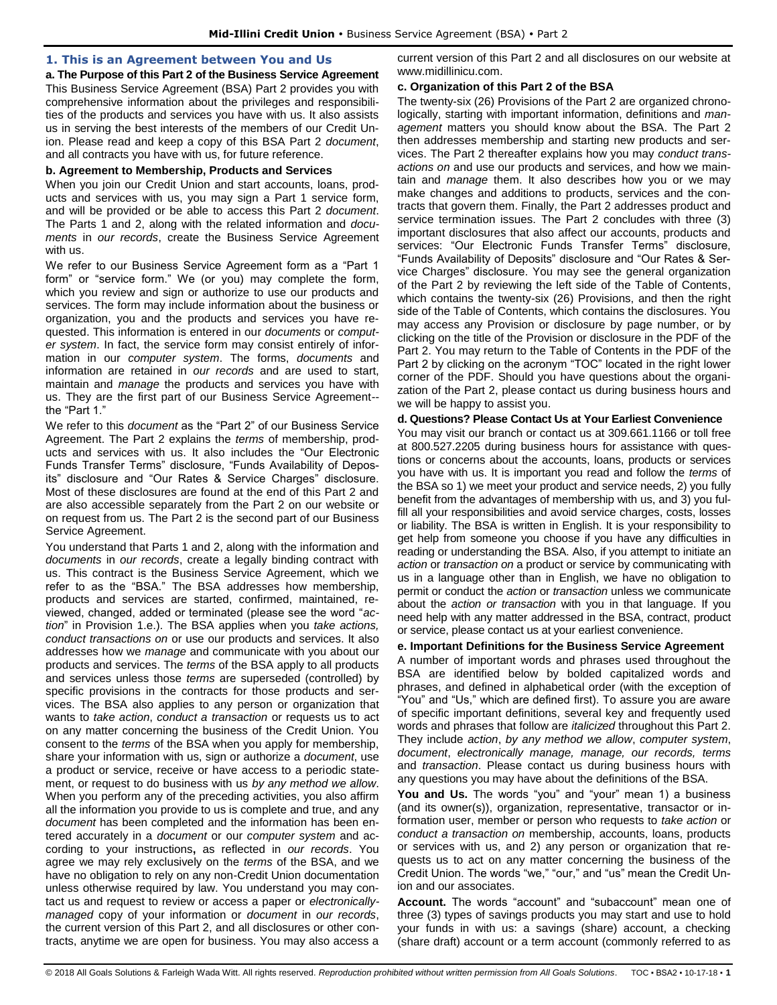## <span id="page-1-0"></span>**1. This is an Agreement between You and Us**

**a. The Purpose of this Part 2 of the Business Service Agreement** 

This Business Service Agreement (BSA) Part 2 provides you with comprehensive information about the privileges and responsibilities of the products and services you have with us. It also assists us in serving the best interests of the members of our Credit Union. Please read and keep a copy of this BSA Part 2 *document*, and all contracts you have with us, for future reference.

#### **b. Agreement to Membership, Products and Services**

When you join our Credit Union and start accounts, loans, products and services with us, you may sign a Part 1 service form, and will be provided or be able to access this Part 2 *document*. The Parts 1 and 2, along with the related information and *documents* in *our records*, create the Business Service Agreement with us.

We refer to our Business Service Agreement form as a "Part 1 form" or "service form." We (or you) may complete the form, which you review and sign or authorize to use our products and services. The form may include information about the business or organization, you and the products and services you have requested. This information is entered in our *documents* or *computer system*. In fact, the service form may consist entirely of information in our *computer system*. The forms, *documents* and information are retained in *our records* and are used to start, maintain and *manage* the products and services you have with us. They are the first part of our Business Service Agreement- the "Part 1."

We refer to this *document* as the "Part 2" of our Business Service Agreement. The Part 2 explains the *terms* of membership, products and services with us. It also includes the "Our Electronic Funds Transfer Terms" disclosure, "Funds Availability of Deposits" disclosure and "Our Rates & Service Charges" disclosure. Most of these disclosures are found at the end of this Part 2 and are also accessible separately from the Part 2 on our website or on request from us. The Part 2 is the second part of our Business Service Agreement.

You understand that Parts 1 and 2, along with the information and *documents* in *our records*, create a legally binding contract with us. This contract is the Business Service Agreement, which we refer to as the "BSA." The BSA addresses how membership, products and services are started, confirmed, maintained, reviewed, changed, added or terminated (please see the word "*action*" in Provision 1.e.). The BSA applies when you *take actions, conduct transactions on* or use our products and services. It also addresses how we *manage* and communicate with you about our products and services. The *terms* of the BSA apply to all products and services unless those *terms* are superseded (controlled) by specific provisions in the contracts for those products and services. The BSA also applies to any person or organization that wants to *take action*, *conduct a transaction* or requests us to act on any matter concerning the business of the Credit Union. You consent to the *terms* of the BSA when you apply for membership, share your information with us, sign or authorize a *document*, use a product or service, receive or have access to a periodic statement, or request to do business with us *by any method we allow*. When you perform any of the preceding activities, you also affirm all the information you provide to us is complete and true, and any *document* has been completed and the information has been entered accurately in a *document* or our *computer system* and according to your instructions**,** as reflected in *our records*. You agree we may rely exclusively on the *terms* of the BSA, and we have no obligation to rely on any non-Credit Union documentation unless otherwise required by law. You understand you may contact us and request to review or access a paper or *electronicallymanaged* copy of your information or *document* in *our records*, the current version of this Part 2, and all disclosures or other contracts, anytime we are open for business. You may also access a

current version of this Part 2 and all disclosures on our website at www.midillinicu.com.

#### **c. Organization of this Part 2 of the BSA**

The twenty-six (26) Provisions of the Part 2 are organized chronologically, starting with important information, definitions and *management* matters you should know about the BSA. The Part 2 then addresses membership and starting new products and services. The Part 2 thereafter explains how you may *conduct transactions on* and use our products and services, and how we maintain and *manage* them. It also describes how you or we may make changes and additions to products, services and the contracts that govern them. Finally, the Part 2 addresses product and service termination issues. The Part 2 concludes with three (3) important disclosures that also affect our accounts, products and services: "Our Electronic Funds Transfer Terms" disclosure, "Funds Availability of Deposits" disclosure and "Our Rates & Service Charges" disclosure. You may see the general organization of the Part 2 by reviewing the left side of the Table of Contents, which contains the twenty-six (26) Provisions, and then the right side of the Table of Contents, which contains the disclosures. You may access any Provision or disclosure by page number, or by clicking on the title of the Provision or disclosure in the PDF of the Part 2. You may return to the Table of Contents in the PDF of the Part 2 by clicking on the acronym "TOC" located in the right lower corner of the PDF. Should you have questions about the organization of the Part 2, please contact us during business hours and we will be happy to assist you.

#### **d. Questions? Please Contact Us at Your Earliest Convenience**

You may visit our branch or contact us at 309.661.1166 or toll free at 800.527.2205 during business hours for assistance with questions or concerns about the accounts, loans, products or services you have with us. It is important you read and follow the *terms* of the BSA so 1) we meet your product and service needs, 2) you fully benefit from the advantages of membership with us, and 3) you fulfill all your responsibilities and avoid service charges, costs, losses or liability. The BSA is written in English. It is your responsibility to get help from someone you choose if you have any difficulties in reading or understanding the BSA. Also, if you attempt to initiate an *action* or *transaction on* a product or service by communicating with us in a language other than in English, we have no obligation to permit or conduct the *action* or *transaction* unless we communicate about the *action or transaction* with you in that language. If you need help with any matter addressed in the BSA, contract, product or service, please contact us at your earliest convenience.

## **e. Important Definitions for the Business Service Agreement**

A number of important words and phrases used throughout the BSA are identified below by bolded capitalized words and phrases, and defined in alphabetical order (with the exception of "You" and "Us," which are defined first). To assure you are aware of specific important definitions, several key and frequently used words and phrases that follow are *italicized* throughout this Part 2. They include *action*, *by any method we allow*, *computer system*, *document*, *electronically manage, manage, our records, terms*  and *transaction*. Please contact us during business hours with any questions you may have about the definitions of the BSA.

**You and Us.** The words "you" and "your" mean 1) a business (and its owner(s)), organization, representative, transactor or information user, member or person who requests to *take action* or *conduct a transaction on* membership, accounts, loans, products or services with us, and 2) any person or organization that requests us to act on any matter concerning the business of the Credit Union. The words "we," "our," and "us" mean the Credit Union and our associates.

**Account.** The words "account" and "subaccount" mean one of three (3) types of savings products you may start and use to hold your funds in with us: a savings (share) account, a checking (share draft) account or a term account (commonly referred to as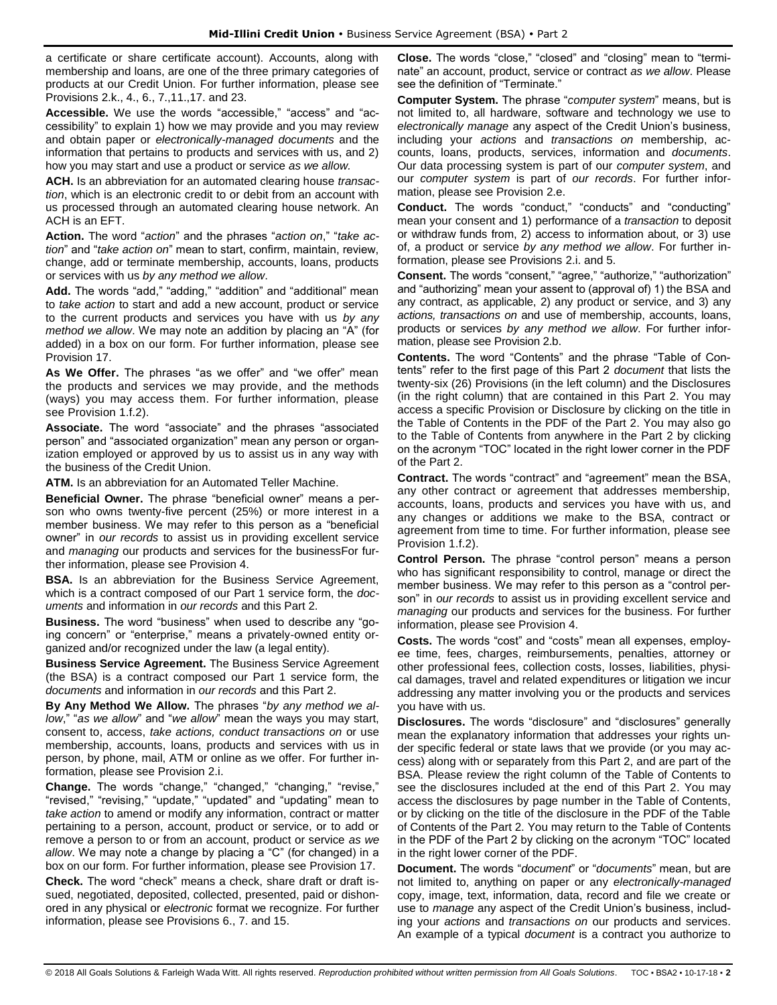a certificate or share certificate account). Accounts, along with membership and loans, are one of the three primary categories of products at our Credit Union. For further information, please see Provisions 2.k., 4., 6., 7.,11.,17. and 23.

**Accessible.** We use the words "accessible," "access" and "accessibility" to explain 1) how we may provide and you may review and obtain paper or *electronically-managed documents* and the information that pertains to products and services with us, and 2) how you may start and use a product or service *as we allow.* 

**ACH.** Is an abbreviation for an automated clearing house *transaction*, which is an electronic credit to or debit from an account with us processed through an automated clearing house network. An ACH is an EFT.

**Action.** The word "*action*" and the phrases "*action on*," "*take action*" and "*take action on*" mean to start, confirm, maintain, review, change, add or terminate membership, accounts, loans, products or services with us *by any method we allow*.

**Add.** The words "add," "adding," "addition" and "additional" mean to *take action* to start and add a new account, product or service to the current products and services you have with us *by any method we allow*. We may note an addition by placing an "A" (for added) in a box on our form. For further information, please see Provision 17.

**As We Offer.** The phrases "as we offer" and "we offer" mean the products and services we may provide, and the methods (ways) you may access them. For further information, please see Provision 1.f.2).

**Associate.** The word "associate" and the phrases "associated person" and "associated organization" mean any person or organization employed or approved by us to assist us in any way with the business of the Credit Union.

**ATM.** Is an abbreviation for an Automated Teller Machine.

**Beneficial Owner.** The phrase "beneficial owner" means a person who owns twenty-five percent (25%) or more interest in a member business. We may refer to this person as a "beneficial owner" in *our records* to assist us in providing excellent service and *managing* our products and services for the businessFor further information, please see Provision 4.

**BSA.** Is an abbreviation for the Business Service Agreement, which is a contract composed of our Part 1 service form, the *documents* and information in *our records* and this Part 2.

**Business.** The word "business" when used to describe any "going concern" or "enterprise," means a privately-owned entity organized and/or recognized under the law (a legal entity).

**Business Service Agreement.** The Business Service Agreement (the BSA) is a contract composed our Part 1 service form, the *documents* and information in *our records* and this Part 2.

**By Any Method We Allow.** The phrases "*by any method we allow*," "*as we allow*" and "*we allow*" mean the ways you may start, consent to, access, *take actions, conduct transactions on* or use membership, accounts, loans, products and services with us in person, by phone, mail, ATM or online as we offer. For further information, please see Provision 2.i.

**Change.** The words "change," "changed," "changing," "revise," "revised," "revising," "update," "updated" and "updating" mean to *take action* to amend or modify any information, contract or matter pertaining to a person, account, product or service, or to add or remove a person to or from an account, product or service *as we allow*. We may note a change by placing a "C" (for changed) in a box on our form. For further information, please see Provision 17.

**Check.** The word "check" means a check, share draft or draft issued, negotiated, deposited, collected, presented, paid or dishonored in any physical or *electronic* format we recognize. For further information, please see Provisions 6., 7. and 15.

**Close.** The words "close," "closed" and "closing" mean to "terminate" an account, product, service or contract *as we allow*. Please see the definition of "Terminate."

**Computer System.** The phrase "*computer system*" means, but is not limited to, all hardware, software and technology we use to *electronically manage* any aspect of the Credit Union's business, including your *actions* and *transactions on* membership, accounts, loans, products, services, information and *documents*. Our data processing system is part of our *computer system*, and our *computer system* is part of *our records*. For further information, please see Provision 2.e.

**Conduct.** The words "conduct," "conducts" and "conducting" mean your consent and 1) performance of a *transaction* to deposit or withdraw funds from, 2) access to information about, or 3) use of, a product or service *by any method we allow*. For further information, please see Provisions 2.i. and 5.

**Consent.** The words "consent," "agree," "authorize," "authorization" and "authorizing" mean your assent to (approval of) 1) the BSA and any contract, as applicable, 2) any product or service, and 3) any *actions, transactions on* and use of membership, accounts, loans, products or services *by any method we allow*. For further information, please see Provision 2.b.

**Contents.** The word "Contents" and the phrase "Table of Contents" refer to the first page of this Part 2 *document* that lists the twenty-six (26) Provisions (in the left column) and the Disclosures (in the right column) that are contained in this Part 2. You may access a specific Provision or Disclosure by clicking on the title in the Table of Contents in the PDF of the Part 2. You may also go to the Table of Contents from anywhere in the Part 2 by clicking on the acronym "TOC" located in the right lower corner in the PDF of the Part 2.

**Contract.** The words "contract" and "agreement" mean the BSA, any other contract or agreement that addresses membership, accounts, loans, products and services you have with us, and any changes or additions we make to the BSA, contract or agreement from time to time. For further information, please see Provision 1.f.2).

**Control Person.** The phrase "control person" means a person who has significant responsibility to control, manage or direct the member business. We may refer to this person as a "control person" in *our records* to assist us in providing excellent service and *managing* our products and services for the business. For further information, please see Provision 4.

**Costs.** The words "cost" and "costs" mean all expenses, employee time, fees, charges, reimbursements, penalties, attorney or other professional fees, collection costs, losses, liabilities, physical damages, travel and related expenditures or litigation we incur addressing any matter involving you or the products and services you have with us.

**Disclosures.** The words "disclosure" and "disclosures" generally mean the explanatory information that addresses your rights under specific federal or state laws that we provide (or you may access) along with or separately from this Part 2, and are part of the BSA. Please review the right column of the Table of Contents to see the disclosures included at the end of this Part 2. You may access the disclosures by page number in the Table of Contents, or by clicking on the title of the disclosure in the PDF of the Table of Contents of the Part 2. You may return to the Table of Contents in the PDF of the Part 2 by clicking on the acronym "TOC" located in the right lower corner of the PDF.

**Document.** The words "*document*" or "*documents*" mean, but are not limited to, anything on paper or any *electronically-managed*  copy, image, text, information, data, record and file we create or use to *manage* any aspect of the Credit Union's business, including your *actions* and *transactions on* our products and services. An example of a typical *document* is a contract you authorize to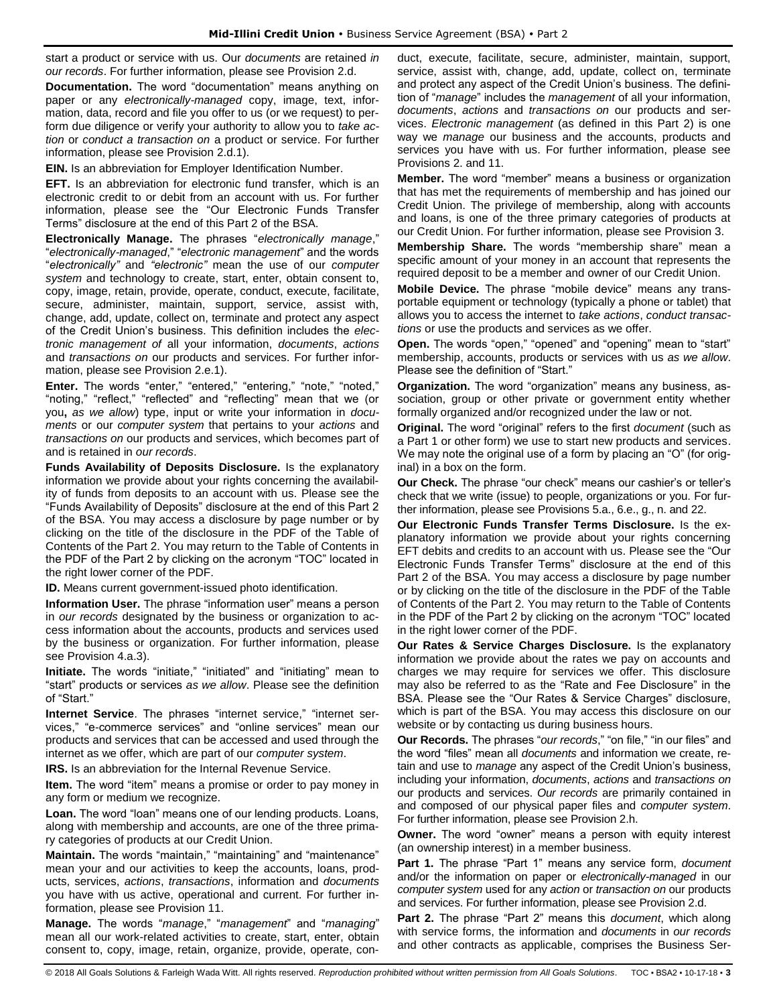start a product or service with us. Our *documents* are retained *in our records*. For further information, please see Provision 2.d.

**Documentation.** The word "documentation" means anything on paper or any *electronically-managed* copy, image, text, information, data, record and file you offer to us (or we request) to perform due diligence or verify your authority to allow you to *take action* or *conduct a transaction on* a product or service. For further information, please see Provision 2.d.1).

**EIN.** Is an abbreviation for Employer Identification Number.

**EFT.** Is an abbreviation for electronic fund transfer, which is an electronic credit to or debit from an account with us. For further information, please see the "Our Electronic Funds Transfer Terms" disclosure at the end of this Part 2 of the BSA.

**Electronically Manage.** The phrases "*electronically manage*," "*electronically-managed*," "*electronic management*" and the words "*electronically"* and *"electronic"* mean the use of our *computer system* and technology to create, start, enter, obtain consent to, copy, image, retain, provide, operate, conduct, execute, facilitate, secure, administer, maintain, support, service, assist with, change, add, update, collect on, terminate and protect any aspect of the Credit Union's business. This definition includes the *electronic management of* all your information, *documents*, *actions* and *transactions on* our products and services. For further information, please see Provision 2.e.1).

**Enter.** The words "enter," "entered," "entering," "note," "noted," "noting," "reflect," "reflected" and "reflecting" mean that we (or you**,** *as we allow*) type, input or write your information in *documents* or our *computer system* that pertains to your *actions* and *transactions on* our products and services, which becomes part of and is retained in *our records*.

**Funds Availability of Deposits Disclosure.** Is the explanatory information we provide about your rights concerning the availability of funds from deposits to an account with us. Please see the "Funds Availability of Deposits" disclosure at the end of this Part 2 of the BSA. You may access a disclosure by page number or by clicking on the title of the disclosure in the PDF of the Table of Contents of the Part 2. You may return to the Table of Contents in the PDF of the Part 2 by clicking on the acronym "TOC" located in the right lower corner of the PDF.

**ID.** Means current government-issued photo identification.

**Information User.** The phrase "information user" means a person in *our records* designated by the business or organization to access information about the accounts, products and services used by the business or organization. For further information, please see Provision 4.a.3).

**Initiate.** The words "initiate," "initiated" and "initiating" mean to "start" products or services *as we allow*. Please see the definition of "Start."

**Internet Service**. The phrases "internet service," "internet services," "e-commerce services" and "online services" mean our products and services that can be accessed and used through the internet as we offer, which are part of our *computer system*.

**IRS.** Is an abbreviation for the Internal Revenue Service.

**Item.** The word "item" means a promise or order to pay money in any form or medium we recognize.

Loan. The word "loan" means one of our lending products. Loans, along with membership and accounts, are one of the three primary categories of products at our Credit Union.

**Maintain.** The words "maintain," "maintaining" and "maintenance" mean your and our activities to keep the accounts, loans, products, services, *actions*, *transactions*, information and *documents*  you have with us active, operational and current. For further information, please see Provision 11.

**Manage.** The words "*manage*," "*management*" and "*managing*" mean all our work-related activities to create, start, enter, obtain consent to, copy, image, retain, organize, provide, operate, conduct, execute, facilitate, secure, administer, maintain, support, service, assist with, change, add, update, collect on, terminate and protect any aspect of the Credit Union's business. The definition of "*manage*" includes the *management* of all your information, *documents*, *actions* and *transactions on* our products and services. *Electronic management* (as defined in this Part 2) is one way we *manage* our business and the accounts, products and services you have with us. For further information, please see Provisions 2. and 11.

**Member.** The word "member" means a business or organization that has met the requirements of membership and has joined our Credit Union. The privilege of membership, along with accounts and loans, is one of the three primary categories of products at our Credit Union. For further information, please see Provision 3.

**Membership Share.** The words "membership share" mean a specific amount of your money in an account that represents the required deposit to be a member and owner of our Credit Union.

**Mobile Device.** The phrase "mobile device" means any transportable equipment or technology (typically a phone or tablet) that allows you to access the internet to *take actions*, *conduct transactions* or use the products and services as we offer.

**Open.** The words "open," "opened" and "opening" mean to "start" membership, accounts, products or services with us *as we allow*. Please see the definition of "Start."

**Organization.** The word "organization" means any business, association, group or other private or government entity whether formally organized and/or recognized under the law or not.

**Original.** The word "original" refers to the first *document* (such as a Part 1 or other form) we use to start new products and services. We may note the original use of a form by placing an "O" (for original) in a box on the form.

**Our Check.** The phrase "our check" means our cashier's or teller's check that we write (issue) to people, organizations or you. For further information, please see Provisions 5.a., 6.e., g., n. and 22.

**Our Electronic Funds Transfer Terms Disclosure.** Is the explanatory information we provide about your rights concerning EFT debits and credits to an account with us. Please see the "Our Electronic Funds Transfer Terms" disclosure at the end of this Part 2 of the BSA. You may access a disclosure by page number or by clicking on the title of the disclosure in the PDF of the Table of Contents of the Part 2. You may return to the Table of Contents in the PDF of the Part 2 by clicking on the acronym "TOC" located in the right lower corner of the PDF.

**Our Rates & Service Charges Disclosure.** Is the explanatory information we provide about the rates we pay on accounts and charges we may require for services we offer. This disclosure may also be referred to as the "Rate and Fee Disclosure" in the BSA. Please see the "Our Rates & Service Charges" disclosure, which is part of the BSA. You may access this disclosure on our website or by contacting us during business hours.

**Our Records.** The phrases "*our records*," "on file," "in our files" and the word "files" mean all *documents* and information we create, retain and use to *manage* any aspect of the Credit Union's business, including your information, *documents*, *actions* and *transactions on* our products and services. *Our records* are primarily contained in and composed of our physical paper files and *computer system*. For further information, please see Provision 2.h.

**Owner.** The word "owner" means a person with equity interest (an ownership interest) in a member business.

**Part 1.** The phrase "Part 1" means any service form, *document* and/or the information on paper or *electronically-managed* in our *computer system* used for any *action* or *transaction on* our products and services. For further information, please see Provision 2.d.

**Part 2.** The phrase "Part 2" means this *document*, which along with service forms, the information and *documents* in *our records*  and other contracts as applicable, comprises the Business Ser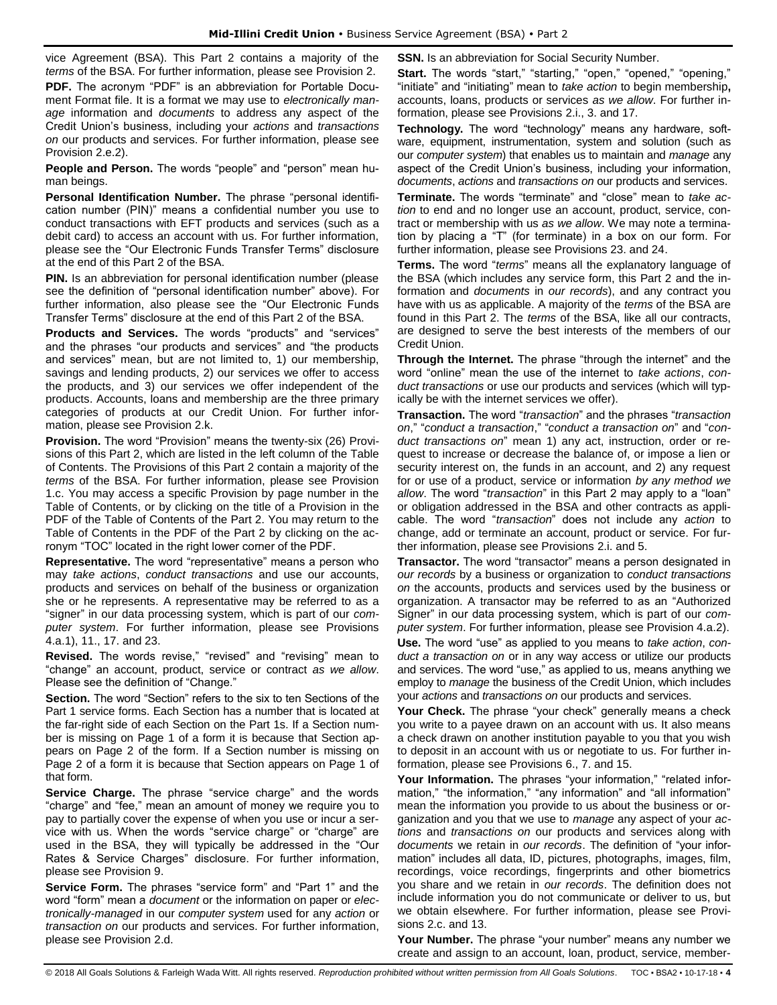vice Agreement (BSA). This Part 2 contains a majority of the *terms* of the BSA. For further information, please see Provision 2.

**PDF.** The acronym "PDF" is an abbreviation for Portable Document Format file. It is a format we may use to *electronically manage* information and *documents* to address any aspect of the Credit Union's business, including your *actions* and *transactions on* our products and services. For further information, please see Provision 2.e.2).

**People and Person.** The words "people" and "person" mean human beings.

**Personal Identification Number.** The phrase "personal identification number (PIN)" means a confidential number you use to conduct transactions with EFT products and services (such as a debit card) to access an account with us. For further information, please see the "Our Electronic Funds Transfer Terms" disclosure at the end of this Part 2 of the BSA.

**PIN.** Is an abbreviation for personal identification number (please see the definition of "personal identification number" above). For further information, also please see the "Our Electronic Funds Transfer Terms" disclosure at the end of this Part 2 of the BSA.

**Products and Services.** The words "products" and "services" and the phrases "our products and services" and "the products and services" mean, but are not limited to, 1) our membership, savings and lending products, 2) our services we offer to access the products, and 3) our services we offer independent of the products. Accounts, loans and membership are the three primary categories of products at our Credit Union. For further information, please see Provision 2.k.

**Provision.** The word "Provision" means the twenty-six (26) Provisions of this Part 2, which are listed in the left column of the Table of Contents. The Provisions of this Part 2 contain a majority of the *terms* of the BSA. For further information, please see Provision 1.c. You may access a specific Provision by page number in the Table of Contents, or by clicking on the title of a Provision in the PDF of the Table of Contents of the Part 2. You may return to the Table of Contents in the PDF of the Part 2 by clicking on the acronym "TOC" located in the right lower corner of the PDF.

**Representative.** The word "representative" means a person who may *take actions*, *conduct transactions* and use our accounts, products and services on behalf of the business or organization she or he represents. A representative may be referred to as a "signer" in our data processing system, which is part of our *computer system*. For further information, please see Provisions 4.a.1), 11., 17. and 23.

**Revised.** The words revise," "revised" and "revising" mean to "change" an account, product, service or contract *as we allow*. Please see the definition of "Change."

**Section.** The word "Section" refers to the six to ten Sections of the Part 1 service forms. Each Section has a number that is located at the far-right side of each Section on the Part 1s. If a Section number is missing on Page 1 of a form it is because that Section appears on Page 2 of the form. If a Section number is missing on Page 2 of a form it is because that Section appears on Page 1 of that form.

**Service Charge.** The phrase "service charge" and the words "charge" and "fee," mean an amount of money we require you to pay to partially cover the expense of when you use or incur a service with us. When the words "service charge" or "charge" are used in the BSA, they will typically be addressed in the "Our Rates & Service Charges" disclosure. For further information, please see Provision 9.

**Service Form.** The phrases "service form" and "Part 1" and the word "form" mean a *document* or the information on paper or *electronically-managed* in our *computer system* used for any *action* or *transaction on* our products and services. For further information, please see Provision 2.d.

**SSN.** Is an abbreviation for Social Security Number.

**Start.** The words "start," "starting," "open," "opened," "opening," "initiate" and "initiating" mean to *take action* to begin membership**,** accounts, loans, products or services *as we allow*. For further information, please see Provisions 2.i., 3. and 17.

**Technology.** The word "technology" means any hardware, software, equipment, instrumentation, system and solution (such as our *computer system*) that enables us to maintain and *manage* any aspect of the Credit Union's business, including your information, *documents*, *actions* and *transactions on* our products and services.

**Terminate.** The words "terminate" and "close" mean to *take action* to end and no longer use an account, product, service, contract or membership with us *as we allow*. We may note a termination by placing a "T" (for terminate) in a box on our form. For further information, please see Provisions 23. and 24.

**Terms.** The word "*terms*" means all the explanatory language of the BSA (which includes any service form, this Part 2 and the information and *documents* in *our records*), and any contract you have with us as applicable. A majority of the *terms* of the BSA are found in this Part 2. The *terms* of the BSA, like all our contracts, are designed to serve the best interests of the members of our Credit Union.

**Through the Internet.** The phrase "through the internet" and the word "online" mean the use of the internet to *take actions*, *conduct transactions* or use our products and services (which will typically be with the internet services we offer).

**Transaction.** The word "*transaction*" and the phrases "*transaction on*," "*conduct a transaction*," "*conduct a transaction on*" and "*conduct transactions on*" mean 1) any act, instruction, order or request to increase or decrease the balance of, or impose a lien or security interest on, the funds in an account, and 2) any request for or use of a product, service or information *by any method we allow*. The word "*transaction*" in this Part 2 may apply to a "loan" or obligation addressed in the BSA and other contracts as applicable. The word "*transaction*" does not include any *action* to change, add or terminate an account, product or service. For further information, please see Provisions 2.i. and 5.

**Transactor.** The word "transactor" means a person designated in *our records* by a business or organization to *conduct transactions on* the accounts, products and services used by the business or organization. A transactor may be referred to as an "Authorized Signer" in our data processing system, which is part of our *computer system*. For further information, please see Provision 4.a.2).

**Use.** The word "use" as applied to you means to *take action*, *conduct a transaction on* or in any way access or utilize our products and services. The word "use," as applied to us, means anything we employ to *manage* the business of the Credit Union, which includes your *actions* and *transactions on* our products and services.

**Your Check.** The phrase "your check" generally means a check you write to a payee drawn on an account with us. It also means a check drawn on another institution payable to you that you wish to deposit in an account with us or negotiate to us. For further information, please see Provisions 6., 7. and 15.

Your Information. The phrases "your information," "related information," "the information," "any information" and "all information" mean the information you provide to us about the business or organization and you that we use to *manage* any aspect of your *actions* and *transactions on* our products and services along with *documents* we retain in *our records*. The definition of "your information" includes all data, ID, pictures, photographs, images, film, recordings, voice recordings, fingerprints and other biometrics you share and we retain in *our records*. The definition does not include information you do not communicate or deliver to us, but we obtain elsewhere. For further information, please see Provisions 2.c. and 13.

**Your Number.** The phrase "your number" means any number we create and assign to an account, loan, product, service, member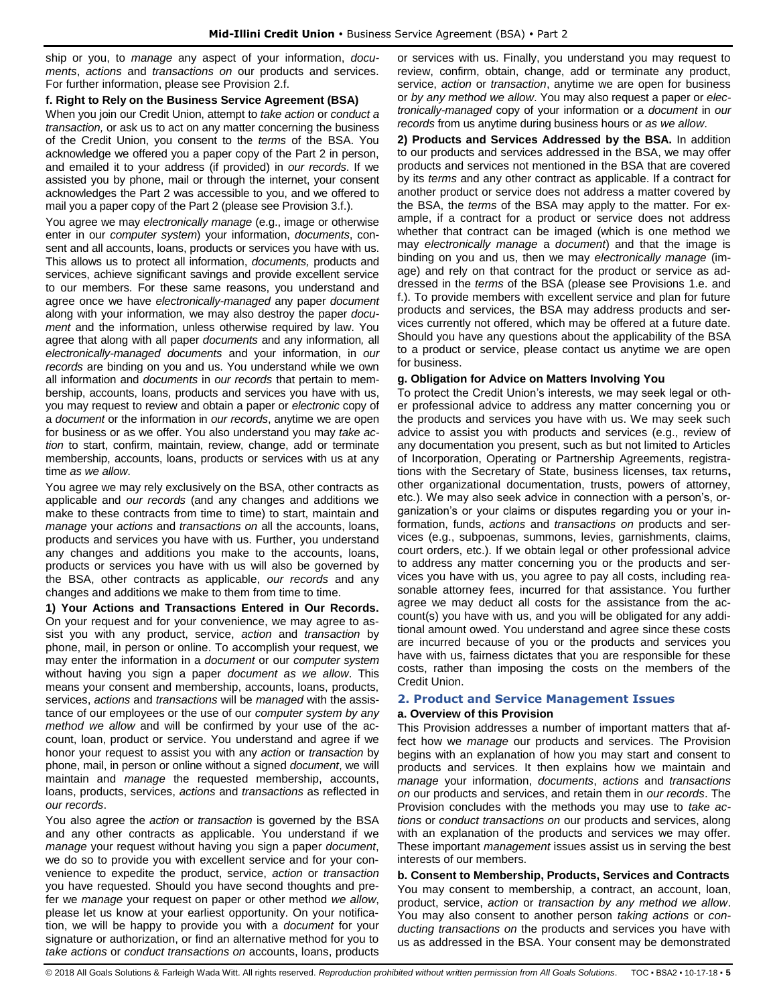ship or you, to *manage* any aspect of your information, *documents*, *actions* and *transactions on* our products and services. For further information, please see Provision 2.f.

#### **f. Right to Rely on the Business Service Agreement (BSA)**

When you join our Credit Union, attempt to *take action* or *conduct a transaction,* or ask us to act on any matter concerning the business of the Credit Union, you consent to the *terms* of the BSA. You acknowledge we offered you a paper copy of the Part 2 in person, and emailed it to your address (if provided) in *our records*. If we assisted you by phone, mail or through the internet, your consent acknowledges the Part 2 was accessible to you, and we offered to mail you a paper copy of the Part 2 (please see Provision 3.f.).

You agree we may *electronically manage* (e.g., image or otherwise enter in our *computer system*) your information, *documents*, consent and all accounts, loans, products or services you have with us. This allows us to protect all information, *documents,* products and services, achieve significant savings and provide excellent service to our members. For these same reasons, you understand and agree once we have *electronically-managed* any paper *document*  along with your information*,* we may also destroy the paper *document* and the information, unless otherwise required by law. You agree that along with all paper *documents* and any information*,* all *electronically-managed documents* and your information, in *our records* are binding on you and us. You understand while we own all information and *documents* in *our records* that pertain to membership, accounts, loans, products and services you have with us, you may request to review and obtain a paper or *electronic* copy of a *document* or the information in *our records*, anytime we are open for business or as we offer. You also understand you may *take action* to start, confirm, maintain, review, change, add or terminate membership, accounts, loans, products or services with us at any time *as we allow*.

You agree we may rely exclusively on the BSA, other contracts as applicable and *our records* (and any changes and additions we make to these contracts from time to time) to start, maintain and *manage* your *actions* and *transactions on* all the accounts, loans, products and services you have with us. Further, you understand any changes and additions you make to the accounts, loans, products or services you have with us will also be governed by the BSA, other contracts as applicable, *our records* and any changes and additions we make to them from time to time.

**1) Your Actions and Transactions Entered in Our Records.** On your request and for your convenience, we may agree to assist you with any product, service, *action* and *transaction* by phone, mail, in person or online. To accomplish your request, we may enter the information in a *document* or our *computer system*  without having you sign a paper *document as we allow*. This means your consent and membership, accounts, loans, products, services, *actions* and *transactions* will be *managed* with the assistance of our employees or the use of our *computer system by any method we allow* and will be confirmed by your use of the account, loan, product or service. You understand and agree if we honor your request to assist you with any *action* or *transaction* by phone, mail, in person or online without a signed *document*, we will maintain and *manage* the requested membership, accounts, loans, products, services, *actions* and *transactions* as reflected in *our records*.

You also agree the *action* or *transaction* is governed by the BSA and any other contracts as applicable. You understand if we *manage* your request without having you sign a paper *document*, we do so to provide you with excellent service and for your convenience to expedite the product, service, *action* or *transaction* you have requested. Should you have second thoughts and prefer we *manage* your request on paper or other method *we allow*, please let us know at your earliest opportunity. On your notification, we will be happy to provide you with a *document* for your signature or authorization, or find an alternative method for you to *take actions* or *conduct transactions on* accounts, loans, products

or services with us. Finally, you understand you may request to review, confirm, obtain, change, add or terminate any product, service, *action* or *transaction*, anytime we are open for business or *by any method we allow*. You may also request a paper or *electronically-managed* copy of your information or a *document* in *our records* from us anytime during business hours or *as we allow*.

**2) Products and Services Addressed by the BSA.** In addition to our products and services addressed in the BSA, we may offer products and services not mentioned in the BSA that are covered by its *terms* and any other contract as applicable. If a contract for another product or service does not address a matter covered by the BSA, the *terms* of the BSA may apply to the matter. For example, if a contract for a product or service does not address whether that contract can be imaged (which is one method we may *electronically manage* a *document*) and that the image is binding on you and us, then we may *electronically manage* (image) and rely on that contract for the product or service as addressed in the *terms* of the BSA (please see Provisions 1.e. and f.). To provide members with excellent service and plan for future products and services, the BSA may address products and services currently not offered, which may be offered at a future date. Should you have any questions about the applicability of the BSA to a product or service, please contact us anytime we are open for business.

#### **g. Obligation for Advice on Matters Involving You**

To protect the Credit Union's interests, we may seek legal or other professional advice to address any matter concerning you or the products and services you have with us. We may seek such advice to assist you with products and services (e.g., review of any documentation you present, such as but not limited to Articles of Incorporation, Operating or Partnership Agreements, registrations with the Secretary of State, business licenses, tax returns**,** other organizational documentation, trusts, powers of attorney, etc.). We may also seek advice in connection with a person's, organization's or your claims or disputes regarding you or your information, funds, *actions* and *transactions on* products and services (e.g., subpoenas, summons, levies, garnishments, claims, court orders, etc.). If we obtain legal or other professional advice to address any matter concerning you or the products and services you have with us, you agree to pay all costs, including reasonable attorney fees, incurred for that assistance. You further agree we may deduct all costs for the assistance from the account(s) you have with us, and you will be obligated for any additional amount owed. You understand and agree since these costs are incurred because of you or the products and services you have with us, fairness dictates that you are responsible for these costs, rather than imposing the costs on the members of the Credit Union.

## <span id="page-5-0"></span>**2. Product and Service Management Issues**

## **a. Overview of this Provision**

This Provision addresses a number of important matters that affect how we *manage* our products and services. The Provision begins with an explanation of how you may start and consent to products and services. It then explains how we maintain and *manage* your information, *documents*, *actions* and *transactions on* our products and services, and retain them in *our records*. The Provision concludes with the methods you may use to *take actions* or *conduct transactions on* our products and services, along with an explanation of the products and services we may offer. These important *management* issues assist us in serving the best interests of our members.

**b. Consent to Membership, Products, Services and Contracts** You may consent to membership, a contract, an account, loan, product, service, *action* or *transaction by any method we allow*. You may also consent to another person *taking actions* or *conducting transactions on* the products and services you have with us as addressed in the BSA. Your consent may be demonstrated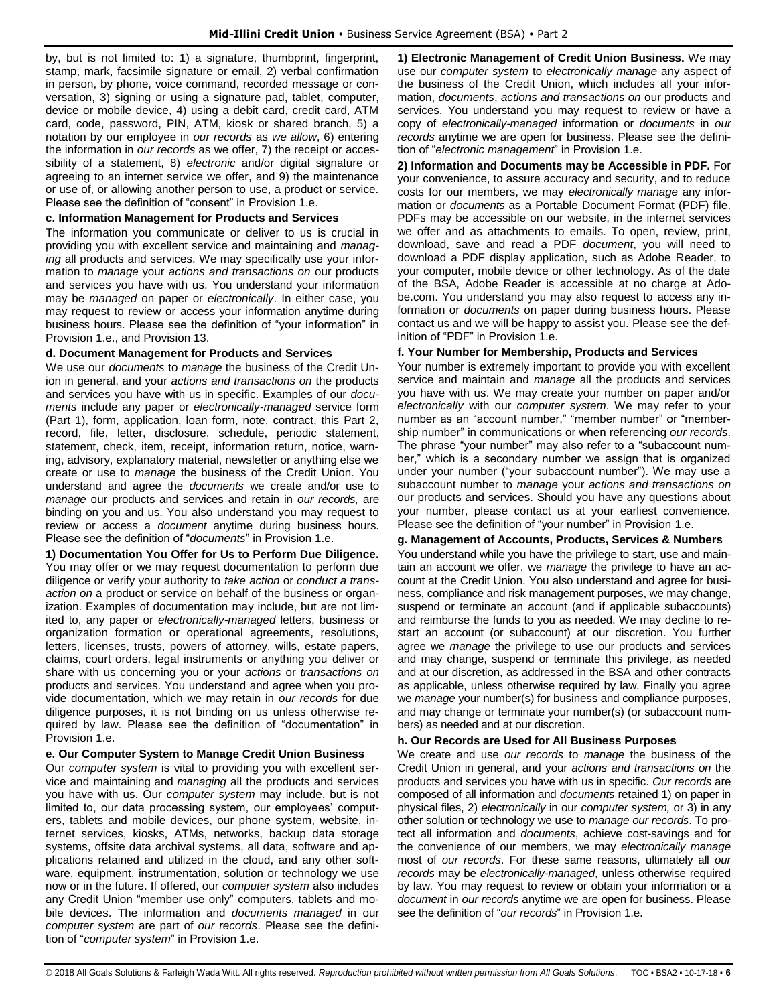by, but is not limited to: 1) a signature, thumbprint, fingerprint, stamp, mark, facsimile signature or email, 2) verbal confirmation in person, by phone, voice command, recorded message or conversation, 3) signing or using a signature pad, tablet, computer, device or mobile device, 4) using a debit card, credit card, ATM card, code, password, PIN, ATM, kiosk or shared branch, 5) a notation by our employee in *our records* as *we allow*, 6) entering the information in *our records* as we offer, 7) the receipt or accessibility of a statement, 8) *electronic* and/or digital signature or agreeing to an internet service we offer, and 9) the maintenance or use of, or allowing another person to use, a product or service. Please see the definition of "consent" in Provision 1.e.

#### **c. Information Management for Products and Services**

The information you communicate or deliver to us is crucial in providing you with excellent service and maintaining and *manag*ing all products and services. We may specifically use your information to *manage* your *actions and transactions on* our products and services you have with us. You understand your information may be *managed* on paper or *electronically*. In either case, you may request to review or access your information anytime during business hours. Please see the definition of "your information" in Provision 1.e., and Provision 13.

#### **d. Document Management for Products and Services**

We use our *documents* to *manage* the business of the Credit Union in general, and your *actions and transactions on* the products and services you have with us in specific. Examples of our *documents* include any paper or *electronically-managed* service form (Part 1), form, application, loan form, note, contract, this Part 2, record, file, letter, disclosure, schedule, periodic statement, statement, check, item, receipt, information return, notice, warning, advisory, explanatory material, newsletter or anything else we create or use to *manage* the business of the Credit Union. You understand and agree the *documents* we create and/or use to *manage* our products and services and retain in *our records,* are binding on you and us. You also understand you may request to review or access a *document* anytime during business hours. Please see the definition of "*documents*" in Provision 1.e.

**1) Documentation You Offer for Us to Perform Due Diligence.** You may offer or we may request documentation to perform due diligence or verify your authority to *take action* or *conduct a transaction on* a product or service on behalf of the business or organization. Examples of documentation may include, but are not limited to, any paper or *electronically-managed* letters, business or organization formation or operational agreements, resolutions, letters, licenses, trusts, powers of attorney, wills, estate papers, claims, court orders, legal instruments or anything you deliver or share with us concerning you or your *actions* or *transactions on* products and services. You understand and agree when you provide documentation, which we may retain in *our records* for due diligence purposes, it is not binding on us unless otherwise required by law. Please see the definition of "documentation" in Provision 1.e.

#### **e. Our Computer System to Manage Credit Union Business**

Our *computer system* is vital to providing you with excellent service and maintaining and *managing* all the products and services you have with us. Our *computer system* may include, but is not limited to, our data processing system, our employees' computers, tablets and mobile devices, our phone system, website, internet services, kiosks, ATMs, networks, backup data storage systems, offsite data archival systems, all data, software and applications retained and utilized in the cloud, and any other software, equipment, instrumentation, solution or technology we use now or in the future. If offered, our *computer system* also includes any Credit Union "member use only" computers, tablets and mobile devices. The information and *documents managed* in our *computer system* are part of *our records*. Please see the definition of "*computer system*" in Provision 1.e.

**1) Electronic Management of Credit Union Business.** We may use our *computer system* to *electronically manage* any aspect of the business of the Credit Union, which includes all your information, *documents*, *actions and transactions on* our products and services. You understand you may request to review or have a copy of *electronically-managed* information or *documents* in *our records* anytime we are open for business. Please see the definition of "*electronic management*" in Provision 1.e.

**2) Information and Documents may be Accessible in PDF.** For your convenience, to assure accuracy and security, and to reduce costs for our members, we may *electronically manage* any information or *documents* as a Portable Document Format (PDF) file. PDFs may be accessible on our website, in the internet services we offer and as attachments to emails. To open, review, print, download, save and read a PDF *document*, you will need to download a PDF display application, such as Adobe Reader, to your computer, mobile device or other technology. As of the date of the BSA, Adobe Reader is accessible at no charge at Adobe.com. You understand you may also request to access any information or *documents* on paper during business hours. Please contact us and we will be happy to assist you. Please see the definition of "PDF" in Provision 1.e.

#### **f. Your Number for Membership, Products and Services**

Your number is extremely important to provide you with excellent service and maintain and *manage* all the products and services you have with us. We may create your number on paper and/or *electronically* with our *computer system*. We may refer to your number as an "account number," "member number" or "membership number" in communications or when referencing *our records*. The phrase "your number" may also refer to a "subaccount number," which is a secondary number we assign that is organized under your number ("your subaccount number"). We may use a subaccount number to *manage* your *actions and transactions on*  our products and services. Should you have any questions about your number, please contact us at your earliest convenience. Please see the definition of "your number" in Provision 1.e.

**g. Management of Accounts, Products, Services & Numbers** You understand while you have the privilege to start, use and maintain an account we offer, we *manage* the privilege to have an account at the Credit Union. You also understand and agree for business, compliance and risk management purposes, we may change, suspend or terminate an account (and if applicable subaccounts) and reimburse the funds to you as needed. We may decline to restart an account (or subaccount) at our discretion. You further agree we *manage* the privilege to use our products and services and may change, suspend or terminate this privilege, as needed and at our discretion, as addressed in the BSA and other contracts as applicable, unless otherwise required by law. Finally you agree we *manage* your number(s) for business and compliance purposes, and may change or terminate your number(s) (or subaccount numbers) as needed and at our discretion.

## **h. Our Records are Used for All Business Purposes**

We create and use *our records* to *manage* the business of the Credit Union in general, and your *actions and transactions on* the products and services you have with us in specific. *Our records* are composed of all information and *documents* retained 1) on paper in physical files, 2) *electronically* in our *computer system,* or 3) in any other solution or technology we use to *manage our records*. To protect all information and *documents*, achieve cost-savings and for the convenience of our members, we may *electronically manage*  most of *our records*. For these same reasons, ultimately all *our records* may be *electronically-managed*, unless otherwise required by law. You may request to review or obtain your information or a *document* in *our records* anytime we are open for business. Please see the definition of "*our records*" in Provision 1.e.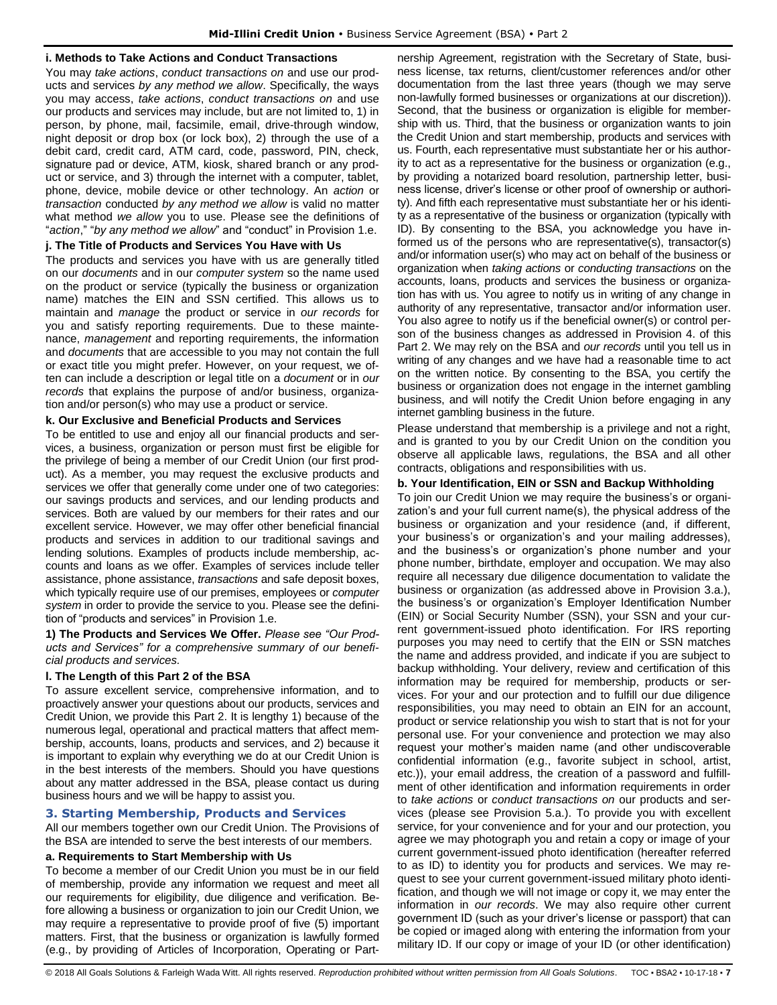#### **i. Methods to Take Actions and Conduct Transactions**

You may *take actions*, *conduct transactions on* and use our products and services *by any method we allow*. Specifically, the ways you may access, *take actions*, *conduct transactions on* and use our products and services may include, but are not limited to, 1) in person, by phone, mail, facsimile, email, drive-through window, night deposit or drop box (or lock box), 2) through the use of a debit card, credit card, ATM card, code, password, PIN, check, signature pad or device, ATM, kiosk, shared branch or any product or service, and 3) through the internet with a computer, tablet, phone, device, mobile device or other technology. An *action* or *transaction* conducted *by any method we allow* is valid no matter what method *we allow* you to use. Please see the definitions of "*action*," "*by any method we allow*" and "conduct" in Provision 1.e.

#### **j. The Title of Products and Services You Have with Us**

The products and services you have with us are generally titled on our *documents* and in our *computer system* so the name used on the product or service (typically the business or organization name) matches the EIN and SSN certified. This allows us to maintain and *manage* the product or service in *our records* for you and satisfy reporting requirements. Due to these maintenance, *management* and reporting requirements, the information and *documents* that are accessible to you may not contain the full or exact title you might prefer. However, on your request, we often can include a description or legal title on a *document* or in *our records* that explains the purpose of and/or business, organization and/or person(s) who may use a product or service.

#### **k. Our Exclusive and Beneficial Products and Services**

To be entitled to use and enjoy all our financial products and services, a business, organization or person must first be eligible for the privilege of being a member of our Credit Union (our first product). As a member, you may request the exclusive products and services we offer that generally come under one of two categories: our savings products and services, and our lending products and services. Both are valued by our members for their rates and our excellent service. However, we may offer other beneficial financial products and services in addition to our traditional savings and lending solutions. Examples of products include membership, accounts and loans as we offer. Examples of services include teller assistance, phone assistance, *transactions* and safe deposit boxes, which typically require use of our premises, employees or *computer system* in order to provide the service to you. Please see the definition of "products and services" in Provision 1.e.

**1) The Products and Services We Offer.** *Please see "Our Products and Services" for a comprehensive summary of our beneficial products and services.*

## **l. The Length of this Part 2 of the BSA**

To assure excellent service, comprehensive information, and to proactively answer your questions about our products, services and Credit Union, we provide this Part 2. It is lengthy 1) because of the numerous legal, operational and practical matters that affect membership, accounts, loans, products and services, and 2) because it is important to explain why everything we do at our Credit Union is in the best interests of the members. Should you have questions about any matter addressed in the BSA, please contact us during business hours and we will be happy to assist you.

## <span id="page-7-0"></span>**3. Starting Membership, Products and Services**

All our members together own our Credit Union. The Provisions of the BSA are intended to serve the best interests of our members.

#### **a. Requirements to Start Membership with Us**

To become a member of our Credit Union you must be in our field of membership, provide any information we request and meet all our requirements for eligibility, due diligence and verification. Before allowing a business or organization to join our Credit Union, we may require a representative to provide proof of five (5) important matters. First, that the business or organization is lawfully formed (e.g., by providing of Articles of Incorporation, Operating or Partnership Agreement, registration with the Secretary of State, business license, tax returns, client/customer references and/or other documentation from the last three years (though we may serve non-lawfully formed businesses or organizations at our discretion)). Second, that the business or organization is eligible for membership with us. Third, that the business or organization wants to join the Credit Union and start membership, products and services with us. Fourth, each representative must substantiate her or his authority to act as a representative for the business or organization (e.g., by providing a notarized board resolution, partnership letter, business license, driver's license or other proof of ownership or authority). And fifth each representative must substantiate her or his identity as a representative of the business or organization (typically with ID). By consenting to the BSA, you acknowledge you have informed us of the persons who are representative(s), transactor(s) and/or information user(s) who may act on behalf of the business or organization when *taking actions* or *conducting transactions* on the accounts, loans, products and services the business or organization has with us. You agree to notify us in writing of any change in authority of any representative, transactor and/or information user. You also agree to notify us if the beneficial owner(s) or control person of the business changes as addressed in Provision 4. of this Part 2. We may rely on the BSA and *our records* until you tell us in writing of any changes and we have had a reasonable time to act on the written notice. By consenting to the BSA, you certify the business or organization does not engage in the internet gambling business, and will notify the Credit Union before engaging in any internet gambling business in the future.

Please understand that membership is a privilege and not a right, and is granted to you by our Credit Union on the condition you observe all applicable laws, regulations, the BSA and all other contracts, obligations and responsibilities with us.

#### **b. Your Identification, EIN or SSN and Backup Withholding**

To join our Credit Union we may require the business's or organization's and your full current name(s), the physical address of the business or organization and your residence (and, if different, your business's or organization's and your mailing addresses), and the business's or organization's phone number and your phone number, birthdate, employer and occupation. We may also require all necessary due diligence documentation to validate the business or organization (as addressed above in Provision 3.a.), the business's or organization's Employer Identification Number (EIN) or Social Security Number (SSN), your SSN and your current government-issued photo identification. For IRS reporting purposes you may need to certify that the EIN or SSN matches the name and address provided, and indicate if you are subject to backup withholding. Your delivery, review and certification of this information may be required for membership, products or services. For your and our protection and to fulfill our due diligence responsibilities, you may need to obtain an EIN for an account, product or service relationship you wish to start that is not for your personal use. For your convenience and protection we may also request your mother's maiden name (and other undiscoverable confidential information (e.g., favorite subject in school, artist, etc.)), your email address, the creation of a password and fulfillment of other identification and information requirements in order to *take actions* or *conduct transactions on* our products and services (please see Provision 5.a.). To provide you with excellent service, for your convenience and for your and our protection, you agree we may photograph you and retain a copy or image of your current government-issued photo identification (hereafter referred to as ID) to identity you for products and services. We may request to see your current government-issued military photo identification, and though we will not image or copy it, we may enter the information in *our records*. We may also require other current government ID (such as your driver's license or passport) that can be copied or imaged along with entering the information from your military ID. If our copy or image of your ID (or other identification)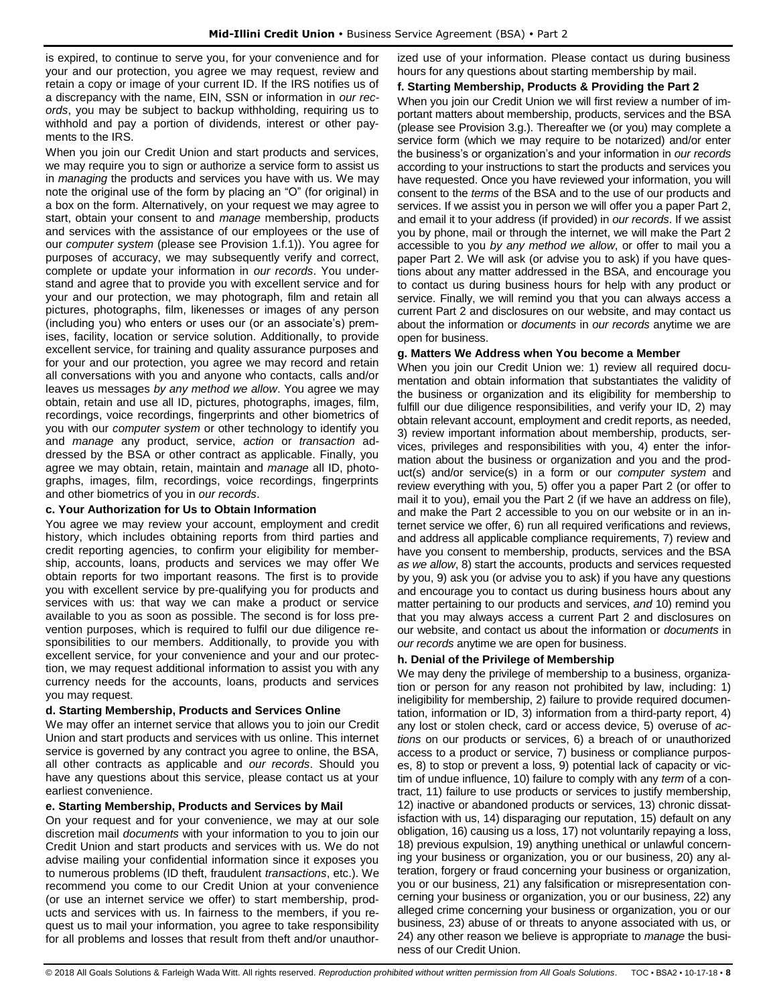is expired, to continue to serve you, for your convenience and for your and our protection, you agree we may request, review and retain a copy or image of your current ID. If the IRS notifies us of a discrepancy with the name, EIN, SSN or information in *our records*, you may be subject to backup withholding, requiring us to withhold and pay a portion of dividends, interest or other payments to the IRS.

When you join our Credit Union and start products and services, we may require you to sign or authorize a service form to assist us in *managing* the products and services you have with us. We may note the original use of the form by placing an "O" (for original) in a box on the form. Alternatively, on your request we may agree to start, obtain your consent to and *manage* membership, products and services with the assistance of our employees or the use of our *computer system* (please see Provision 1.f.1)). You agree for purposes of accuracy, we may subsequently verify and correct, complete or update your information in *our records*. You understand and agree that to provide you with excellent service and for your and our protection, we may photograph, film and retain all pictures, photographs, film, likenesses or images of any person (including you) who enters or uses our (or an associate's) premises, facility, location or service solution. Additionally, to provide excellent service, for training and quality assurance purposes and for your and our protection, you agree we may record and retain all conversations with you and anyone who contacts, calls and/or leaves us messages *by any method we allow*. You agree we may obtain, retain and use all ID, pictures, photographs, images, film, recordings, voice recordings, fingerprints and other biometrics of you with our *computer system* or other technology to identify you and *manage* any product, service, *action* or *transaction* addressed by the BSA or other contract as applicable. Finally, you agree we may obtain, retain, maintain and *manage* all ID, photographs, images, film, recordings, voice recordings, fingerprints and other biometrics of you in *our records*.

## **c. Your Authorization for Us to Obtain Information**

You agree we may review your account, employment and credit history, which includes obtaining reports from third parties and credit reporting agencies, to confirm your eligibility for membership, accounts, loans, products and services we may offer We obtain reports for two important reasons. The first is to provide you with excellent service by pre-qualifying you for products and services with us: that way we can make a product or service available to you as soon as possible. The second is for loss prevention purposes, which is required to fulfil our due diligence responsibilities to our members. Additionally, to provide you with excellent service, for your convenience and your and our protection, we may request additional information to assist you with any currency needs for the accounts, loans, products and services you may request.

## **d. Starting Membership, Products and Services Online**

We may offer an internet service that allows you to join our Credit Union and start products and services with us online. This internet service is governed by any contract you agree to online, the BSA, all other contracts as applicable and *our records*. Should you have any questions about this service, please contact us at your earliest convenience.

## **e. Starting Membership, Products and Services by Mail**

On your request and for your convenience, we may at our sole discretion mail *documents* with your information to you to join our Credit Union and start products and services with us. We do not advise mailing your confidential information since it exposes you to numerous problems (ID theft, fraudulent *transactions*, etc.). We recommend you come to our Credit Union at your convenience (or use an internet service we offer) to start membership, products and services with us. In fairness to the members, if you request us to mail your information, you agree to take responsibility for all problems and losses that result from theft and/or unauthorized use of your information. Please contact us during business hours for any questions about starting membership by mail.

## **f. Starting Membership, Products & Providing the Part 2**

When you join our Credit Union we will first review a number of important matters about membership, products, services and the BSA (please see Provision 3.g.). Thereafter we (or you) may complete a service form (which we may require to be notarized) and/or enter the business's or organization's and your information in *our records*  according to your instructions to start the products and services you have requested. Once you have reviewed your information, you will consent to the *terms* of the BSA and to the use of our products and services. If we assist you in person we will offer you a paper Part 2, and email it to your address (if provided) in *our records*. If we assist you by phone, mail or through the internet, we will make the Part 2 accessible to you *by any method we allow*, or offer to mail you a paper Part 2. We will ask (or advise you to ask) if you have questions about any matter addressed in the BSA, and encourage you to contact us during business hours for help with any product or service. Finally, we will remind you that you can always access a current Part 2 and disclosures on our website, and may contact us about the information or *documents* in *our records* anytime we are open for business.

#### **g. Matters We Address when You become a Member**

When you join our Credit Union we: 1) review all required documentation and obtain information that substantiates the validity of the business or organization and its eligibility for membership to fulfill our due diligence responsibilities, and verify your ID, 2) may obtain relevant account, employment and credit reports, as needed, 3) review important information about membership, products, services, privileges and responsibilities with you, 4) enter the information about the business or organization and you and the product(s) and/or service(s) in a form or our *computer system* and review everything with you, 5) offer you a paper Part 2 (or offer to mail it to you), email you the Part 2 (if we have an address on file), and make the Part 2 accessible to you on our website or in an internet service we offer, 6) run all required verifications and reviews, and address all applicable compliance requirements, 7) review and have you consent to membership, products, services and the BSA *as we allow*, 8) start the accounts, products and services requested by you, 9) ask you (or advise you to ask) if you have any questions and encourage you to contact us during business hours about any matter pertaining to our products and services, *and* 10) remind you that you may always access a current Part 2 and disclosures on our website, and contact us about the information or *documents* in *our records* anytime we are open for business.

## **h. Denial of the Privilege of Membership**

We may deny the privilege of membership to a business, organization or person for any reason not prohibited by law, including: 1) ineligibility for membership, 2) failure to provide required documentation, information or ID, 3) information from a third-party report, 4) any lost or stolen check, card or access device, 5) overuse of *actions* on our products or services, 6) a breach of or unauthorized access to a product or service, 7) business or compliance purposes, 8) to stop or prevent a loss, 9) potential lack of capacity or victim of undue influence, 10) failure to comply with any *term* of a contract, 11) failure to use products or services to justify membership, 12) inactive or abandoned products or services, 13) chronic dissatisfaction with us, 14) disparaging our reputation, 15) default on any obligation, 16) causing us a loss, 17) not voluntarily repaying a loss, 18) previous expulsion, 19) anything unethical or unlawful concerning your business or organization, you or our business, 20) any alteration, forgery or fraud concerning your business or organization, you or our business, 21) any falsification or misrepresentation concerning your business or organization, you or our business, 22) any alleged crime concerning your business or organization, you or our business, 23) abuse of or threats to anyone associated with us, or 24) any other reason we believe is appropriate to *manage* the business of our Credit Union.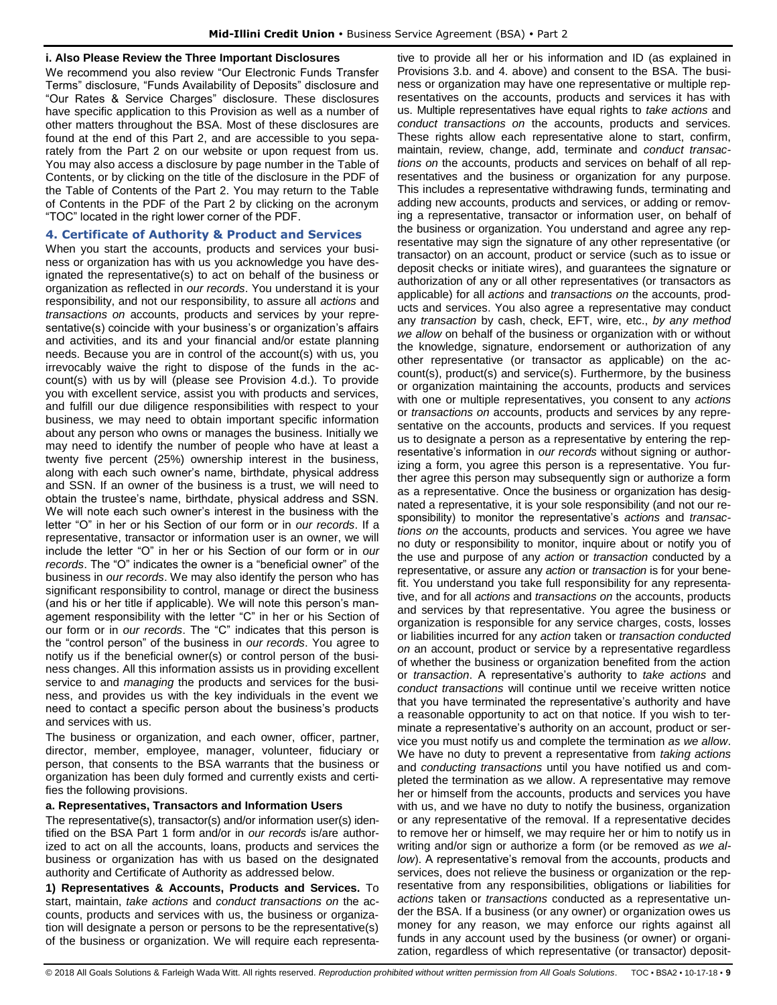#### **i. Also Please Review the Three Important Disclosures**

We recommend you also review "Our Electronic Funds Transfer Terms" disclosure, "Funds Availability of Deposits" disclosure and "Our Rates & Service Charges" disclosure. These disclosures have specific application to this Provision as well as a number of other matters throughout the BSA. Most of these disclosures are found at the end of this Part 2, and are accessible to you separately from the Part 2 on our website or upon request from us. You may also access a disclosure by page number in the Table of Contents, or by clicking on the title of the disclosure in the PDF of the Table of Contents of the Part 2. You may return to the Table of Contents in the PDF of the Part 2 by clicking on the acronym "TOC" located in the right lower corner of the PDF.

#### <span id="page-9-0"></span>**4. Certificate of Authority & Product and Services**

When you start the accounts, products and services your business or organization has with us you acknowledge you have designated the representative(s) to act on behalf of the business or organization as reflected in *our records*. You understand it is your responsibility, and not our responsibility, to assure all *actions* and *transactions on* accounts, products and services by your representative(s) coincide with your business's or organization's affairs and activities, and its and your financial and/or estate planning needs. Because you are in control of the account(s) with us, you irrevocably waive the right to dispose of the funds in the account(s) with us by will (please see Provision 4.d.). To provide you with excellent service, assist you with products and services, and fulfill our due diligence responsibilities with respect to your business, we may need to obtain important specific information about any person who owns or manages the business. Initially we may need to identify the number of people who have at least a twenty five percent (25%) ownership interest in the business, along with each such owner's name, birthdate, physical address and SSN. If an owner of the business is a trust, we will need to obtain the trustee's name, birthdate, physical address and SSN. We will note each such owner's interest in the business with the letter "O" in her or his Section of our form or in *our records*. If a representative, transactor or information user is an owner, we will include the letter "O" in her or his Section of our form or in *our records*. The "O" indicates the owner is a "beneficial owner" of the business in *our records*. We may also identify the person who has significant responsibility to control, manage or direct the business (and his or her title if applicable). We will note this person's management responsibility with the letter "C" in her or his Section of our form or in *our records*. The "C" indicates that this person is the "control person" of the business in *our records*. You agree to notify us if the beneficial owner(s) or control person of the business changes. All this information assists us in providing excellent service to and *managing* the products and services for the business, and provides us with the key individuals in the event we need to contact a specific person about the business's products and services with us.

The business or organization, and each owner, officer, partner, director, member, employee, manager, volunteer, fiduciary or person, that consents to the BSA warrants that the business or organization has been duly formed and currently exists and certifies the following provisions.

#### **a. Representatives, Transactors and Information Users**

The representative(s), transactor(s) and/or information user(s) identified on the BSA Part 1 form and/or in *our records* is/are authorized to act on all the accounts, loans, products and services the business or organization has with us based on the designated authority and Certificate of Authority as addressed below.

**1) Representatives & Accounts, Products and Services.** To start, maintain, *take actions* and *conduct transactions on* the accounts, products and services with us, the business or organization will designate a person or persons to be the representative(s) of the business or organization. We will require each representative to provide all her or his information and ID (as explained in Provisions 3.b. and 4. above) and consent to the BSA. The business or organization may have one representative or multiple representatives on the accounts, products and services it has with us. Multiple representatives have equal rights to *take actions* and *conduct transactions on* the accounts, products and services. These rights allow each representative alone to start, confirm, maintain, review, change, add, terminate and *conduct transactions on* the accounts, products and services on behalf of all representatives and the business or organization for any purpose. This includes a representative withdrawing funds, terminating and adding new accounts, products and services, or adding or removing a representative, transactor or information user, on behalf of the business or organization. You understand and agree any representative may sign the signature of any other representative (or transactor) on an account, product or service (such as to issue or deposit checks or initiate wires), and guarantees the signature or authorization of any or all other representatives (or transactors as applicable) for all *actions* and *transactions on* the accounts, products and services. You also agree a representative may conduct any *transaction* by cash, check, EFT, wire, etc., *by any method we allow* on behalf of the business or organization with or without the knowledge, signature, endorsement or authorization of any other representative (or transactor as applicable) on the account(s), product(s) and service(s). Furthermore, by the business or organization maintaining the accounts, products and services with one or multiple representatives, you consent to any *actions* or *transactions on* accounts, products and services by any representative on the accounts, products and services. If you request us to designate a person as a representative by entering the representative's information in *our records* without signing or authorizing a form, you agree this person is a representative. You further agree this person may subsequently sign or authorize a form as a representative. Once the business or organization has designated a representative, it is your sole responsibility (and not our responsibility) to monitor the representative's *actions* and *transactions on* the accounts, products and services. You agree we have no duty or responsibility to monitor, inquire about or notify you of the use and purpose of any *action* or *transaction* conducted by a representative, or assure any *action* or *transaction* is for your benefit. You understand you take full responsibility for any representative, and for all *actions* and *transactions on* the accounts, products and services by that representative. You agree the business or organization is responsible for any service charges, costs, losses or liabilities incurred for any *action* taken or *transaction conducted on* an account, product or service by a representative regardless of whether the business or organization benefited from the action or *transaction*. A representative's authority to *take actions* and *conduct transactions* will continue until we receive written notice that you have terminated the representative's authority and have a reasonable opportunity to act on that notice. If you wish to terminate a representative's authority on an account, product or service you must notify us and complete the termination *as we allow*. We have no duty to prevent a representative from *taking actions* and *conducting transactions* until you have notified us and completed the termination as we allow. A representative may remove her or himself from the accounts, products and services you have with us, and we have no duty to notify the business, organization or any representative of the removal. If a representative decides to remove her or himself, we may require her or him to notify us in writing and/or sign or authorize a form (or be removed *as we allow*). A representative's removal from the accounts, products and services, does not relieve the business or organization or the representative from any responsibilities, obligations or liabilities for *actions* taken or *transactions* conducted as a representative under the BSA. If a business (or any owner) or organization owes us money for any reason, we may enforce our rights against all funds in any account used by the business (or owner) or organization, regardless of which representative (or transactor) deposit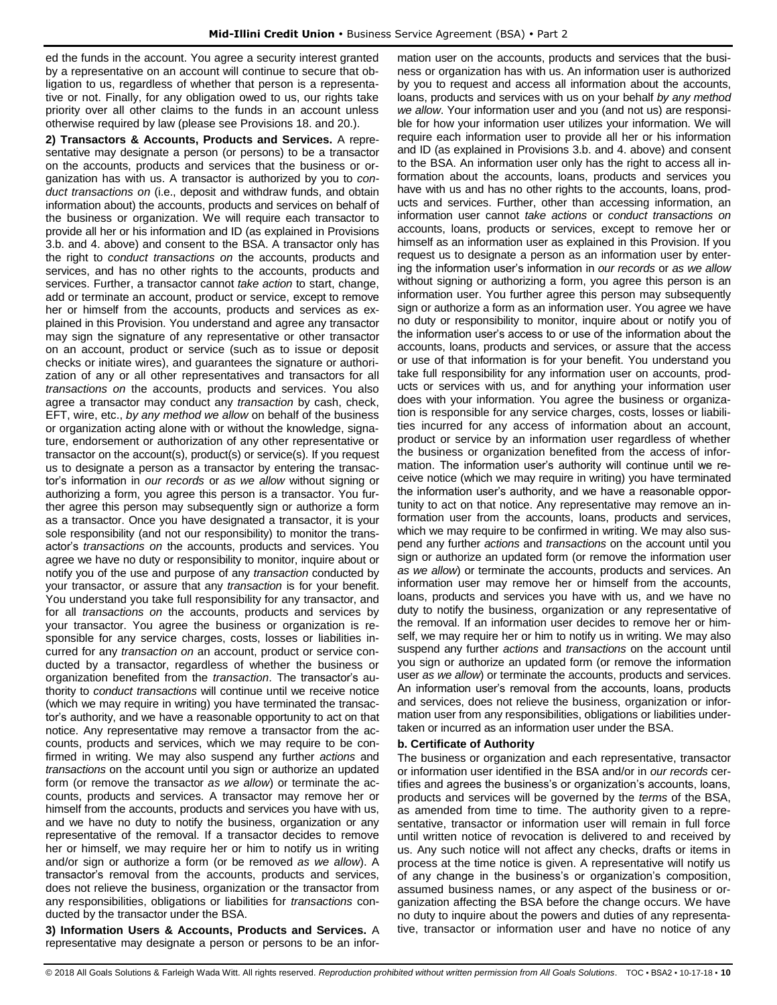ed the funds in the account. You agree a security interest granted by a representative on an account will continue to secure that obligation to us, regardless of whether that person is a representative or not. Finally, for any obligation owed to us, our rights take priority over all other claims to the funds in an account unless otherwise required by law (please see Provisions 18. and 20.).

**2) Transactors & Accounts, Products and Services.** A representative may designate a person (or persons) to be a transactor on the accounts, products and services that the business or organization has with us. A transactor is authorized by you to *conduct transactions on* (i.e., deposit and withdraw funds, and obtain information about) the accounts, products and services on behalf of the business or organization. We will require each transactor to provide all her or his information and ID (as explained in Provisions 3.b. and 4. above) and consent to the BSA. A transactor only has the right to *conduct transactions on* the accounts, products and services, and has no other rights to the accounts, products and services. Further, a transactor cannot *take action* to start, change, add or terminate an account, product or service, except to remove her or himself from the accounts, products and services as explained in this Provision. You understand and agree any transactor may sign the signature of any representative or other transactor on an account, product or service (such as to issue or deposit checks or initiate wires), and guarantees the signature or authorization of any or all other representatives and transactors for all *transactions on* the accounts, products and services. You also agree a transactor may conduct any *transaction* by cash, check, EFT, wire, etc., *by any method we allow* on behalf of the business or organization acting alone with or without the knowledge, signature, endorsement or authorization of any other representative or transactor on the account(s), product(s) or service(s). If you request us to designate a person as a transactor by entering the transactor's information in *our records* or *as we allow* without signing or authorizing a form, you agree this person is a transactor. You further agree this person may subsequently sign or authorize a form as a transactor. Once you have designated a transactor, it is your sole responsibility (and not our responsibility) to monitor the transactor's *transactions on* the accounts, products and services. You agree we have no duty or responsibility to monitor, inquire about or notify you of the use and purpose of any *transaction* conducted by your transactor, or assure that any *transaction* is for your benefit. You understand you take full responsibility for any transactor, and for all *transactions on* the accounts, products and services by your transactor. You agree the business or organization is responsible for any service charges, costs, losses or liabilities incurred for any *transaction on* an account, product or service conducted by a transactor, regardless of whether the business or organization benefited from the *transaction*. The transactor's authority to *conduct transactions* will continue until we receive notice (which we may require in writing) you have terminated the transactor's authority, and we have a reasonable opportunity to act on that notice. Any representative may remove a transactor from the accounts, products and services, which we may require to be confirmed in writing. We may also suspend any further *actions* and *transactions* on the account until you sign or authorize an updated form (or remove the transactor *as we allow*) or terminate the accounts, products and services. A transactor may remove her or himself from the accounts, products and services you have with us, and we have no duty to notify the business, organization or any representative of the removal. If a transactor decides to remove her or himself, we may require her or him to notify us in writing and/or sign or authorize a form (or be removed *as we allow*). A transactor's removal from the accounts, products and services, does not relieve the business, organization or the transactor from any responsibilities, obligations or liabilities for *transactions* conducted by the transactor under the BSA.

**3) Information Users & Accounts, Products and Services.** A representative may designate a person or persons to be an information user on the accounts, products and services that the business or organization has with us. An information user is authorized by you to request and access all information about the accounts, loans, products and services with us on your behalf *by any method we allow*. Your information user and you (and not us) are responsible for how your information user utilizes your information. We will require each information user to provide all her or his information and ID (as explained in Provisions 3.b. and 4. above) and consent to the BSA. An information user only has the right to access all information about the accounts, loans, products and services you have with us and has no other rights to the accounts, loans, products and services. Further, other than accessing information, an information user cannot *take actions* or *conduct transactions on* accounts, loans, products or services, except to remove her or himself as an information user as explained in this Provision. If you request us to designate a person as an information user by entering the information user's information in *our records* or *as we allow*  without signing or authorizing a form, you agree this person is an information user. You further agree this person may subsequently sign or authorize a form as an information user. You agree we have no duty or responsibility to monitor, inquire about or notify you of the information user's access to or use of the information about the accounts, loans, products and services, or assure that the access or use of that information is for your benefit. You understand you take full responsibility for any information user on accounts, products or services with us, and for anything your information user does with your information. You agree the business or organization is responsible for any service charges, costs, losses or liabilities incurred for any access of information about an account, product or service by an information user regardless of whether the business or organization benefited from the access of information. The information user's authority will continue until we receive notice (which we may require in writing) you have terminated the information user's authority, and we have a reasonable opportunity to act on that notice. Any representative may remove an information user from the accounts, loans, products and services, which we may require to be confirmed in writing. We may also suspend any further *actions* and *transactions* on the account until you sign or authorize an updated form (or remove the information user *as we allow*) or terminate the accounts, products and services. An information user may remove her or himself from the accounts, loans, products and services you have with us, and we have no duty to notify the business, organization or any representative of the removal. If an information user decides to remove her or himself, we may require her or him to notify us in writing. We may also suspend any further *actions* and *transactions* on the account until you sign or authorize an updated form (or remove the information user *as we allow*) or terminate the accounts, products and services. An information user's removal from the accounts, loans, products and services, does not relieve the business, organization or information user from any responsibilities, obligations or liabilities undertaken or incurred as an information user under the BSA.

#### **b. Certificate of Authority**

The business or organization and each representative, transactor or information user identified in the BSA and/or in *our records* certifies and agrees the business's or organization's accounts, loans, products and services will be governed by the *terms* of the BSA, as amended from time to time. The authority given to a representative, transactor or information user will remain in full force until written notice of revocation is delivered to and received by us. Any such notice will not affect any checks, drafts or items in process at the time notice is given. A representative will notify us of any change in the business's or organization's composition, assumed business names, or any aspect of the business or organization affecting the BSA before the change occurs. We have no duty to inquire about the powers and duties of any representative, transactor or information user and have no notice of any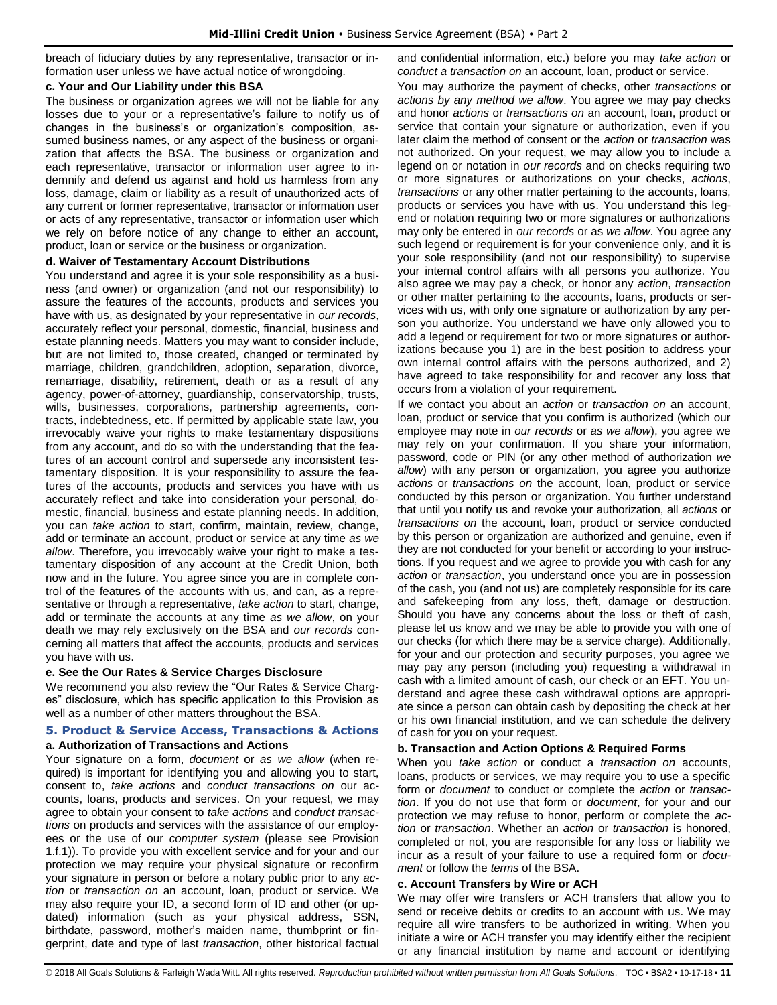breach of fiduciary duties by any representative, transactor or information user unless we have actual notice of wrongdoing.

#### **c. Your and Our Liability under this BSA**

The business or organization agrees we will not be liable for any losses due to your or a representative's failure to notify us of changes in the business's or organization's composition, assumed business names, or any aspect of the business or organization that affects the BSA. The business or organization and each representative, transactor or information user agree to indemnify and defend us against and hold us harmless from any loss, damage, claim or liability as a result of unauthorized acts of any current or former representative, transactor or information user or acts of any representative, transactor or information user which we rely on before notice of any change to either an account, product, loan or service or the business or organization.

#### **d. Waiver of Testamentary Account Distributions**

You understand and agree it is your sole responsibility as a business (and owner) or organization (and not our responsibility) to assure the features of the accounts, products and services you have with us, as designated by your representative in *our records*, accurately reflect your personal, domestic, financial, business and estate planning needs. Matters you may want to consider include, but are not limited to, those created, changed or terminated by marriage, children, grandchildren, adoption, separation, divorce, remarriage, disability, retirement, death or as a result of any agency, power-of-attorney, guardianship, conservatorship, trusts, wills, businesses, corporations, partnership agreements, contracts, indebtedness, etc. If permitted by applicable state law, you irrevocably waive your rights to make testamentary dispositions from any account, and do so with the understanding that the features of an account control and supersede any inconsistent testamentary disposition. It is your responsibility to assure the features of the accounts, products and services you have with us accurately reflect and take into consideration your personal, domestic, financial, business and estate planning needs. In addition, you can *take action* to start, confirm, maintain, review, change, add or terminate an account, product or service at any time *as we allow*. Therefore, you irrevocably waive your right to make a testamentary disposition of any account at the Credit Union, both now and in the future. You agree since you are in complete control of the features of the accounts with us, and can, as a representative or through a representative, *take action* to start, change, add or terminate the accounts at any time *as we allow*, on your death we may rely exclusively on the BSA and *our records* concerning all matters that affect the accounts, products and services you have with us.

## **e. See the Our Rates & Service Charges Disclosure**

We recommend you also review the "Our Rates & Service Charges" disclosure, which has specific application to this Provision as well as a number of other matters throughout the BSA.

#### <span id="page-11-0"></span>**5. Product & Service Access, Transactions & Actions a. Authorization of Transactions and Actions**

Your signature on a form, *document* or *as we allow* (when required) is important for identifying you and allowing you to start, consent to, *take actions* and *conduct transactions on* our accounts, loans, products and services. On your request, we may agree to obtain your consent to *take actions* and *conduct transactions* on products and services with the assistance of our employees or the use of our *computer system* (please see Provision 1.f.1)). To provide you with excellent service and for your and our protection we may require your physical signature or reconfirm your signature in person or before a notary public prior to any *action* or *transaction on* an account, loan, product or service. We may also require your ID, a second form of ID and other (or updated) information (such as your physical address, SSN, birthdate, password, mother's maiden name, thumbprint or fingerprint, date and type of last *transaction*, other historical factual and confidential information, etc.) before you may *take action* or *conduct a transaction on* an account, loan, product or service.

You may authorize the payment of checks, other *transactions* or *actions by any method we allow*. You agree we may pay checks and honor *actions* or *transactions on* an account, loan, product or service that contain your signature or authorization, even if you later claim the method of consent or the *action* or *transaction* was not authorized. On your request, we may allow you to include a legend on or notation in *our records* and on checks requiring two or more signatures or authorizations on your checks, *actions*, *transactions* or any other matter pertaining to the accounts, loans, products or services you have with us. You understand this legend or notation requiring two or more signatures or authorizations may only be entered in *our records* or as *we allow*. You agree any such legend or requirement is for your convenience only, and it is your sole responsibility (and not our responsibility) to supervise your internal control affairs with all persons you authorize. You also agree we may pay a check, or honor any *action*, *transaction*  or other matter pertaining to the accounts, loans, products or services with us, with only one signature or authorization by any person you authorize. You understand we have only allowed you to add a legend or requirement for two or more signatures or authorizations because you 1) are in the best position to address your own internal control affairs with the persons authorized, and 2) have agreed to take responsibility for and recover any loss that occurs from a violation of your requirement.

If we contact you about an *action* or *transaction on* an account, loan, product or service that you confirm is authorized (which our employee may note in *our records* or *as we allow*), you agree we may rely on your confirmation. If you share your information, password, code or PIN (or any other method of authorization *we allow*) with any person or organization, you agree you authorize *actions* or *transactions on* the account, loan, product or service conducted by this person or organization. You further understand that until you notify us and revoke your authorization, all *actions* or *transactions on* the account, loan, product or service conducted by this person or organization are authorized and genuine, even if they are not conducted for your benefit or according to your instructions. If you request and we agree to provide you with cash for any *action* or *transaction*, you understand once you are in possession of the cash, you (and not us) are completely responsible for its care and safekeeping from any loss, theft, damage or destruction. Should you have any concerns about the loss or theft of cash, please let us know and we may be able to provide you with one of our checks (for which there may be a service charge). Additionally, for your and our protection and security purposes, you agree we may pay any person (including you) requesting a withdrawal in cash with a limited amount of cash, our check or an EFT. You understand and agree these cash withdrawal options are appropriate since a person can obtain cash by depositing the check at her or his own financial institution, and we can schedule the delivery of cash for you on your request.

## **b. Transaction and Action Options & Required Forms**

When you *take action* or conduct a *transaction on* accounts, loans, products or services, we may require you to use a specific form or *document* to conduct or complete the *action* or *transaction*. If you do not use that form or *document*, for your and our protection we may refuse to honor, perform or complete the *action* or *transaction*. Whether an *action* or *transaction* is honored, completed or not, you are responsible for any loss or liability we incur as a result of your failure to use a required form or *document* or follow the *terms* of the BSA.

#### **c. Account Transfers by Wire or ACH**

We may offer wire transfers or ACH transfers that allow you to send or receive debits or credits to an account with us. We may require all wire transfers to be authorized in writing. When you initiate a wire or ACH transfer you may identify either the recipient or any financial institution by name and account or identifying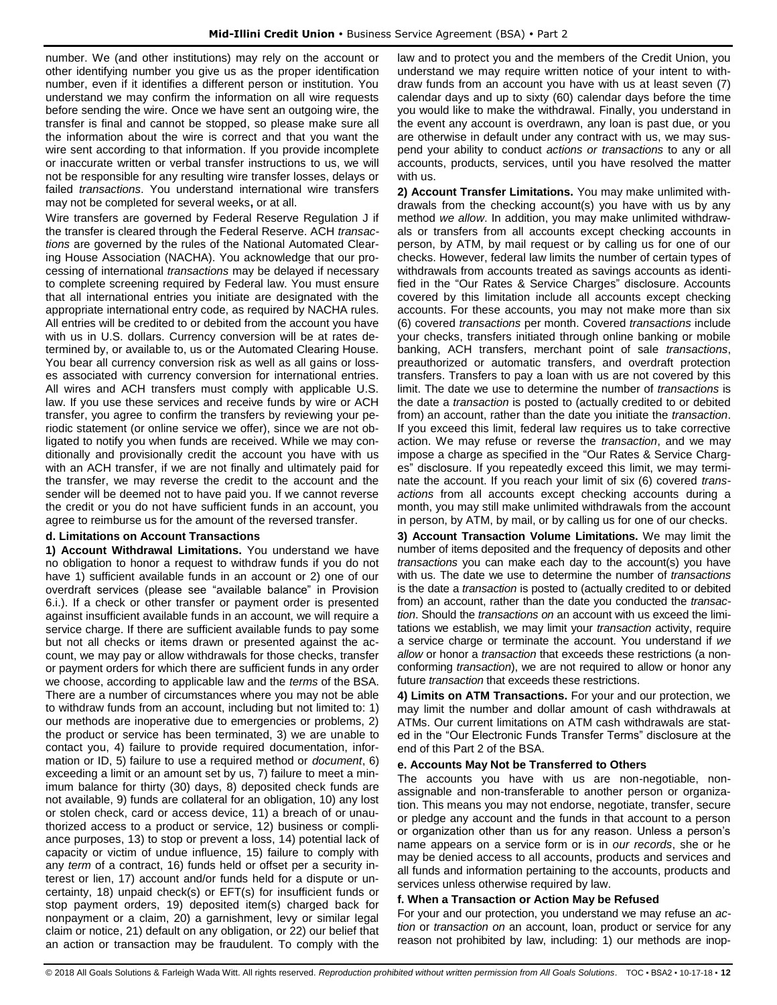number. We (and other institutions) may rely on the account or other identifying number you give us as the proper identification number, even if it identifies a different person or institution. You understand we may confirm the information on all wire requests before sending the wire. Once we have sent an outgoing wire, the transfer is final and cannot be stopped, so please make sure all the information about the wire is correct and that you want the wire sent according to that information. If you provide incomplete or inaccurate written or verbal transfer instructions to us, we will not be responsible for any resulting wire transfer losses, delays or failed *transactions*. You understand international wire transfers may not be completed for several weeks**,** or at all.

Wire transfers are governed by Federal Reserve Regulation J if the transfer is cleared through the Federal Reserve. ACH *transactions* are governed by the rules of the National Automated Clearing House Association (NACHA). You acknowledge that our processing of international *transactions* may be delayed if necessary to complete screening required by Federal law. You must ensure that all international entries you initiate are designated with the appropriate international entry code, as required by NACHA rules. All entries will be credited to or debited from the account you have with us in U.S. dollars. Currency conversion will be at rates determined by, or available to, us or the Automated Clearing House. You bear all currency conversion risk as well as all gains or losses associated with currency conversion for international entries. All wires and ACH transfers must comply with applicable U.S. law. If you use these services and receive funds by wire or ACH transfer, you agree to confirm the transfers by reviewing your periodic statement (or online service we offer), since we are not obligated to notify you when funds are received. While we may conditionally and provisionally credit the account you have with us with an ACH transfer, if we are not finally and ultimately paid for the transfer, we may reverse the credit to the account and the sender will be deemed not to have paid you. If we cannot reverse the credit or you do not have sufficient funds in an account, you agree to reimburse us for the amount of the reversed transfer.

#### **d. Limitations on Account Transactions**

**1) Account Withdrawal Limitations.** You understand we have no obligation to honor a request to withdraw funds if you do not have 1) sufficient available funds in an account or 2) one of our overdraft services (please see "available balance" in Provision 6.i.). If a check or other transfer or payment order is presented against insufficient available funds in an account, we will require a service charge. If there are sufficient available funds to pay some but not all checks or items drawn or presented against the account, we may pay or allow withdrawals for those checks, transfer or payment orders for which there are sufficient funds in any order we choose, according to applicable law and the *terms* of the BSA. There are a number of circumstances where you may not be able to withdraw funds from an account, including but not limited to: 1) our methods are inoperative due to emergencies or problems, 2) the product or service has been terminated, 3) we are unable to contact you, 4) failure to provide required documentation, information or ID, 5) failure to use a required method or *document*, 6) exceeding a limit or an amount set by us, 7) failure to meet a minimum balance for thirty (30) days, 8) deposited check funds are not available, 9) funds are collateral for an obligation, 10) any lost or stolen check, card or access device, 11) a breach of or unauthorized access to a product or service, 12) business or compliance purposes, 13) to stop or prevent a loss, 14) potential lack of capacity or victim of undue influence, 15) failure to comply with any *term* of a contract, 16) funds held or offset per a security interest or lien, 17) account and/or funds held for a dispute or uncertainty, 18) unpaid check(s) or EFT(s) for insufficient funds or stop payment orders, 19) deposited item(s) charged back for nonpayment or a claim, 20) a garnishment, levy or similar legal claim or notice, 21) default on any obligation, or 22) our belief that an action or transaction may be fraudulent. To comply with the law and to protect you and the members of the Credit Union, you understand we may require written notice of your intent to withdraw funds from an account you have with us at least seven (7) calendar days and up to sixty (60) calendar days before the time you would like to make the withdrawal. Finally, you understand in the event any account is overdrawn, any loan is past due, or you are otherwise in default under any contract with us, we may suspend your ability to conduct *actions or transactions* to any or all accounts, products, services, until you have resolved the matter with us.

**2) Account Transfer Limitations.** You may make unlimited withdrawals from the checking account(s) you have with us by any method *we allow*. In addition, you may make unlimited withdrawals or transfers from all accounts except checking accounts in person, by ATM, by mail request or by calling us for one of our checks. However, federal law limits the number of certain types of withdrawals from accounts treated as savings accounts as identified in the "Our Rates & Service Charges" disclosure. Accounts covered by this limitation include all accounts except checking accounts. For these accounts, you may not make more than six (6) covered *transactions* per month. Covered *transactions* include your checks, transfers initiated through online banking or mobile banking, ACH transfers, merchant point of sale *transactions*, preauthorized or automatic transfers, and overdraft protection transfers. Transfers to pay a loan with us are not covered by this limit. The date we use to determine the number of *transactions* is the date a *transaction* is posted to (actually credited to or debited from) an account, rather than the date you initiate the *transaction*. If you exceed this limit, federal law requires us to take corrective action. We may refuse or reverse the *transaction*, and we may impose a charge as specified in the "Our Rates & Service Charges" disclosure. If you repeatedly exceed this limit, we may terminate the account. If you reach your limit of six (6) covered *transactions* from all accounts except checking accounts during a month, you may still make unlimited withdrawals from the account in person, by ATM, by mail, or by calling us for one of our checks.

**3) Account Transaction Volume Limitations.** We may limit the number of items deposited and the frequency of deposits and other *transactions* you can make each day to the account(s) you have with us. The date we use to determine the number of *transactions* is the date a *transaction* is posted to (actually credited to or debited from) an account, rather than the date you conducted the *transaction*. Should the *transactions on* an account with us exceed the limitations we establish, we may limit your *transaction* activity, require a service charge or terminate the account. You understand if *we allow* or honor a *transaction* that exceeds these restrictions (a nonconforming *transaction*), we are not required to allow or honor any future *transaction* that exceeds these restrictions.

**4) Limits on ATM Transactions.** For your and our protection, we may limit the number and dollar amount of cash withdrawals at ATMs. Our current limitations on ATM cash withdrawals are stated in the "Our Electronic Funds Transfer Terms" disclosure at the end of this Part 2 of the BSA.

## **e. Accounts May Not be Transferred to Others**

The accounts you have with us are non-negotiable, nonassignable and non-transferable to another person or organization. This means you may not endorse, negotiate, transfer, secure or pledge any account and the funds in that account to a person or organization other than us for any reason. Unless a person's name appears on a service form or is in *our records*, she or he may be denied access to all accounts, products and services and all funds and information pertaining to the accounts, products and services unless otherwise required by law.

#### **f. When a Transaction or Action May be Refused**

For your and our protection, you understand we may refuse an *action* or *transaction on* an account, loan, product or service for any reason not prohibited by law, including: 1) our methods are inop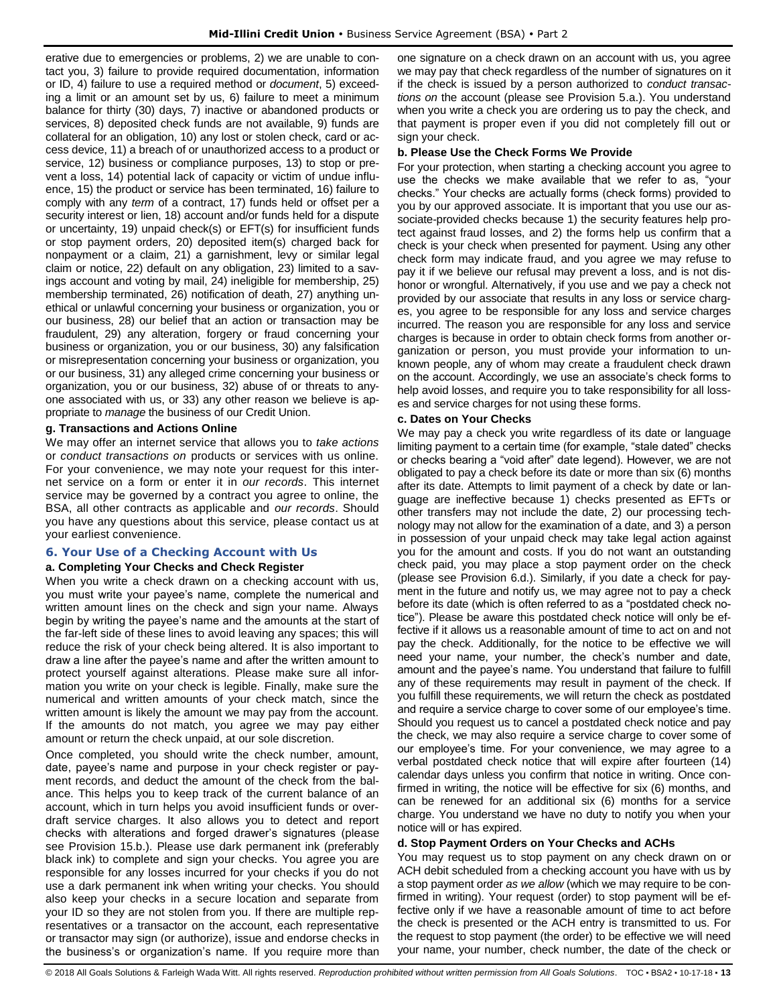erative due to emergencies or problems, 2) we are unable to contact you, 3) failure to provide required documentation, information or ID, 4) failure to use a required method or *document*, 5) exceeding a limit or an amount set by us, 6) failure to meet a minimum balance for thirty (30) days, 7) inactive or abandoned products or services, 8) deposited check funds are not available, 9) funds are collateral for an obligation, 10) any lost or stolen check, card or access device, 11) a breach of or unauthorized access to a product or service, 12) business or compliance purposes, 13) to stop or prevent a loss, 14) potential lack of capacity or victim of undue influence, 15) the product or service has been terminated, 16) failure to comply with any *term* of a contract, 17) funds held or offset per a security interest or lien, 18) account and/or funds held for a dispute or uncertainty, 19) unpaid check(s) or EFT(s) for insufficient funds or stop payment orders, 20) deposited item(s) charged back for nonpayment or a claim, 21) a garnishment, levy or similar legal claim or notice, 22) default on any obligation, 23) limited to a savings account and voting by mail, 24) ineligible for membership, 25) membership terminated, 26) notification of death, 27) anything unethical or unlawful concerning your business or organization, you or our business, 28) our belief that an action or transaction may be fraudulent, 29) any alteration, forgery or fraud concerning your business or organization, you or our business, 30) any falsification or misrepresentation concerning your business or organization, you or our business, 31) any alleged crime concerning your business or organization, you or our business, 32) abuse of or threats to anyone associated with us, or 33) any other reason we believe is appropriate to *manage* the business of our Credit Union.

#### **g. Transactions and Actions Online**

We may offer an internet service that allows you to *take actions* or *conduct transactions on* products or services with us online. For your convenience, we may note your request for this internet service on a form or enter it in *our records*. This internet service may be governed by a contract you agree to online, the BSA, all other contracts as applicable and *our records*. Should you have any questions about this service, please contact us at your earliest convenience.

## <span id="page-13-0"></span>**6. Your Use of a Checking Account with Us**

## **a. Completing Your Checks and Check Register**

When you write a check drawn on a checking account with us, you must write your payee's name, complete the numerical and written amount lines on the check and sign your name. Always begin by writing the payee's name and the amounts at the start of the far-left side of these lines to avoid leaving any spaces; this will reduce the risk of your check being altered. It is also important to draw a line after the payee's name and after the written amount to protect yourself against alterations. Please make sure all information you write on your check is legible. Finally, make sure the numerical and written amounts of your check match, since the written amount is likely the amount we may pay from the account. If the amounts do not match, you agree we may pay either amount or return the check unpaid, at our sole discretion.

Once completed, you should write the check number, amount, date, payee's name and purpose in your check register or payment records, and deduct the amount of the check from the balance. This helps you to keep track of the current balance of an account, which in turn helps you avoid insufficient funds or overdraft service charges. It also allows you to detect and report checks with alterations and forged drawer's signatures (please see Provision 15.b.). Please use dark permanent ink (preferably black ink) to complete and sign your checks. You agree you are responsible for any losses incurred for your checks if you do not use a dark permanent ink when writing your checks. You should also keep your checks in a secure location and separate from your ID so they are not stolen from you. If there are multiple representatives or a transactor on the account, each representative or transactor may sign (or authorize), issue and endorse checks in the business's or organization's name. If you require more than one signature on a check drawn on an account with us, you agree we may pay that check regardless of the number of signatures on it if the check is issued by a person authorized to *conduct transactions on* the account (please see Provision 5.a.). You understand when you write a check you are ordering us to pay the check, and that payment is proper even if you did not completely fill out or sign your check.

#### **b. Please Use the Check Forms We Provide**

For your protection, when starting a checking account you agree to use the checks we make available that we refer to as, "your checks." Your checks are actually forms (check forms) provided to you by our approved associate. It is important that you use our associate-provided checks because 1) the security features help protect against fraud losses, and 2) the forms help us confirm that a check is your check when presented for payment. Using any other check form may indicate fraud, and you agree we may refuse to pay it if we believe our refusal may prevent a loss, and is not dishonor or wrongful. Alternatively, if you use and we pay a check not provided by our associate that results in any loss or service charges, you agree to be responsible for any loss and service charges incurred. The reason you are responsible for any loss and service charges is because in order to obtain check forms from another organization or person, you must provide your information to unknown people, any of whom may create a fraudulent check drawn on the account. Accordingly, we use an associate's check forms to help avoid losses, and require you to take responsibility for all losses and service charges for not using these forms.

#### **c. Dates on Your Checks**

We may pay a check you write regardless of its date or language limiting payment to a certain time (for example, "stale dated" checks or checks bearing a "void after" date legend). However, we are not obligated to pay a check before its date or more than six (6) months after its date. Attempts to limit payment of a check by date or language are ineffective because 1) checks presented as EFTs or other transfers may not include the date, 2) our processing technology may not allow for the examination of a date, and 3) a person in possession of your unpaid check may take legal action against you for the amount and costs. If you do not want an outstanding check paid, you may place a stop payment order on the check (please see Provision 6.d.). Similarly, if you date a check for payment in the future and notify us, we may agree not to pay a check before its date (which is often referred to as a "postdated check notice"). Please be aware this postdated check notice will only be effective if it allows us a reasonable amount of time to act on and not pay the check. Additionally, for the notice to be effective we will need your name, your number, the check's number and date, amount and the payee's name. You understand that failure to fulfill any of these requirements may result in payment of the check. If you fulfill these requirements, we will return the check as postdated and require a service charge to cover some of our employee's time. Should you request us to cancel a postdated check notice and pay the check, we may also require a service charge to cover some of our employee's time. For your convenience, we may agree to a verbal postdated check notice that will expire after fourteen (14) calendar days unless you confirm that notice in writing. Once confirmed in writing, the notice will be effective for six (6) months, and can be renewed for an additional six (6) months for a service charge. You understand we have no duty to notify you when your notice will or has expired.

#### **d. Stop Payment Orders on Your Checks and ACHs**

You may request us to stop payment on any check drawn on or ACH debit scheduled from a checking account you have with us by a stop payment order *as we allow* (which we may require to be confirmed in writing). Your request (order) to stop payment will be effective only if we have a reasonable amount of time to act before the check is presented or the ACH entry is transmitted to us. For the request to stop payment (the order) to be effective we will need your name, your number, check number, the date of the check or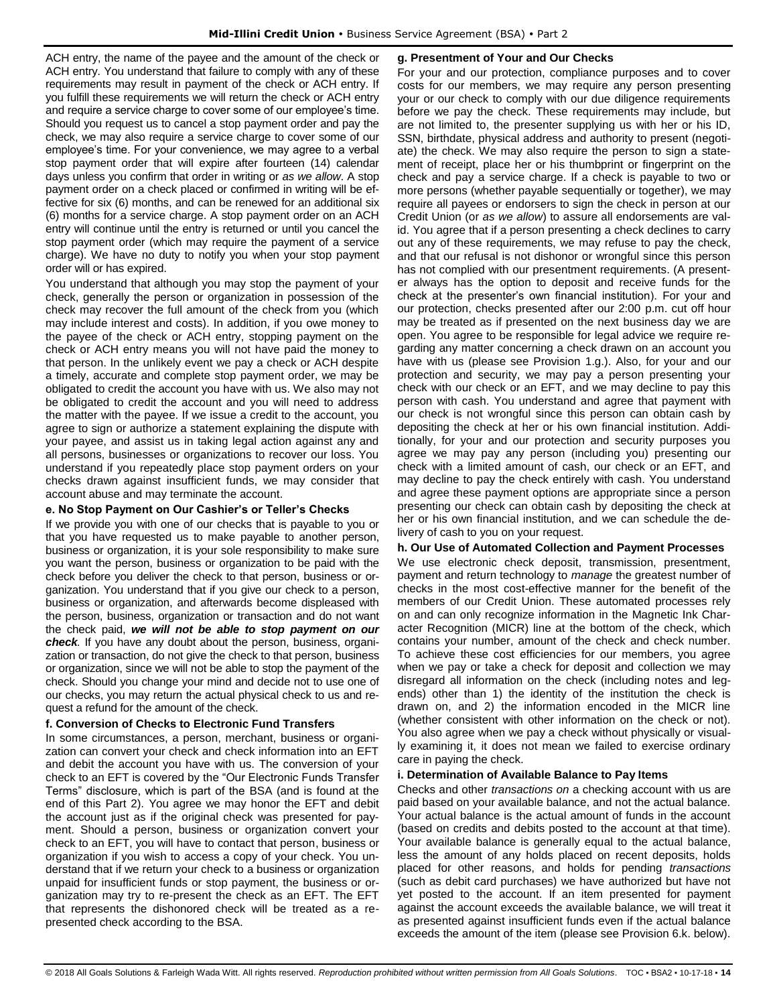ACH entry, the name of the payee and the amount of the check or ACH entry. You understand that failure to comply with any of these requirements may result in payment of the check or ACH entry. If you fulfill these requirements we will return the check or ACH entry and require a service charge to cover some of our employee's time. Should you request us to cancel a stop payment order and pay the check, we may also require a service charge to cover some of our employee's time. For your convenience, we may agree to a verbal stop payment order that will expire after fourteen (14) calendar days unless you confirm that order in writing or *as we allow*. A stop payment order on a check placed or confirmed in writing will be effective for six (6) months, and can be renewed for an additional six (6) months for a service charge. A stop payment order on an ACH entry will continue until the entry is returned or until you cancel the stop payment order (which may require the payment of a service charge). We have no duty to notify you when your stop payment order will or has expired.

You understand that although you may stop the payment of your check, generally the person or organization in possession of the check may recover the full amount of the check from you (which may include interest and costs). In addition, if you owe money to the payee of the check or ACH entry, stopping payment on the check or ACH entry means you will not have paid the money to that person. In the unlikely event we pay a check or ACH despite a timely, accurate and complete stop payment order, we may be obligated to credit the account you have with us. We also may not be obligated to credit the account and you will need to address the matter with the payee. If we issue a credit to the account, you agree to sign or authorize a statement explaining the dispute with your payee, and assist us in taking legal action against any and all persons, businesses or organizations to recover our loss. You understand if you repeatedly place stop payment orders on your checks drawn against insufficient funds, we may consider that account abuse and may terminate the account.

## **e. No Stop Payment on Our Cashier's or Teller's Checks**

If we provide you with one of our checks that is payable to you or that you have requested us to make payable to another person, business or organization, it is your sole responsibility to make sure you want the person, business or organization to be paid with the check before you deliver the check to that person, business or organization. You understand that if you give our check to a person, business or organization, and afterwards become displeased with the person, business, organization or transaction and do not want the check paid, *we will not be able to stop payment on our check.* If you have any doubt about the person, business, organization or transaction, do not give the check to that person, business or organization, since we will not be able to stop the payment of the check. Should you change your mind and decide not to use one of our checks, you may return the actual physical check to us and request a refund for the amount of the check.

## **f. Conversion of Checks to Electronic Fund Transfers**

In some circumstances, a person, merchant, business or organization can convert your check and check information into an EFT and debit the account you have with us. The conversion of your check to an EFT is covered by the "Our Electronic Funds Transfer Terms" disclosure, which is part of the BSA (and is found at the end of this Part 2). You agree we may honor the EFT and debit the account just as if the original check was presented for payment. Should a person, business or organization convert your check to an EFT, you will have to contact that person, business or organization if you wish to access a copy of your check. You understand that if we return your check to a business or organization unpaid for insufficient funds or stop payment, the business or organization may try to re-present the check as an EFT. The EFT that represents the dishonored check will be treated as a represented check according to the BSA.

#### **g. Presentment of Your and Our Checks**

For your and our protection, compliance purposes and to cover costs for our members, we may require any person presenting your or our check to comply with our due diligence requirements before we pay the check. These requirements may include, but are not limited to, the presenter supplying us with her or his ID, SSN, birthdate, physical address and authority to present (negotiate) the check. We may also require the person to sign a statement of receipt, place her or his thumbprint or fingerprint on the check and pay a service charge. If a check is payable to two or more persons (whether payable sequentially or together), we may require all payees or endorsers to sign the check in person at our Credit Union (or *as we allow*) to assure all endorsements are valid. You agree that if a person presenting a check declines to carry out any of these requirements, we may refuse to pay the check, and that our refusal is not dishonor or wrongful since this person has not complied with our presentment requirements. (A presenter always has the option to deposit and receive funds for the check at the presenter's own financial institution). For your and our protection, checks presented after our 2:00 p.m. cut off hour may be treated as if presented on the next business day we are open. You agree to be responsible for legal advice we require regarding any matter concerning a check drawn on an account you have with us (please see Provision 1.g.). Also, for your and our protection and security, we may pay a person presenting your check with our check or an EFT, and we may decline to pay this person with cash. You understand and agree that payment with our check is not wrongful since this person can obtain cash by depositing the check at her or his own financial institution. Additionally, for your and our protection and security purposes you agree we may pay any person (including you) presenting our check with a limited amount of cash, our check or an EFT, and may decline to pay the check entirely with cash. You understand and agree these payment options are appropriate since a person presenting our check can obtain cash by depositing the check at her or his own financial institution, and we can schedule the delivery of cash to you on your request.

## **h. Our Use of Automated Collection and Payment Processes**

We use electronic check deposit, transmission, presentment, payment and return technology to *manage* the greatest number of checks in the most cost-effective manner for the benefit of the members of our Credit Union. These automated processes rely on and can only recognize information in the Magnetic Ink Character Recognition (MICR) line at the bottom of the check, which contains your number, amount of the check and check number. To achieve these cost efficiencies for our members, you agree when we pay or take a check for deposit and collection we may disregard all information on the check (including notes and legends) other than 1) the identity of the institution the check is drawn on, and 2) the information encoded in the MICR line (whether consistent with other information on the check or not). You also agree when we pay a check without physically or visually examining it, it does not mean we failed to exercise ordinary care in paying the check.

## **i. Determination of Available Balance to Pay Items**

Checks and other *transactions on* a checking account with us are paid based on your available balance, and not the actual balance. Your actual balance is the actual amount of funds in the account (based on credits and debits posted to the account at that time). Your available balance is generally equal to the actual balance, less the amount of any holds placed on recent deposits, holds placed for other reasons, and holds for pending *transactions* (such as debit card purchases) we have authorized but have not yet posted to the account. If an item presented for payment against the account exceeds the available balance, we will treat it as presented against insufficient funds even if the actual balance exceeds the amount of the item (please see Provision 6.k. below).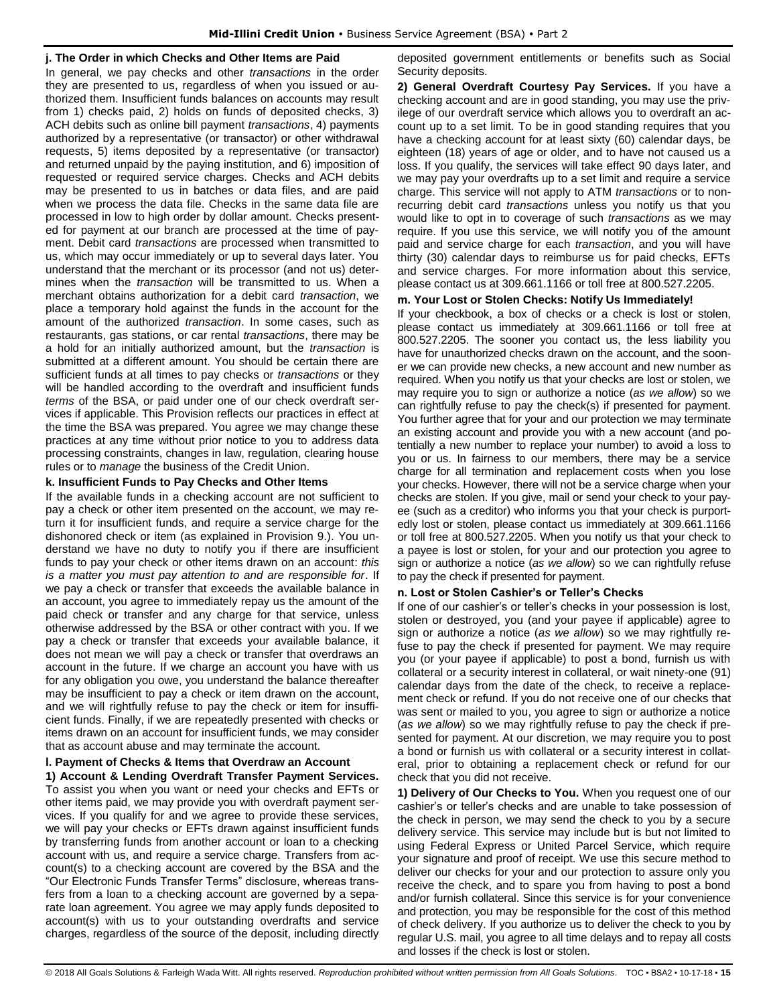#### **j. The Order in which Checks and Other Items are Paid**

In general, we pay checks and other *transactions* in the order they are presented to us, regardless of when you issued or authorized them. Insufficient funds balances on accounts may result from 1) checks paid, 2) holds on funds of deposited checks, 3) ACH debits such as online bill payment *transactions*, 4) payments authorized by a representative (or transactor) or other withdrawal requests, 5) items deposited by a representative (or transactor) and returned unpaid by the paying institution, and 6) imposition of requested or required service charges. Checks and ACH debits may be presented to us in batches or data files, and are paid when we process the data file. Checks in the same data file are processed in low to high order by dollar amount. Checks presented for payment at our branch are processed at the time of payment. Debit card *transactions* are processed when transmitted to us, which may occur immediately or up to several days later. You understand that the merchant or its processor (and not us) determines when the *transaction* will be transmitted to us. When a merchant obtains authorization for a debit card *transaction*, we place a temporary hold against the funds in the account for the amount of the authorized *transaction*. In some cases, such as restaurants, gas stations, or car rental *transactions*, there may be a hold for an initially authorized amount, but the *transaction* is submitted at a different amount. You should be certain there are sufficient funds at all times to pay checks or *transactions* or they will be handled according to the overdraft and insufficient funds *terms* of the BSA, or paid under one of our check overdraft services if applicable. This Provision reflects our practices in effect at the time the BSA was prepared. You agree we may change these practices at any time without prior notice to you to address data processing constraints, changes in law, regulation, clearing house rules or to *manage* the business of the Credit Union.

#### **k. Insufficient Funds to Pay Checks and Other Items**

If the available funds in a checking account are not sufficient to pay a check or other item presented on the account, we may return it for insufficient funds, and require a service charge for the dishonored check or item (as explained in Provision 9.). You understand we have no duty to notify you if there are insufficient funds to pay your check or other items drawn on an account: *this is a matter you must pay attention to and are responsible for*. If we pay a check or transfer that exceeds the available balance in an account, you agree to immediately repay us the amount of the paid check or transfer and any charge for that service, unless otherwise addressed by the BSA or other contract with you. If we pay a check or transfer that exceeds your available balance, it does not mean we will pay a check or transfer that overdraws an account in the future. If we charge an account you have with us for any obligation you owe, you understand the balance thereafter may be insufficient to pay a check or item drawn on the account, and we will rightfully refuse to pay the check or item for insufficient funds. Finally, if we are repeatedly presented with checks or items drawn on an account for insufficient funds, we may consider that as account abuse and may terminate the account.

#### **l. Payment of Checks & Items that Overdraw an Account 1) Account & Lending Overdraft Transfer Payment Services.**

To assist you when you want or need your checks and EFTs or other items paid, we may provide you with overdraft payment services. If you qualify for and we agree to provide these services, we will pay your checks or EFTs drawn against insufficient funds by transferring funds from another account or loan to a checking account with us, and require a service charge. Transfers from account(s) to a checking account are covered by the BSA and the "Our Electronic Funds Transfer Terms" disclosure, whereas transfers from a loan to a checking account are governed by a separate loan agreement. You agree we may apply funds deposited to account(s) with us to your outstanding overdrafts and service charges, regardless of the source of the deposit, including directly deposited government entitlements or benefits such as Social Security deposits.

**2) General Overdraft Courtesy Pay Services.** If you have a checking account and are in good standing, you may use the privilege of our overdraft service which allows you to overdraft an account up to a set limit. To be in good standing requires that you have a checking account for at least sixty (60) calendar days, be eighteen (18) years of age or older, and to have not caused us a loss. If you qualify, the services will take effect 90 days later, and we may pay your overdrafts up to a set limit and require a service charge. This service will not apply to ATM *transactions* or to nonrecurring debit card *transactions* unless you notify us that you would like to opt in to coverage of such *transactions* as we may require. If you use this service, we will notify you of the amount paid and service charge for each *transaction*, and you will have thirty (30) calendar days to reimburse us for paid checks, EFTs and service charges. For more information about this service, please contact us at 309.661.1166 or toll free at 800.527.2205.

#### **m. Your Lost or Stolen Checks: Notify Us Immediately!**

If your checkbook, a box of checks or a check is lost or stolen, please contact us immediately at 309.661.1166 or toll free at 800.527.2205. The sooner you contact us, the less liability you have for unauthorized checks drawn on the account, and the sooner we can provide new checks, a new account and new number as required. When you notify us that your checks are lost or stolen, we may require you to sign or authorize a notice (*as we allow*) so we can rightfully refuse to pay the check(s) if presented for payment. You further agree that for your and our protection we may terminate an existing account and provide you with a new account (and potentially a new number to replace your number) to avoid a loss to you or us. In fairness to our members, there may be a service charge for all termination and replacement costs when you lose your checks. However, there will not be a service charge when your checks are stolen. If you give, mail or send your check to your payee (such as a creditor) who informs you that your check is purportedly lost or stolen, please contact us immediately at 309.661.1166 or toll free at 800.527.2205. When you notify us that your check to a payee is lost or stolen, for your and our protection you agree to sign or authorize a notice (*as we allow*) so we can rightfully refuse to pay the check if presented for payment.

#### **n. Lost or Stolen Cashier's or Teller's Checks**

If one of our cashier's or teller's checks in your possession is lost, stolen or destroyed, you (and your payee if applicable) agree to sign or authorize a notice (*as we allow*) so we may rightfully refuse to pay the check if presented for payment. We may require you (or your payee if applicable) to post a bond, furnish us with collateral or a security interest in collateral, or wait ninety-one (91) calendar days from the date of the check, to receive a replacement check or refund. If you do not receive one of our checks that was sent or mailed to you, you agree to sign or authorize a notice (*as we allow*) so we may rightfully refuse to pay the check if presented for payment. At our discretion, we may require you to post a bond or furnish us with collateral or a security interest in collateral, prior to obtaining a replacement check or refund for our check that you did not receive.

**1) Delivery of Our Checks to You.** When you request one of our cashier's or teller's checks and are unable to take possession of the check in person, we may send the check to you by a secure delivery service. This service may include but is but not limited to using Federal Express or United Parcel Service, which require your signature and proof of receipt. We use this secure method to deliver our checks for your and our protection to assure only you receive the check, and to spare you from having to post a bond and/or furnish collateral. Since this service is for your convenience and protection, you may be responsible for the cost of this method of check delivery. If you authorize us to deliver the check to you by regular U.S. mail, you agree to all time delays and to repay all costs and losses if the check is lost or stolen.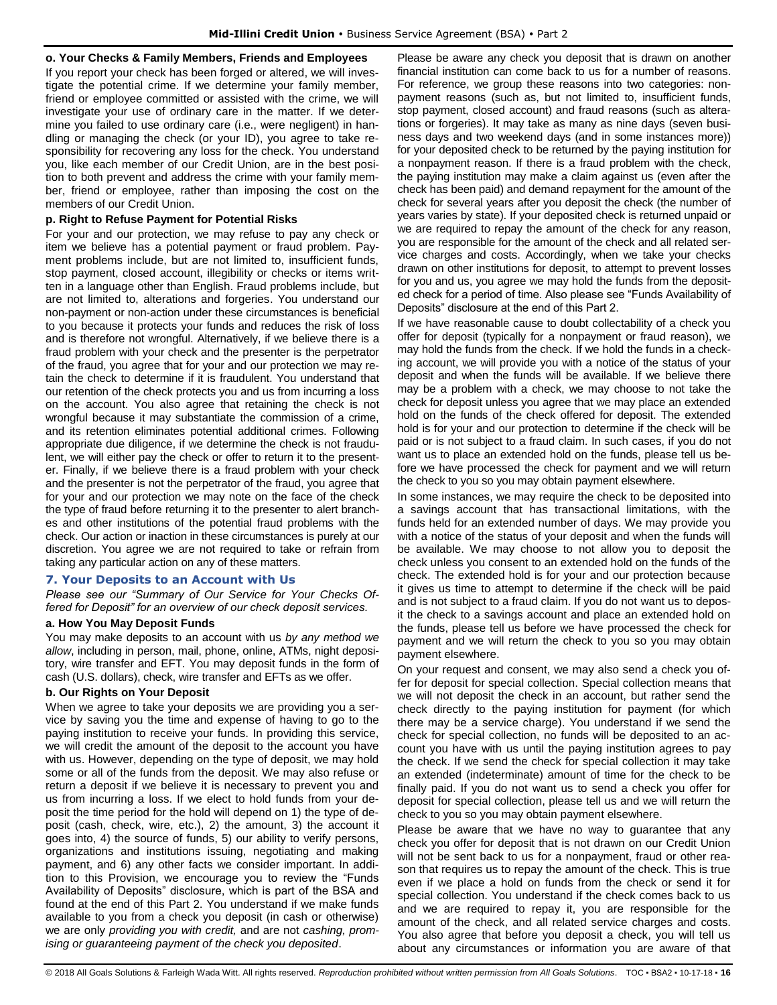#### **o. Your Checks & Family Members, Friends and Employees**

If you report your check has been forged or altered, we will investigate the potential crime. If we determine your family member, friend or employee committed or assisted with the crime, we will investigate your use of ordinary care in the matter. If we determine you failed to use ordinary care (i.e., were negligent) in handling or managing the check (or your ID), you agree to take responsibility for recovering any loss for the check. You understand you, like each member of our Credit Union, are in the best position to both prevent and address the crime with your family member, friend or employee, rather than imposing the cost on the members of our Credit Union.

#### **p. Right to Refuse Payment for Potential Risks**

For your and our protection, we may refuse to pay any check or item we believe has a potential payment or fraud problem. Payment problems include, but are not limited to, insufficient funds, stop payment, closed account, illegibility or checks or items written in a language other than English. Fraud problems include, but are not limited to, alterations and forgeries. You understand our non-payment or non-action under these circumstances is beneficial to you because it protects your funds and reduces the risk of loss and is therefore not wrongful. Alternatively, if we believe there is a fraud problem with your check and the presenter is the perpetrator of the fraud, you agree that for your and our protection we may retain the check to determine if it is fraudulent. You understand that our retention of the check protects you and us from incurring a loss on the account. You also agree that retaining the check is not wrongful because it may substantiate the commission of a crime, and its retention eliminates potential additional crimes. Following appropriate due diligence, if we determine the check is not fraudulent, we will either pay the check or offer to return it to the presenter. Finally, if we believe there is a fraud problem with your check and the presenter is not the perpetrator of the fraud, you agree that for your and our protection we may note on the face of the check the type of fraud before returning it to the presenter to alert branches and other institutions of the potential fraud problems with the check. Our action or inaction in these circumstances is purely at our discretion. You agree we are not required to take or refrain from taking any particular action on any of these matters.

#### <span id="page-16-0"></span>**7. Your Deposits to an Account with Us**

*Please see our "Summary of Our Service for Your Checks Offered for Deposit" for an overview of our check deposit services.*

#### **a. How You May Deposit Funds**

You may make deposits to an account with us *by any method we allow*, including in person, mail, phone, online, ATMs, night depository, wire transfer and EFT. You may deposit funds in the form of cash (U.S. dollars), check, wire transfer and EFTs as we offer.

#### **b. Our Rights on Your Deposit**

When we agree to take your deposits we are providing you a service by saving you the time and expense of having to go to the paying institution to receive your funds. In providing this service, we will credit the amount of the deposit to the account you have with us. However, depending on the type of deposit, we may hold some or all of the funds from the deposit. We may also refuse or return a deposit if we believe it is necessary to prevent you and us from incurring a loss. If we elect to hold funds from your deposit the time period for the hold will depend on 1) the type of deposit (cash, check, wire, etc.), 2) the amount, 3) the account it goes into, 4) the source of funds, 5) our ability to verify persons, organizations and institutions issuing, negotiating and making payment, and 6) any other facts we consider important. In addition to this Provision, we encourage you to review the "Funds Availability of Deposits" disclosure, which is part of the BSA and found at the end of this Part 2. You understand if we make funds available to you from a check you deposit (in cash or otherwise) we are only *providing you with credit,* and are not *cashing, promising or guaranteeing payment of the check you deposited*.

Please be aware any check you deposit that is drawn on another financial institution can come back to us for a number of reasons. For reference, we group these reasons into two categories: nonpayment reasons (such as, but not limited to, insufficient funds, stop payment, closed account) and fraud reasons (such as alterations or forgeries). It may take as many as nine days (seven business days and two weekend days (and in some instances more)) for your deposited check to be returned by the paying institution for a nonpayment reason. If there is a fraud problem with the check, the paying institution may make a claim against us (even after the check has been paid) and demand repayment for the amount of the check for several years after you deposit the check (the number of years varies by state). If your deposited check is returned unpaid or we are required to repay the amount of the check for any reason, you are responsible for the amount of the check and all related service charges and costs. Accordingly, when we take your checks drawn on other institutions for deposit, to attempt to prevent losses for you and us, you agree we may hold the funds from the deposited check for a period of time. Also please see "Funds Availability of Deposits" disclosure at the end of this Part 2.

If we have reasonable cause to doubt collectability of a check you offer for deposit (typically for a nonpayment or fraud reason), we may hold the funds from the check. If we hold the funds in a checking account, we will provide you with a notice of the status of your deposit and when the funds will be available. If we believe there may be a problem with a check, we may choose to not take the check for deposit unless you agree that we may place an extended hold on the funds of the check offered for deposit. The extended hold is for your and our protection to determine if the check will be paid or is not subject to a fraud claim. In such cases, if you do not want us to place an extended hold on the funds, please tell us before we have processed the check for payment and we will return the check to you so you may obtain payment elsewhere.

In some instances, we may require the check to be deposited into a savings account that has transactional limitations, with the funds held for an extended number of days. We may provide you with a notice of the status of your deposit and when the funds will be available. We may choose to not allow you to deposit the check unless you consent to an extended hold on the funds of the check. The extended hold is for your and our protection because it gives us time to attempt to determine if the check will be paid and is not subject to a fraud claim. If you do not want us to deposit the check to a savings account and place an extended hold on the funds, please tell us before we have processed the check for payment and we will return the check to you so you may obtain payment elsewhere.

On your request and consent, we may also send a check you offer for deposit for special collection. Special collection means that we will not deposit the check in an account, but rather send the check directly to the paying institution for payment (for which there may be a service charge). You understand if we send the check for special collection, no funds will be deposited to an account you have with us until the paying institution agrees to pay the check. If we send the check for special collection it may take an extended (indeterminate) amount of time for the check to be finally paid. If you do not want us to send a check you offer for deposit for special collection, please tell us and we will return the check to you so you may obtain payment elsewhere.

Please be aware that we have no way to guarantee that any check you offer for deposit that is not drawn on our Credit Union will not be sent back to us for a nonpayment, fraud or other reason that requires us to repay the amount of the check. This is true even if we place a hold on funds from the check or send it for special collection. You understand if the check comes back to us and we are required to repay it, you are responsible for the amount of the check, and all related service charges and costs. You also agree that before you deposit a check, you will tell us about any circumstances or information you are aware of that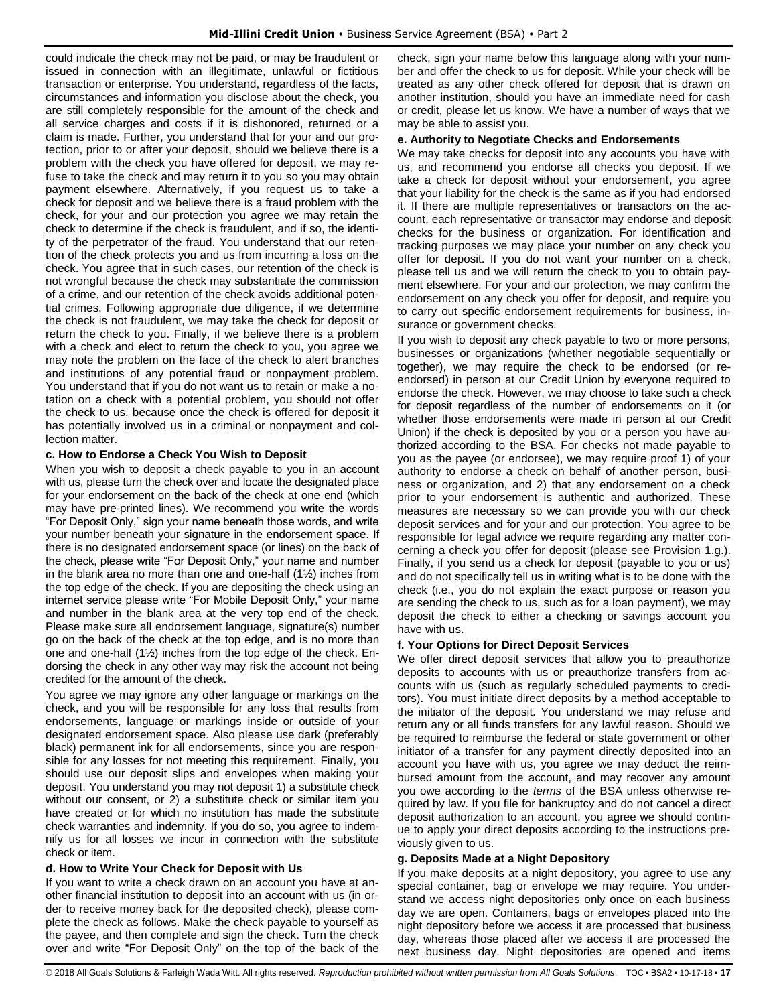could indicate the check may not be paid, or may be fraudulent or issued in connection with an illegitimate, unlawful or fictitious transaction or enterprise. You understand, regardless of the facts, circumstances and information you disclose about the check, you are still completely responsible for the amount of the check and all service charges and costs if it is dishonored, returned or a claim is made. Further, you understand that for your and our protection, prior to or after your deposit, should we believe there is a problem with the check you have offered for deposit, we may refuse to take the check and may return it to you so you may obtain payment elsewhere. Alternatively, if you request us to take a check for deposit and we believe there is a fraud problem with the check, for your and our protection you agree we may retain the check to determine if the check is fraudulent, and if so, the identity of the perpetrator of the fraud. You understand that our retention of the check protects you and us from incurring a loss on the check. You agree that in such cases, our retention of the check is not wrongful because the check may substantiate the commission of a crime, and our retention of the check avoids additional potential crimes. Following appropriate due diligence, if we determine the check is not fraudulent, we may take the check for deposit or return the check to you. Finally, if we believe there is a problem with a check and elect to return the check to you, you agree we may note the problem on the face of the check to alert branches and institutions of any potential fraud or nonpayment problem. You understand that if you do not want us to retain or make a notation on a check with a potential problem, you should not offer the check to us, because once the check is offered for deposit it has potentially involved us in a criminal or nonpayment and collection matter.

## **c. How to Endorse a Check You Wish to Deposit**

When you wish to deposit a check payable to you in an account with us, please turn the check over and locate the designated place for your endorsement on the back of the check at one end (which may have pre-printed lines). We recommend you write the words "For Deposit Only," sign your name beneath those words, and write your number beneath your signature in the endorsement space. If there is no designated endorsement space (or lines) on the back of the check, please write "For Deposit Only," your name and number in the blank area no more than one and one-half (1½) inches from the top edge of the check. If you are depositing the check using an internet service please write "For Mobile Deposit Only," your name and number in the blank area at the very top end of the check. Please make sure all endorsement language, signature(s) number go on the back of the check at the top edge, and is no more than one and one-half (1½) inches from the top edge of the check. Endorsing the check in any other way may risk the account not being credited for the amount of the check.

You agree we may ignore any other language or markings on the check, and you will be responsible for any loss that results from endorsements, language or markings inside or outside of your designated endorsement space. Also please use dark (preferably black) permanent ink for all endorsements, since you are responsible for any losses for not meeting this requirement. Finally, you should use our deposit slips and envelopes when making your deposit. You understand you may not deposit 1) a substitute check without our consent, or 2) a substitute check or similar item you have created or for which no institution has made the substitute check warranties and indemnity. If you do so, you agree to indemnify us for all losses we incur in connection with the substitute check or item.

## **d. How to Write Your Check for Deposit with Us**

If you want to write a check drawn on an account you have at another financial institution to deposit into an account with us (in order to receive money back for the deposited check), please complete the check as follows. Make the check payable to yourself as the payee, and then complete and sign the check. Turn the check over and write "For Deposit Only" on the top of the back of the check, sign your name below this language along with your number and offer the check to us for deposit. While your check will be treated as any other check offered for deposit that is drawn on another institution, should you have an immediate need for cash or credit, please let us know. We have a number of ways that we may be able to assist you.

#### **e. Authority to Negotiate Checks and Endorsements**

We may take checks for deposit into any accounts you have with us, and recommend you endorse all checks you deposit. If we take a check for deposit without your endorsement, you agree that your liability for the check is the same as if you had endorsed it. If there are multiple representatives or transactors on the account, each representative or transactor may endorse and deposit checks for the business or organization. For identification and tracking purposes we may place your number on any check you offer for deposit. If you do not want your number on a check, please tell us and we will return the check to you to obtain payment elsewhere. For your and our protection, we may confirm the endorsement on any check you offer for deposit, and require you to carry out specific endorsement requirements for business, insurance or government checks.

If you wish to deposit any check payable to two or more persons, businesses or organizations (whether negotiable sequentially or together), we may require the check to be endorsed (or reendorsed) in person at our Credit Union by everyone required to endorse the check. However, we may choose to take such a check for deposit regardless of the number of endorsements on it (or whether those endorsements were made in person at our Credit Union) if the check is deposited by you or a person you have authorized according to the BSA. For checks not made payable to you as the payee (or endorsee), we may require proof 1) of your authority to endorse a check on behalf of another person, business or organization, and 2) that any endorsement on a check prior to your endorsement is authentic and authorized. These measures are necessary so we can provide you with our check deposit services and for your and our protection. You agree to be responsible for legal advice we require regarding any matter concerning a check you offer for deposit (please see Provision 1.g.). Finally, if you send us a check for deposit (payable to you or us) and do not specifically tell us in writing what is to be done with the check (i.e., you do not explain the exact purpose or reason you are sending the check to us, such as for a loan payment), we may deposit the check to either a checking or savings account you have with us.

## **f. Your Options for Direct Deposit Services**

We offer direct deposit services that allow you to preauthorize deposits to accounts with us or preauthorize transfers from accounts with us (such as regularly scheduled payments to creditors). You must initiate direct deposits by a method acceptable to the initiator of the deposit. You understand we may refuse and return any or all funds transfers for any lawful reason. Should we be required to reimburse the federal or state government or other initiator of a transfer for any payment directly deposited into an account you have with us, you agree we may deduct the reimbursed amount from the account, and may recover any amount you owe according to the *terms* of the BSA unless otherwise required by law. If you file for bankruptcy and do not cancel a direct deposit authorization to an account, you agree we should continue to apply your direct deposits according to the instructions previously given to us.

## **g. Deposits Made at a Night Depository**

If you make deposits at a night depository, you agree to use any special container, bag or envelope we may require. You understand we access night depositories only once on each business day we are open. Containers, bags or envelopes placed into the night depository before we access it are processed that business day, whereas those placed after we access it are processed the next business day. Night depositories are opened and items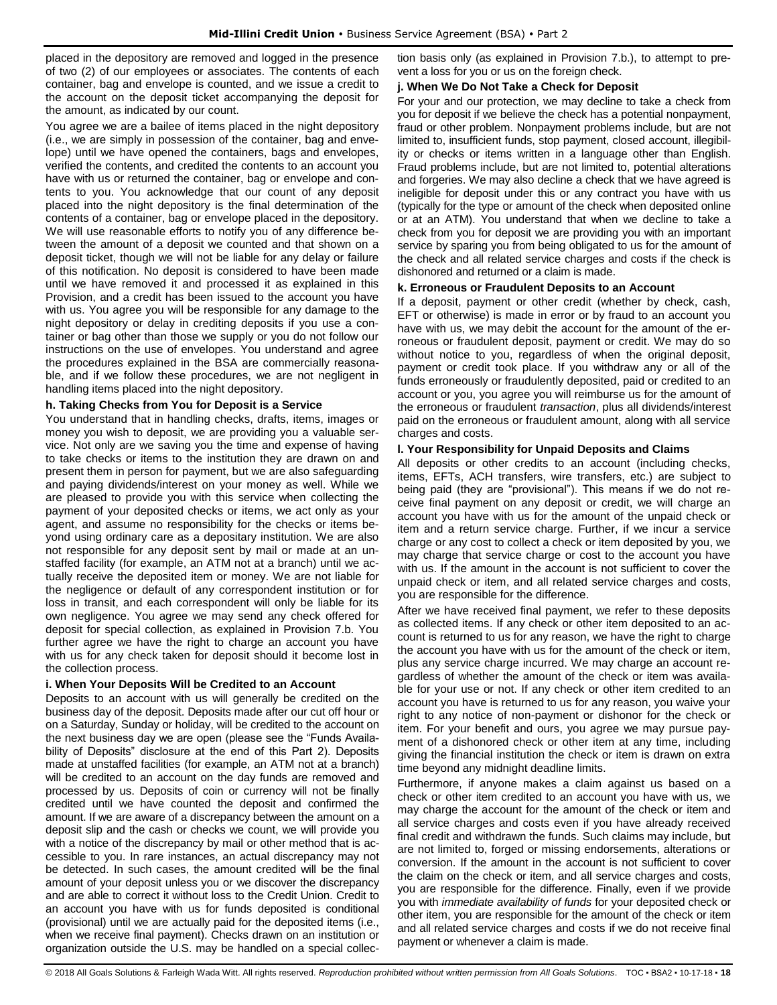placed in the depository are removed and logged in the presence of two (2) of our employees or associates. The contents of each container, bag and envelope is counted, and we issue a credit to the account on the deposit ticket accompanying the deposit for the amount, as indicated by our count.

You agree we are a bailee of items placed in the night depository (i.e., we are simply in possession of the container, bag and envelope) until we have opened the containers, bags and envelopes, verified the contents, and credited the contents to an account you have with us or returned the container, bag or envelope and contents to you. You acknowledge that our count of any deposit placed into the night depository is the final determination of the contents of a container, bag or envelope placed in the depository. We will use reasonable efforts to notify you of any difference between the amount of a deposit we counted and that shown on a deposit ticket, though we will not be liable for any delay or failure of this notification. No deposit is considered to have been made until we have removed it and processed it as explained in this Provision, and a credit has been issued to the account you have with us. You agree you will be responsible for any damage to the night depository or delay in crediting deposits if you use a container or bag other than those we supply or you do not follow our instructions on the use of envelopes. You understand and agree the procedures explained in the BSA are commercially reasonable, and if we follow these procedures, we are not negligent in handling items placed into the night depository.

## **h. Taking Checks from You for Deposit is a Service**

You understand that in handling checks, drafts, items, images or money you wish to deposit, we are providing you a valuable service. Not only are we saving you the time and expense of having to take checks or items to the institution they are drawn on and present them in person for payment, but we are also safeguarding and paying dividends/interest on your money as well. While we are pleased to provide you with this service when collecting the payment of your deposited checks or items, we act only as your agent, and assume no responsibility for the checks or items beyond using ordinary care as a depositary institution. We are also not responsible for any deposit sent by mail or made at an unstaffed facility (for example, an ATM not at a branch) until we actually receive the deposited item or money. We are not liable for the negligence or default of any correspondent institution or for loss in transit, and each correspondent will only be liable for its own negligence. You agree we may send any check offered for deposit for special collection, as explained in Provision 7.b. You further agree we have the right to charge an account you have with us for any check taken for deposit should it become lost in the collection process.

## **i. When Your Deposits Will be Credited to an Account**

Deposits to an account with us will generally be credited on the business day of the deposit. Deposits made after our cut off hour or on a Saturday, Sunday or holiday, will be credited to the account on the next business day we are open (please see the "Funds Availability of Deposits" disclosure at the end of this Part 2). Deposits made at unstaffed facilities (for example, an ATM not at a branch) will be credited to an account on the day funds are removed and processed by us. Deposits of coin or currency will not be finally credited until we have counted the deposit and confirmed the amount. If we are aware of a discrepancy between the amount on a deposit slip and the cash or checks we count, we will provide you with a notice of the discrepancy by mail or other method that is accessible to you. In rare instances, an actual discrepancy may not be detected. In such cases, the amount credited will be the final amount of your deposit unless you or we discover the discrepancy and are able to correct it without loss to the Credit Union. Credit to an account you have with us for funds deposited is conditional (provisional) until we are actually paid for the deposited items (i.e., when we receive final payment). Checks drawn on an institution or organization outside the U.S. may be handled on a special collection basis only (as explained in Provision 7.b.), to attempt to prevent a loss for you or us on the foreign check.

#### **j. When We Do Not Take a Check for Deposit**

For your and our protection, we may decline to take a check from you for deposit if we believe the check has a potential nonpayment, fraud or other problem. Nonpayment problems include, but are not limited to, insufficient funds, stop payment, closed account, illegibility or checks or items written in a language other than English. Fraud problems include, but are not limited to, potential alterations and forgeries. We may also decline a check that we have agreed is ineligible for deposit under this or any contract you have with us (typically for the type or amount of the check when deposited online or at an ATM). You understand that when we decline to take a check from you for deposit we are providing you with an important service by sparing you from being obligated to us for the amount of the check and all related service charges and costs if the check is dishonored and returned or a claim is made.

#### **k. Erroneous or Fraudulent Deposits to an Account**

If a deposit, payment or other credit (whether by check, cash, EFT or otherwise) is made in error or by fraud to an account you have with us, we may debit the account for the amount of the erroneous or fraudulent deposit, payment or credit. We may do so without notice to you, regardless of when the original deposit, payment or credit took place. If you withdraw any or all of the funds erroneously or fraudulently deposited, paid or credited to an account or you, you agree you will reimburse us for the amount of the erroneous or fraudulent *transaction*, plus all dividends/interest paid on the erroneous or fraudulent amount, along with all service charges and costs.

## **l. Your Responsibility for Unpaid Deposits and Claims**

All deposits or other credits to an account (including checks, items, EFTs, ACH transfers, wire transfers, etc.) are subject to being paid (they are "provisional"). This means if we do not receive final payment on any deposit or credit, we will charge an account you have with us for the amount of the unpaid check or item and a return service charge. Further, if we incur a service charge or any cost to collect a check or item deposited by you, we may charge that service charge or cost to the account you have with us. If the amount in the account is not sufficient to cover the unpaid check or item, and all related service charges and costs, you are responsible for the difference.

After we have received final payment, we refer to these deposits as collected items. If any check or other item deposited to an account is returned to us for any reason, we have the right to charge the account you have with us for the amount of the check or item, plus any service charge incurred. We may charge an account regardless of whether the amount of the check or item was available for your use or not. If any check or other item credited to an account you have is returned to us for any reason, you waive your right to any notice of non-payment or dishonor for the check or item. For your benefit and ours, you agree we may pursue payment of a dishonored check or other item at any time, including giving the financial institution the check or item is drawn on extra time beyond any midnight deadline limits.

Furthermore, if anyone makes a claim against us based on a check or other item credited to an account you have with us, we may charge the account for the amount of the check or item and all service charges and costs even if you have already received final credit and withdrawn the funds. Such claims may include, but are not limited to, forged or missing endorsements, alterations or conversion. If the amount in the account is not sufficient to cover the claim on the check or item, and all service charges and costs, you are responsible for the difference. Finally, even if we provide you with *immediate availability of funds* for your deposited check or other item, you are responsible for the amount of the check or item and all related service charges and costs if we do not receive final payment or whenever a claim is made.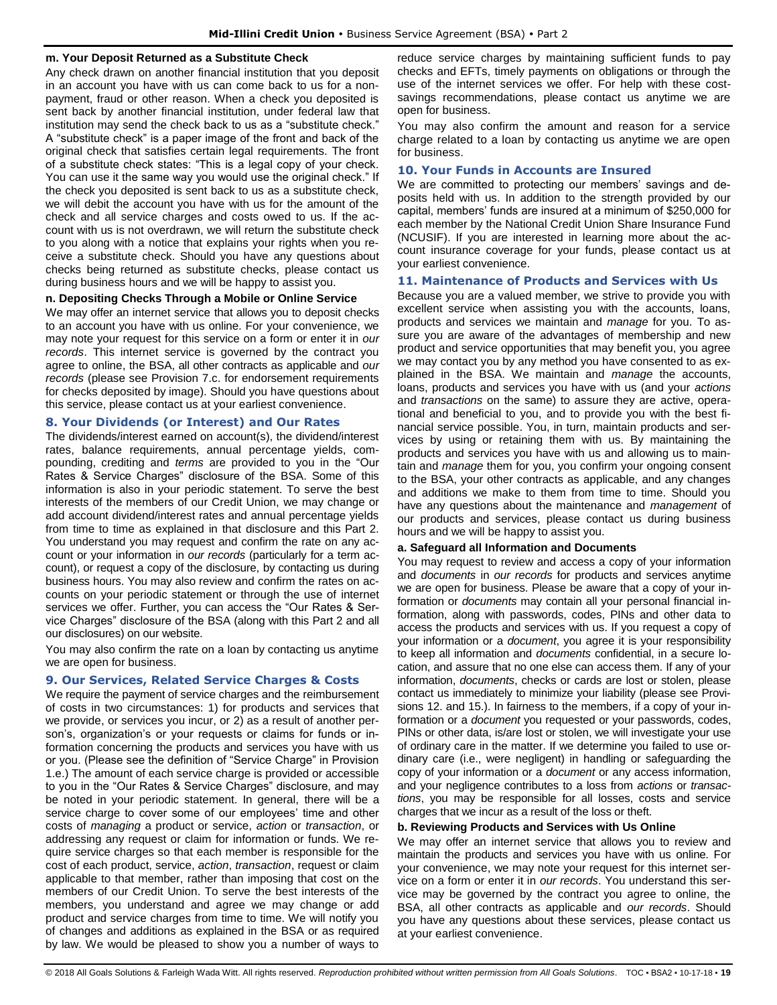#### **m. Your Deposit Returned as a Substitute Check**

Any check drawn on another financial institution that you deposit in an account you have with us can come back to us for a nonpayment, fraud or other reason. When a check you deposited is sent back by another financial institution, under federal law that institution may send the check back to us as a "substitute check." A "substitute check" is a paper image of the front and back of the original check that satisfies certain legal requirements. The front of a substitute check states: "This is a legal copy of your check. You can use it the same way you would use the original check." If the check you deposited is sent back to us as a substitute check, we will debit the account you have with us for the amount of the check and all service charges and costs owed to us. If the account with us is not overdrawn, we will return the substitute check to you along with a notice that explains your rights when you receive a substitute check. Should you have any questions about checks being returned as substitute checks, please contact us during business hours and we will be happy to assist you.

#### **n. Depositing Checks Through a Mobile or Online Service**

We may offer an internet service that allows you to deposit checks to an account you have with us online. For your convenience, we may note your request for this service on a form or enter it in *our records*. This internet service is governed by the contract you agree to online, the BSA, all other contracts as applicable and *our records* (please see Provision 7.c. for endorsement requirements for checks deposited by image). Should you have questions about this service, please contact us at your earliest convenience.

## <span id="page-19-0"></span>**8. Your Dividends (or Interest) and Our Rates**

The dividends/interest earned on account(s), the dividend/interest rates, balance requirements, annual percentage yields, compounding, crediting and *terms* are provided to you in the "Our Rates & Service Charges" disclosure of the BSA. Some of this information is also in your periodic statement. To serve the best interests of the members of our Credit Union, we may change or add account dividend/interest rates and annual percentage yields from time to time as explained in that disclosure and this Part 2. You understand you may request and confirm the rate on any account or your information in *our records* (particularly for a term account), or request a copy of the disclosure, by contacting us during business hours. You may also review and confirm the rates on accounts on your periodic statement or through the use of internet services we offer. Further, you can access the "Our Rates & Service Charges" disclosure of the BSA (along with this Part 2 and all our disclosures) on our website.

You may also confirm the rate on a loan by contacting us anytime we are open for business.

## <span id="page-19-1"></span>**9. Our Services, Related Service Charges & Costs**

We require the payment of service charges and the reimbursement of costs in two circumstances: 1) for products and services that we provide, or services you incur, or 2) as a result of another person's, organization's or your requests or claims for funds or information concerning the products and services you have with us or you. (Please see the definition of "Service Charge" in Provision 1.e.) The amount of each service charge is provided or accessible to you in the "Our Rates & Service Charges" disclosure, and may be noted in your periodic statement. In general, there will be a service charge to cover some of our employees' time and other costs of *managing* a product or service, *action* or *transaction*, or addressing any request or claim for information or funds. We require service charges so that each member is responsible for the cost of each product, service, *action*, *transaction*, request or claim applicable to that member, rather than imposing that cost on the members of our Credit Union. To serve the best interests of the members, you understand and agree we may change or add product and service charges from time to time. We will notify you of changes and additions as explained in the BSA or as required by law. We would be pleased to show you a number of ways to

reduce service charges by maintaining sufficient funds to pay checks and EFTs, timely payments on obligations or through the use of the internet services we offer. For help with these costsavings recommendations, please contact us anytime we are open for business.

You may also confirm the amount and reason for a service charge related to a loan by contacting us anytime we are open for business.

#### <span id="page-19-2"></span>**10. Your Funds in Accounts are Insured**

We are committed to protecting our members' savings and deposits held with us. In addition to the strength provided by our capital, members' funds are insured at a minimum of \$250,000 for each member by the National Credit Union Share Insurance Fund (NCUSIF). If you are interested in learning more about the account insurance coverage for your funds, please contact us at your earliest convenience.

#### <span id="page-19-3"></span>**11. Maintenance of Products and Services with Us**

Because you are a valued member, we strive to provide you with excellent service when assisting you with the accounts, loans, products and services we maintain and *manage* for you. To assure you are aware of the advantages of membership and new product and service opportunities that may benefit you, you agree we may contact you by any method you have consented to as explained in the BSA. We maintain and *manage* the accounts, loans, products and services you have with us (and your *actions* and *transactions* on the same) to assure they are active, operational and beneficial to you, and to provide you with the best financial service possible. You, in turn, maintain products and services by using or retaining them with us. By maintaining the products and services you have with us and allowing us to maintain and *manage* them for you, you confirm your ongoing consent to the BSA, your other contracts as applicable, and any changes and additions we make to them from time to time. Should you have any questions about the maintenance and *management* of our products and services, please contact us during business hours and we will be happy to assist you.

#### **a. Safeguard all Information and Documents**

You may request to review and access a copy of your information and *documents* in *our records* for products and services anytime we are open for business. Please be aware that a copy of your information or *documents* may contain all your personal financial information, along with passwords, codes, PINs and other data to access the products and services with us. If you request a copy of your information or a *document*, you agree it is your responsibility to keep all information and *documents* confidential, in a secure location, and assure that no one else can access them. If any of your information, *documents*, checks or cards are lost or stolen, please contact us immediately to minimize your liability (please see Provisions 12. and 15.). In fairness to the members, if a copy of your information or a *document* you requested or your passwords, codes, PINs or other data, is/are lost or stolen, we will investigate your use of ordinary care in the matter. If we determine you failed to use ordinary care (i.e., were negligent) in handling or safeguarding the copy of your information or a *document* or any access information, and your negligence contributes to a loss from *actions* or *transactions*, you may be responsible for all losses, costs and service charges that we incur as a result of the loss or theft.

## **b. Reviewing Products and Services with Us Online**

We may offer an internet service that allows you to review and maintain the products and services you have with us online. For your convenience, we may note your request for this internet service on a form or enter it in *our records*. You understand this service may be governed by the contract you agree to online, the BSA, all other contracts as applicable and *our records*. Should you have any questions about these services, please contact us at your earliest convenience.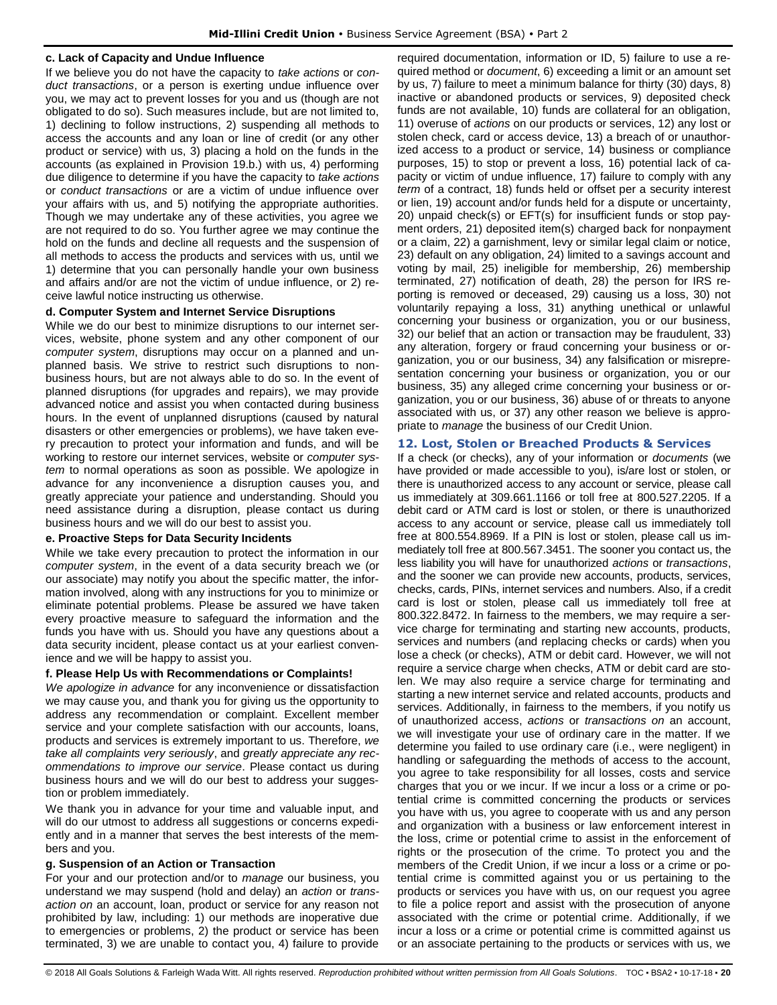#### **c. Lack of Capacity and Undue Influence**

If we believe you do not have the capacity to *take actions* or *conduct transactions*, or a person is exerting undue influence over you, we may act to prevent losses for you and us (though are not obligated to do so). Such measures include, but are not limited to, 1) declining to follow instructions, 2) suspending all methods to access the accounts and any loan or line of credit (or any other product or service) with us, 3) placing a hold on the funds in the accounts (as explained in Provision 19.b.) with us, 4) performing due diligence to determine if you have the capacity to *take actions* or *conduct transactions* or are a victim of undue influence over your affairs with us, and 5) notifying the appropriate authorities. Though we may undertake any of these activities, you agree we are not required to do so. You further agree we may continue the hold on the funds and decline all requests and the suspension of all methods to access the products and services with us, until we 1) determine that you can personally handle your own business and affairs and/or are not the victim of undue influence, or 2) receive lawful notice instructing us otherwise.

#### **d. Computer System and Internet Service Disruptions**

While we do our best to minimize disruptions to our internet services, website, phone system and any other component of our *computer system*, disruptions may occur on a planned and unplanned basis. We strive to restrict such disruptions to nonbusiness hours, but are not always able to do so. In the event of planned disruptions (for upgrades and repairs), we may provide advanced notice and assist you when contacted during business hours. In the event of unplanned disruptions (caused by natural disasters or other emergencies or problems), we have taken every precaution to protect your information and funds, and will be working to restore our internet services, website or *computer system* to normal operations as soon as possible. We apologize in advance for any inconvenience a disruption causes you, and greatly appreciate your patience and understanding. Should you need assistance during a disruption, please contact us during business hours and we will do our best to assist you.

#### **e. Proactive Steps for Data Security Incidents**

While we take every precaution to protect the information in our *computer system*, in the event of a data security breach we (or our associate) may notify you about the specific matter, the information involved, along with any instructions for you to minimize or eliminate potential problems. Please be assured we have taken every proactive measure to safeguard the information and the funds you have with us. Should you have any questions about a data security incident, please contact us at your earliest convenience and we will be happy to assist you.

## **f. Please Help Us with Recommendations or Complaints!**

*We apologize in advance* for any inconvenience or dissatisfaction we may cause you, and thank you for giving us the opportunity to address any recommendation or complaint. Excellent member service and your complete satisfaction with our accounts, loans, products and services is extremely important to us. Therefore, *we take all complaints very seriously*, and *greatly appreciate any recommendations to improve our service*. Please contact us during business hours and we will do our best to address your suggestion or problem immediately.

We thank you in advance for your time and valuable input, and will do our utmost to address all suggestions or concerns expediently and in a manner that serves the best interests of the members and you.

#### **g. Suspension of an Action or Transaction**

For your and our protection and/or to *manage* our business, you understand we may suspend (hold and delay) an *action* or *transaction on* an account, loan, product or service for any reason not prohibited by law, including: 1) our methods are inoperative due to emergencies or problems, 2) the product or service has been terminated, 3) we are unable to contact you, 4) failure to provide required documentation, information or ID, 5) failure to use a required method or *document*, 6) exceeding a limit or an amount set by us, 7) failure to meet a minimum balance for thirty (30) days, 8) inactive or abandoned products or services, 9) deposited check funds are not available, 10) funds are collateral for an obligation, 11) overuse of *actions* on our products or services, 12) any lost or stolen check, card or access device, 13) a breach of or unauthorized access to a product or service, 14) business or compliance purposes, 15) to stop or prevent a loss, 16) potential lack of capacity or victim of undue influence, 17) failure to comply with any *term* of a contract, 18) funds held or offset per a security interest or lien, 19) account and/or funds held for a dispute or uncertainty, 20) unpaid check(s) or EFT(s) for insufficient funds or stop payment orders, 21) deposited item(s) charged back for nonpayment or a claim, 22) a garnishment, levy or similar legal claim or notice, 23) default on any obligation, 24) limited to a savings account and voting by mail, 25) ineligible for membership, 26) membership terminated, 27) notification of death, 28) the person for IRS reporting is removed or deceased, 29) causing us a loss, 30) not voluntarily repaying a loss, 31) anything unethical or unlawful concerning your business or organization, you or our business, 32) our belief that an action or transaction may be fraudulent, 33) any alteration, forgery or fraud concerning your business or organization, you or our business, 34) any falsification or misrepresentation concerning your business or organization, you or our business, 35) any alleged crime concerning your business or organization, you or our business, 36) abuse of or threats to anyone associated with us, or 37) any other reason we believe is appropriate to *manage* the business of our Credit Union.

## <span id="page-20-0"></span>**12. Lost, Stolen or Breached Products & Services**

If a check (or checks), any of your information or *documents* (we have provided or made accessible to you), is/are lost or stolen, or there is unauthorized access to any account or service, please call us immediately at 309.661.1166 or toll free at 800.527.2205. If a debit card or ATM card is lost or stolen, or there is unauthorized access to any account or service, please call us immediately toll free at 800.554.8969. If a PIN is lost or stolen, please call us immediately toll free at 800.567.3451. The sooner you contact us, the less liability you will have for unauthorized *actions* or *transactions*, and the sooner we can provide new accounts, products, services, checks, cards, PINs, internet services and numbers. Also, if a credit card is lost or stolen, please call us immediately toll free at 800.322.8472. In fairness to the members, we may require a service charge for terminating and starting new accounts, products, services and numbers (and replacing checks or cards) when you lose a check (or checks), ATM or debit card. However, we will not require a service charge when checks, ATM or debit card are stolen. We may also require a service charge for terminating and starting a new internet service and related accounts, products and services. Additionally, in fairness to the members, if you notify us of unauthorized access, *actions* or *transactions on* an account, we will investigate your use of ordinary care in the matter. If we determine you failed to use ordinary care (i.e., were negligent) in handling or safeguarding the methods of access to the account, you agree to take responsibility for all losses, costs and service charges that you or we incur. If we incur a loss or a crime or potential crime is committed concerning the products or services you have with us, you agree to cooperate with us and any person and organization with a business or law enforcement interest in the loss, crime or potential crime to assist in the enforcement of rights or the prosecution of the crime. To protect you and the members of the Credit Union, if we incur a loss or a crime or potential crime is committed against you or us pertaining to the products or services you have with us, on our request you agree to file a police report and assist with the prosecution of anyone associated with the crime or potential crime. Additionally, if we incur a loss or a crime or potential crime is committed against us or an associate pertaining to the products or services with us, we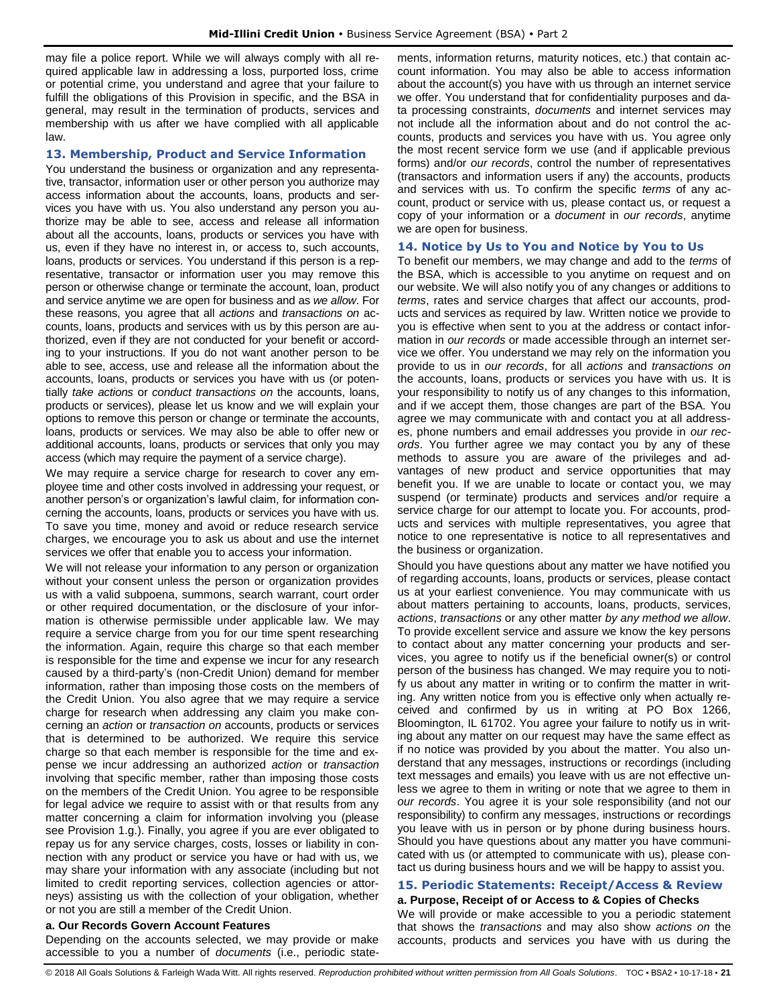may file a police report. While we will always comply with all required applicable law in addressing a loss, purported loss, crime or potential crime, you understand and agree that your failure to fulfill the obligations of this Provision in specific, and the BSA in general, may result in the termination of products, services and membership with us after we have complied with all applicable law.

#### <span id="page-21-0"></span>**13. Membership, Product and Service Information**

You understand the business or organization and any representative, transactor, information user or other person you authorize may access information about the accounts, loans, products and services you have with us. You also understand any person you authorize may be able to see, access and release all information about all the accounts, loans, products or services you have with us, even if they have no interest in, or access to, such accounts, loans, products or services. You understand if this person is a representative, transactor or information user you may remove this person or otherwise change or terminate the account, loan, product and service anytime we are open for business and as *we allow*. For these reasons, you agree that all *actions* and *transactions on* accounts, loans, products and services with us by this person are authorized, even if they are not conducted for your benefit or according to your instructions. If you do not want another person to be able to see, access, use and release all the information about the accounts, loans, products or services you have with us (or potentially *take actions* or *conduct transactions on* the accounts, loans, products or services), please let us know and we will explain your options to remove this person or change or terminate the accounts, loans, products or services. We may also be able to offer new or additional accounts, loans, products or services that only you may access (which may require the payment of a service charge).

We may require a service charge for research to cover any employee time and other costs involved in addressing your request, or another person's or organization's lawful claim, for information concerning the accounts, loans, products or services you have with us. To save you time, money and avoid or reduce research service charges, we encourage you to ask us about and use the internet services we offer that enable you to access your information.

We will not release your information to any person or organization without your consent unless the person or organization provides us with a valid subpoena, summons, search warrant, court order or other required documentation, or the disclosure of your information is otherwise permissible under applicable law. We may require a service charge from you for our time spent researching the information. Again, require this charge so that each member is responsible for the time and expense we incur for any research caused by a third-party's (non-Credit Union) demand for member information, rather than imposing those costs on the members of the Credit Union. You also agree that we may require a service charge for research when addressing any claim you make concerning an *action* or *transaction on* accounts, products or services that is determined to be authorized. We require this service charge so that each member is responsible for the time and expense we incur addressing an authorized *action* or *transaction* involving that specific member, rather than imposing those costs on the members of the Credit Union. You agree to be responsible for legal advice we require to assist with or that results from any matter concerning a claim for information involving you (please see Provision 1.g.). Finally, you agree if you are ever obligated to repay us for any service charges, costs, losses or liability in connection with any product or service you have or had with us, we may share your information with any associate (including but not limited to credit reporting services, collection agencies or attorneys) assisting us with the collection of your obligation, whether or not you are still a member of the Credit Union.

## **a. Our Records Govern Account Features**

Depending on the accounts selected, we may provide or make accessible to you a number of *documents* (i.e., periodic statements, information returns, maturity notices, etc.) that contain account information. You may also be able to access information about the account(s) you have with us through an internet service we offer. You understand that for confidentiality purposes and data processing constraints, *documents* and internet services may not include all the information about and do not control the accounts, products and services you have with us. You agree only the most recent service form we use (and if applicable previous forms) and/or *our records*, control the number of representatives (transactors and information users if any) the accounts, products and services with us. To confirm the specific *terms* of any account, product or service with us, please contact us, or request a copy of your information or a *document* in *our records*, anytime we are open for business.

#### <span id="page-21-1"></span>**14. Notice by Us to You and Notice by You to Us**

To benefit our members, we may change and add to the *terms* of the BSA, which is accessible to you anytime on request and on our website. We will also notify you of any changes or additions to *terms*, rates and service charges that affect our accounts, products and services as required by law. Written notice we provide to you is effective when sent to you at the address or contact information in *our records* or made accessible through an internet service we offer. You understand we may rely on the information you provide to us in *our records*, for all *actions* and *transactions on*  the accounts, loans, products or services you have with us. It is your responsibility to notify us of any changes to this information, and if we accept them, those changes are part of the BSA. You agree we may communicate with and contact you at all addresses, phone numbers and email addresses you provide in *our records*. You further agree we may contact you by any of these methods to assure you are aware of the privileges and advantages of new product and service opportunities that may benefit you. If we are unable to locate or contact you, we may suspend (or terminate) products and services and/or require a service charge for our attempt to locate you. For accounts, products and services with multiple representatives, you agree that notice to one representative is notice to all representatives and the business or organization.

Should you have questions about any matter we have notified you of regarding accounts, loans, products or services, please contact us at your earliest convenience. You may communicate with us about matters pertaining to accounts, loans, products, services, *actions*, *transactions* or any other matter *by any method we allow*. To provide excellent service and assure we know the key persons to contact about any matter concerning your products and services, you agree to notify us if the beneficial owner(s) or control person of the business has changed. We may require you to notify us about any matter in writing or to confirm the matter in writing. Any written notice from you is effective only when actually received and confirmed by us in writing at PO Box 1266, Bloomington, IL 61702. You agree your failure to notify us in writing about any matter on our request may have the same effect as if no notice was provided by you about the matter. You also understand that any messages, instructions or recordings (including text messages and emails) you leave with us are not effective unless we agree to them in writing or note that we agree to them in *our records*. You agree it is your sole responsibility (and not our responsibility) to confirm any messages, instructions or recordings you leave with us in person or by phone during business hours. Should you have questions about any matter you have communicated with us (or attempted to communicate with us), please contact us during business hours and we will be happy to assist you.

#### <span id="page-21-2"></span>**15. Periodic Statements: Receipt/Access & Review a. Purpose, Receipt of or Access to & Copies of Checks**

We will provide or make accessible to you a periodic statement that shows the *transactions* and may also show *actions on* the accounts, products and services you have with us during the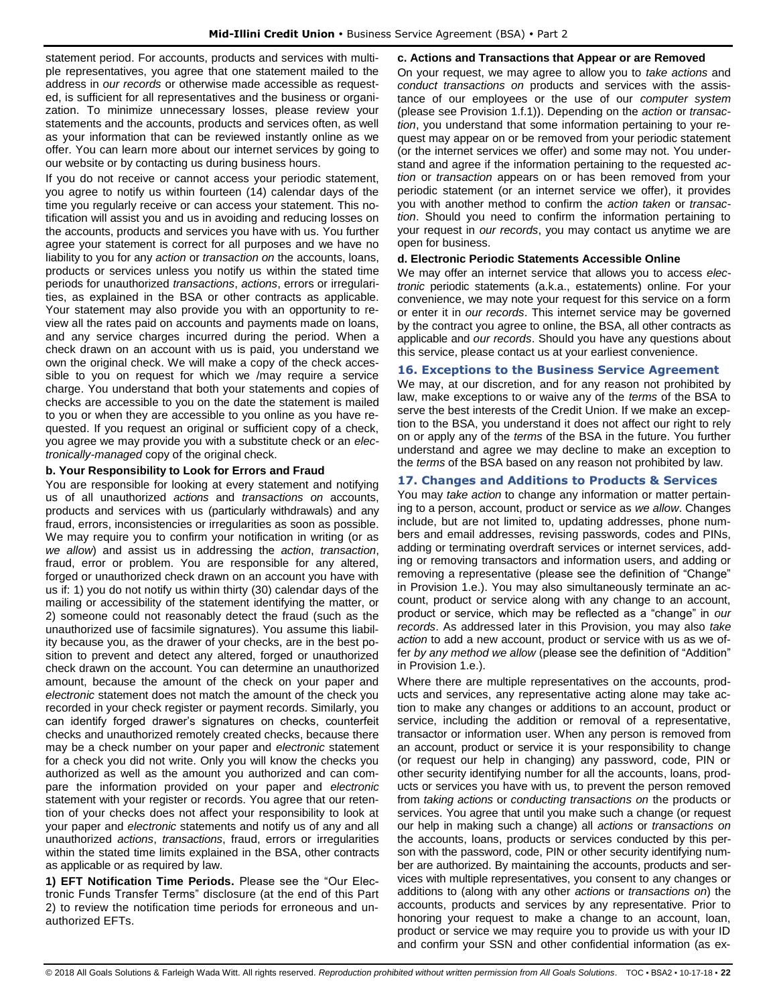statement period. For accounts, products and services with multiple representatives, you agree that one statement mailed to the address in *our records* or otherwise made accessible as requested, is sufficient for all representatives and the business or organization. To minimize unnecessary losses, please review your statements and the accounts, products and services often, as well as your information that can be reviewed instantly online as we offer. You can learn more about our internet services by going to our website or by contacting us during business hours.

If you do not receive or cannot access your periodic statement, you agree to notify us within fourteen (14) calendar days of the time you regularly receive or can access your statement. This notification will assist you and us in avoiding and reducing losses on the accounts, products and services you have with us. You further agree your statement is correct for all purposes and we have no liability to you for any *action* or *transaction on* the accounts, loans, products or services unless you notify us within the stated time periods for unauthorized *transactions*, *actions*, errors or irregularities, as explained in the BSA or other contracts as applicable. Your statement may also provide you with an opportunity to review all the rates paid on accounts and payments made on loans, and any service charges incurred during the period. When a check drawn on an account with us is paid, you understand we own the original check. We will make a copy of the check accessible to you on request for which we /may require a service charge. You understand that both your statements and copies of checks are accessible to you on the date the statement is mailed to you or when they are accessible to you online as you have requested. If you request an original or sufficient copy of a check, you agree we may provide you with a substitute check or an *electronically-managed* copy of the original check.

#### **b. Your Responsibility to Look for Errors and Fraud**

You are responsible for looking at every statement and notifying us of all unauthorized *actions* and *transactions on* accounts, products and services with us (particularly withdrawals) and any fraud, errors, inconsistencies or irregularities as soon as possible. We may require you to confirm your notification in writing (or as *we allow*) and assist us in addressing the *action*, *transaction*, fraud, error or problem. You are responsible for any altered, forged or unauthorized check drawn on an account you have with us if: 1) you do not notify us within thirty (30) calendar days of the mailing or accessibility of the statement identifying the matter, or 2) someone could not reasonably detect the fraud (such as the unauthorized use of facsimile signatures). You assume this liability because you, as the drawer of your checks, are in the best position to prevent and detect any altered, forged or unauthorized check drawn on the account. You can determine an unauthorized amount, because the amount of the check on your paper and *electronic* statement does not match the amount of the check you recorded in your check register or payment records. Similarly, you can identify forged drawer's signatures on checks, counterfeit checks and unauthorized remotely created checks, because there may be a check number on your paper and *electronic* statement for a check you did not write. Only you will know the checks you authorized as well as the amount you authorized and can compare the information provided on your paper and *electronic* statement with your register or records. You agree that our retention of your checks does not affect your responsibility to look at your paper and *electronic* statements and notify us of any and all unauthorized *actions*, *transactions*, fraud, errors or irregularities within the stated time limits explained in the BSA, other contracts as applicable or as required by law.

**1) EFT Notification Time Periods.** Please see the "Our Electronic Funds Transfer Terms" disclosure (at the end of this Part 2) to review the notification time periods for erroneous and unauthorized EFTs.

#### **c. Actions and Transactions that Appear or are Removed**

On your request, we may agree to allow you to *take actions* and *conduct transactions on* products and services with the assistance of our employees or the use of our *computer system* (please see Provision 1.f.1)). Depending on the *action* or *transaction*, you understand that some information pertaining to your request may appear on or be removed from your periodic statement (or the internet services we offer) and some may not. You understand and agree if the information pertaining to the requested *action* or *transaction* appears on or has been removed from your periodic statement (or an internet service we offer), it provides you with another method to confirm the *action taken* or *transaction*. Should you need to confirm the information pertaining to your request in *our records*, you may contact us anytime we are open for business.

#### **d. Electronic Periodic Statements Accessible Online**

We may offer an internet service that allows you to access *electronic* periodic statements (a.k.a., estatements) online. For your convenience, we may note your request for this service on a form or enter it in *our records*. This internet service may be governed by the contract you agree to online, the BSA, all other contracts as applicable and *our records*. Should you have any questions about this service, please contact us at your earliest convenience.

## <span id="page-22-0"></span>**16. Exceptions to the Business Service Agreement**

We may, at our discretion, and for any reason not prohibited by law, make exceptions to or waive any of the *terms* of the BSA to serve the best interests of the Credit Union. If we make an exception to the BSA, you understand it does not affect our right to rely on or apply any of the *terms* of the BSA in the future. You further understand and agree we may decline to make an exception to the *terms* of the BSA based on any reason not prohibited by law.

#### <span id="page-22-1"></span>**17. Changes and Additions to Products & Services**

You may *take action* to change any information or matter pertaining to a person, account, product or service as *we allow*. Changes include, but are not limited to, updating addresses, phone numbers and email addresses, revising passwords, codes and PINs, adding or terminating overdraft services or internet services, adding or removing transactors and information users, and adding or removing a representative (please see the definition of "Change" in Provision 1.e.). You may also simultaneously terminate an account, product or service along with any change to an account, product or service, which may be reflected as a "change" in *our records*. As addressed later in this Provision, you may also *take action* to add a new account, product or service with us as we offer *by any method we allow* (please see the definition of "Addition" in Provision 1.e.).

Where there are multiple representatives on the accounts, products and services, any representative acting alone may take action to make any changes or additions to an account, product or service, including the addition or removal of a representative, transactor or information user. When any person is removed from an account, product or service it is your responsibility to change (or request our help in changing) any password, code, PIN or other security identifying number for all the accounts, loans, products or services you have with us, to prevent the person removed from *taking actions* or *conducting transactions on* the products or services. You agree that until you make such a change (or request our help in making such a change) all *actions* or *transactions on* the accounts, loans, products or services conducted by this person with the password, code, PIN or other security identifying number are authorized. By maintaining the accounts, products and services with multiple representatives, you consent to any changes or additions to (along with any other *actions* or *transactions on*) the accounts, products and services by any representative. Prior to honoring your request to make a change to an account, loan, product or service we may require you to provide us with your ID and confirm your SSN and other confidential information (as ex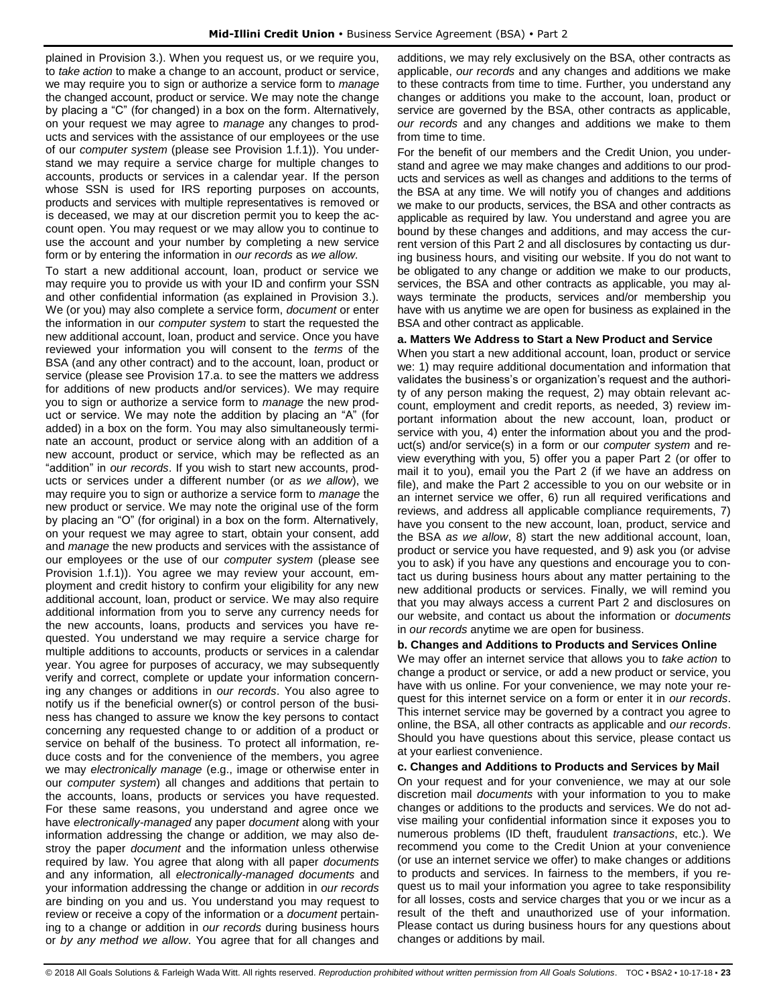plained in Provision 3.). When you request us, or we require you, to *take action* to make a change to an account, product or service, we may require you to sign or authorize a service form to *manage* the changed account, product or service. We may note the change by placing a "C" (for changed) in a box on the form. Alternatively, on your request we may agree to *manage* any changes to products and services with the assistance of our employees or the use of our *computer system* (please see Provision 1.f.1)). You understand we may require a service charge for multiple changes to accounts, products or services in a calendar year. If the person whose SSN is used for IRS reporting purposes on accounts, products and services with multiple representatives is removed or is deceased, we may at our discretion permit you to keep the account open. You may request or we may allow you to continue to use the account and your number by completing a new service form or by entering the information in *our records* as *we allow*.

To start a new additional account, loan, product or service we may require you to provide us with your ID and confirm your SSN and other confidential information (as explained in Provision 3.). We (or you) may also complete a service form, *document* or enter the information in our *computer system* to start the requested the new additional account, loan, product and service. Once you have reviewed your information you will consent to the *terms* of the BSA (and any other contract) and to the account, loan, product or service (please see Provision 17.a. to see the matters we address for additions of new products and/or services). We may require you to sign or authorize a service form to *manage* the new product or service. We may note the addition by placing an "A" (for added) in a box on the form. You may also simultaneously terminate an account, product or service along with an addition of a new account, product or service, which may be reflected as an "addition" in *our records*. If you wish to start new accounts, products or services under a different number (or *as we allow*), we may require you to sign or authorize a service form to *manage* the new product or service. We may note the original use of the form by placing an "O" (for original) in a box on the form. Alternatively, on your request we may agree to start, obtain your consent, add and *manage* the new products and services with the assistance of our employees or the use of our *computer system* (please see Provision 1.f.1)). You agree we may review your account, employment and credit history to confirm your eligibility for any new additional account, loan, product or service. We may also require additional information from you to serve any currency needs for the new accounts, loans, products and services you have requested. You understand we may require a service charge for multiple additions to accounts, products or services in a calendar year. You agree for purposes of accuracy, we may subsequently verify and correct, complete or update your information concerning any changes or additions in *our records*. You also agree to notify us if the beneficial owner(s) or control person of the business has changed to assure we know the key persons to contact concerning any requested change to or addition of a product or service on behalf of the business. To protect all information, reduce costs and for the convenience of the members, you agree we may *electronically manage* (e.g., image or otherwise enter in our *computer system*) all changes and additions that pertain to the accounts, loans, products or services you have requested. For these same reasons, you understand and agree once we have *electronically-managed* any paper *document* along with your information addressing the change or addition*,* we may also destroy the paper *document* and the information unless otherwise required by law. You agree that along with all paper *documents*  and any information*,* all *electronically-managed documents* and your information addressing the change or addition in *our records* are binding on you and us. You understand you may request to review or receive a copy of the information or a *document* pertaining to a change or addition in *our records* during business hours or *by any method we allow*. You agree that for all changes and additions, we may rely exclusively on the BSA, other contracts as applicable, *our records* and any changes and additions we make to these contracts from time to time. Further, you understand any changes or additions you make to the account, loan, product or service are governed by the BSA, other contracts as applicable, *our records* and any changes and additions we make to them from time to time.

For the benefit of our members and the Credit Union, you understand and agree we may make changes and additions to our products and services as well as changes and additions to the terms of the BSA at any time. We will notify you of changes and additions we make to our products, services, the BSA and other contracts as applicable as required by law. You understand and agree you are bound by these changes and additions, and may access the current version of this Part 2 and all disclosures by contacting us during business hours, and visiting our website. If you do not want to be obligated to any change or addition we make to our products, services, the BSA and other contracts as applicable, you may always terminate the products, services and/or membership you have with us anytime we are open for business as explained in the BSA and other contract as applicable.

#### **a. Matters We Address to Start a New Product and Service**

When you start a new additional account, loan, product or service we: 1) may require additional documentation and information that validates the business's or organization's request and the authority of any person making the request, 2) may obtain relevant account, employment and credit reports, as needed, 3) review important information about the new account, loan, product or service with you, 4) enter the information about you and the product(s) and/or service(s) in a form or our *computer system* and review everything with you, 5) offer you a paper Part 2 (or offer to mail it to you), email you the Part 2 (if we have an address on file), and make the Part 2 accessible to you on our website or in an internet service we offer, 6) run all required verifications and reviews, and address all applicable compliance requirements, 7) have you consent to the new account, loan, product, service and the BSA *as we allow*, 8) start the new additional account, loan, product or service you have requested, and 9) ask you (or advise you to ask) if you have any questions and encourage you to contact us during business hours about any matter pertaining to the new additional products or services. Finally, we will remind you that you may always access a current Part 2 and disclosures on our website, and contact us about the information or *documents*  in *our records* anytime we are open for business.

#### **b. Changes and Additions to Products and Services Online**

We may offer an internet service that allows you to *take action* to change a product or service, or add a new product or service, you have with us online. For your convenience, we may note your request for this internet service on a form or enter it in *our records*. This internet service may be governed by a contract you agree to online, the BSA, all other contracts as applicable and *our records*. Should you have questions about this service, please contact us at your earliest convenience.

#### **c. Changes and Additions to Products and Services by Mail**

On your request and for your convenience, we may at our sole discretion mail *documents* with your information to you to make changes or additions to the products and services. We do not advise mailing your confidential information since it exposes you to numerous problems (ID theft, fraudulent *transactions*, etc.). We recommend you come to the Credit Union at your convenience (or use an internet service we offer) to make changes or additions to products and services. In fairness to the members, if you request us to mail your information you agree to take responsibility for all losses, costs and service charges that you or we incur as a result of the theft and unauthorized use of your information. Please contact us during business hours for any questions about changes or additions by mail.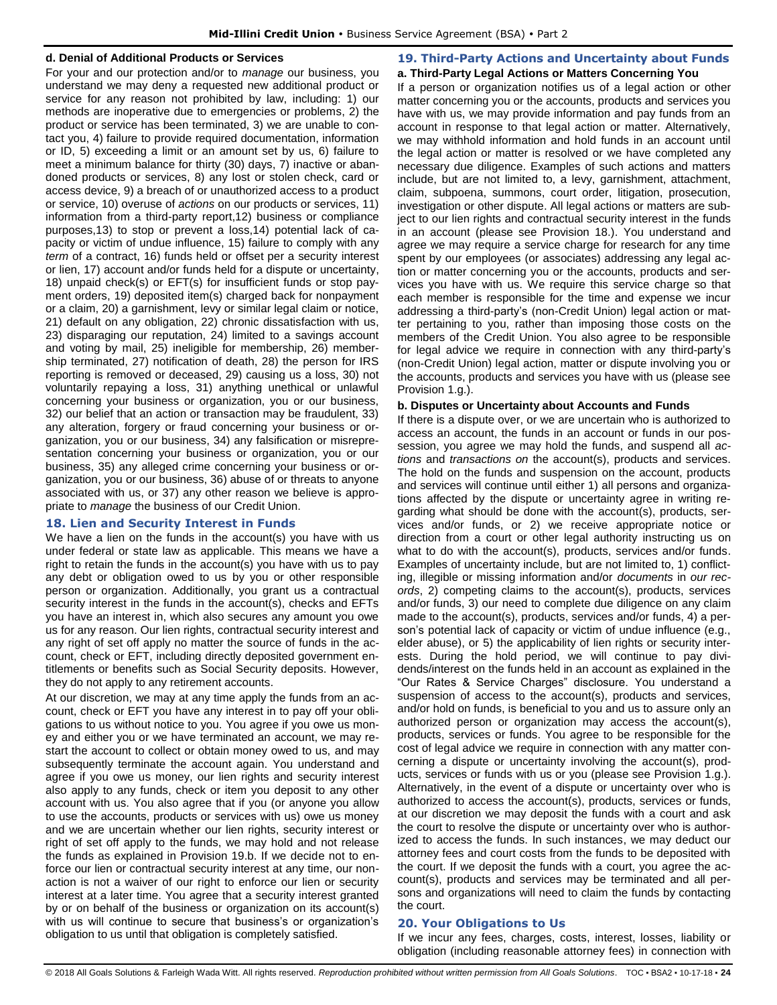#### **d. Denial of Additional Products or Services**

For your and our protection and/or to *manage* our business, you understand we may deny a requested new additional product or service for any reason not prohibited by law, including: 1) our methods are inoperative due to emergencies or problems, 2) the product or service has been terminated, 3) we are unable to contact you, 4) failure to provide required documentation, information or ID, 5) exceeding a limit or an amount set by us, 6) failure to meet a minimum balance for thirty (30) days, 7) inactive or abandoned products or services, 8) any lost or stolen check, card or access device, 9) a breach of or unauthorized access to a product or service, 10) overuse of *actions* on our products or services, 11) information from a third-party report,12) business or compliance purposes,13) to stop or prevent a loss,14) potential lack of capacity or victim of undue influence, 15) failure to comply with any *term* of a contract, 16) funds held or offset per a security interest or lien, 17) account and/or funds held for a dispute or uncertainty, 18) unpaid check(s) or EFT(s) for insufficient funds or stop payment orders, 19) deposited item(s) charged back for nonpayment or a claim, 20) a garnishment, levy or similar legal claim or notice, 21) default on any obligation, 22) chronic dissatisfaction with us, 23) disparaging our reputation, 24) limited to a savings account and voting by mail, 25) ineligible for membership, 26) membership terminated, 27) notification of death, 28) the person for IRS reporting is removed or deceased, 29) causing us a loss, 30) not voluntarily repaying a loss, 31) anything unethical or unlawful concerning your business or organization, you or our business, 32) our belief that an action or transaction may be fraudulent, 33) any alteration, forgery or fraud concerning your business or organization, you or our business, 34) any falsification or misrepresentation concerning your business or organization, you or our business, 35) any alleged crime concerning your business or organization, you or our business, 36) abuse of or threats to anyone associated with us, or 37) any other reason we believe is appropriate to *manage* the business of our Credit Union.

## <span id="page-24-0"></span>**18. Lien and Security Interest in Funds**

We have a lien on the funds in the account(s) you have with us under federal or state law as applicable. This means we have a right to retain the funds in the account(s) you have with us to pay any debt or obligation owed to us by you or other responsible person or organization. Additionally, you grant us a contractual security interest in the funds in the account(s), checks and EFTs you have an interest in, which also secures any amount you owe us for any reason. Our lien rights, contractual security interest and any right of set off apply no matter the source of funds in the account, check or EFT, including directly deposited government entitlements or benefits such as Social Security deposits. However, they do not apply to any retirement accounts.

At our discretion, we may at any time apply the funds from an account, check or EFT you have any interest in to pay off your obligations to us without notice to you. You agree if you owe us money and either you or we have terminated an account, we may restart the account to collect or obtain money owed to us, and may subsequently terminate the account again. You understand and agree if you owe us money, our lien rights and security interest also apply to any funds, check or item you deposit to any other account with us. You also agree that if you (or anyone you allow to use the accounts, products or services with us) owe us money and we are uncertain whether our lien rights, security interest or right of set off apply to the funds, we may hold and not release the funds as explained in Provision 19.b. If we decide not to enforce our lien or contractual security interest at any time, our nonaction is not a waiver of our right to enforce our lien or security interest at a later time. You agree that a security interest granted by or on behalf of the business or organization on its account(s) with us will continue to secure that business's or organization's obligation to us until that obligation is completely satisfied.

#### <span id="page-24-1"></span>**19. Third-Party Actions and Uncertainty about Funds a. Third-Party Legal Actions or Matters Concerning You**

If a person or organization notifies us of a legal action or other matter concerning you or the accounts, products and services you have with us, we may provide information and pay funds from an account in response to that legal action or matter. Alternatively, we may withhold information and hold funds in an account until the legal action or matter is resolved or we have completed any necessary due diligence. Examples of such actions and matters include, but are not limited to, a levy, garnishment, attachment, claim, subpoena, summons, court order, litigation, prosecution, investigation or other dispute. All legal actions or matters are subject to our lien rights and contractual security interest in the funds in an account (please see Provision 18.). You understand and agree we may require a service charge for research for any time spent by our employees (or associates) addressing any legal action or matter concerning you or the accounts, products and services you have with us. We require this service charge so that each member is responsible for the time and expense we incur addressing a third-party's (non-Credit Union) legal action or matter pertaining to you, rather than imposing those costs on the members of the Credit Union. You also agree to be responsible for legal advice we require in connection with any third-party's (non-Credit Union) legal action, matter or dispute involving you or the accounts, products and services you have with us (please see Provision 1.g.).

## **b. Disputes or Uncertainty about Accounts and Funds**

If there is a dispute over, or we are uncertain who is authorized to access an account, the funds in an account or funds in our possession, you agree we may hold the funds, and suspend all *actions* and *transactions on* the account(s), products and services. The hold on the funds and suspension on the account, products and services will continue until either 1) all persons and organizations affected by the dispute or uncertainty agree in writing regarding what should be done with the account(s), products, services and/or funds, or 2) we receive appropriate notice or direction from a court or other legal authority instructing us on what to do with the account(s), products, services and/or funds. Examples of uncertainty include, but are not limited to, 1) conflicting, illegible or missing information and/or *documents* in *our records*, 2) competing claims to the account(s), products, services and/or funds, 3) our need to complete due diligence on any claim made to the account(s), products, services and/or funds, 4) a person's potential lack of capacity or victim of undue influence (e.g., elder abuse), or 5) the applicability of lien rights or security interests. During the hold period, we will continue to pay dividends/interest on the funds held in an account as explained in the "Our Rates & Service Charges" disclosure. You understand a suspension of access to the account(s), products and services, and/or hold on funds, is beneficial to you and us to assure only an authorized person or organization may access the account(s), products, services or funds. You agree to be responsible for the cost of legal advice we require in connection with any matter concerning a dispute or uncertainty involving the account(s), products, services or funds with us or you (please see Provision 1.g.). Alternatively, in the event of a dispute or uncertainty over who is authorized to access the account(s), products, services or funds, at our discretion we may deposit the funds with a court and ask the court to resolve the dispute or uncertainty over who is authorized to access the funds. In such instances, we may deduct our attorney fees and court costs from the funds to be deposited with the court. If we deposit the funds with a court, you agree the account(s), products and services may be terminated and all persons and organizations will need to claim the funds by contacting the court.

## <span id="page-24-2"></span>**20. Your Obligations to Us**

If we incur any fees, charges, costs, interest, losses, liability or obligation (including reasonable attorney fees) in connection with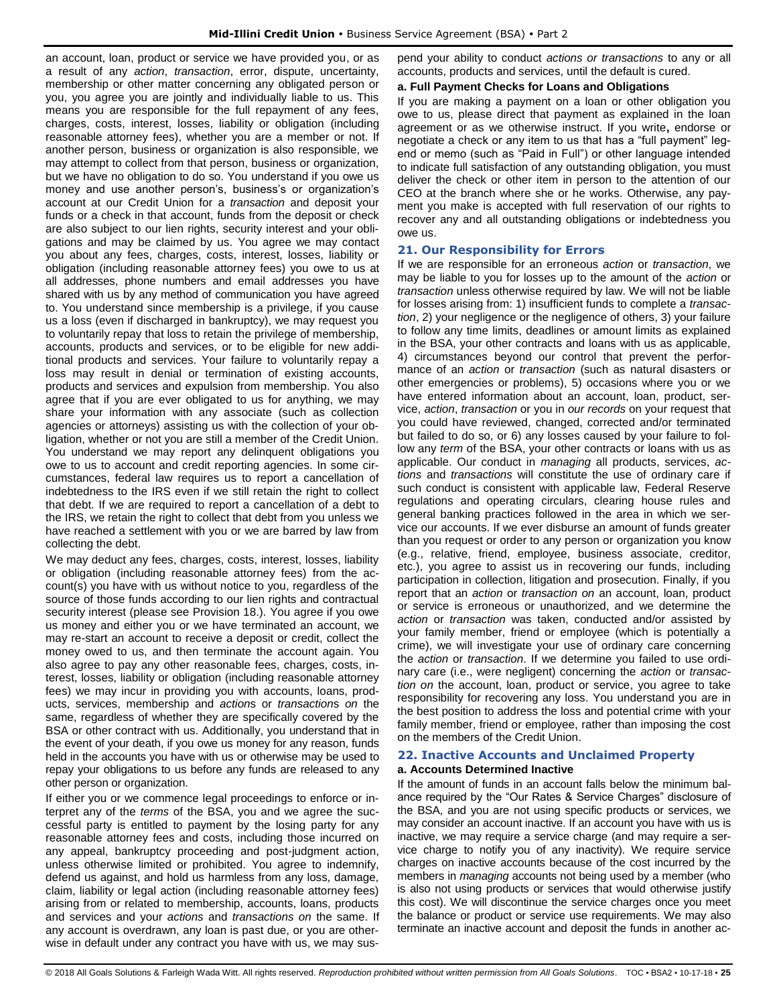an account, loan, product or service we have provided you, or as a result of any *action*, *transaction*, error, dispute, uncertainty, membership or other matter concerning any obligated person or you, you agree you are jointly and individually liable to us. This means you are responsible for the full repayment of any fees, charges, costs, interest, losses, liability or obligation (including reasonable attorney fees), whether you are a member or not. If another person, business or organization is also responsible, we may attempt to collect from that person, business or organization, but we have no obligation to do so. You understand if you owe us money and use another person's, business's or organization's account at our Credit Union for a *transaction* and deposit your funds or a check in that account, funds from the deposit or check are also subject to our lien rights, security interest and your obligations and may be claimed by us. You agree we may contact you about any fees, charges, costs, interest, losses, liability or obligation (including reasonable attorney fees) you owe to us at all addresses, phone numbers and email addresses you have shared with us by any method of communication you have agreed to. You understand since membership is a privilege, if you cause us a loss (even if discharged in bankruptcy), we may request you to voluntarily repay that loss to retain the privilege of membership, accounts, products and services, or to be eligible for new additional products and services. Your failure to voluntarily repay a loss may result in denial or termination of existing accounts, products and services and expulsion from membership. You also agree that if you are ever obligated to us for anything, we may share your information with any associate (such as collection agencies or attorneys) assisting us with the collection of your obligation, whether or not you are still a member of the Credit Union. You understand we may report any delinquent obligations you owe to us to account and credit reporting agencies. In some circumstances, federal law requires us to report a cancellation of indebtedness to the IRS even if we still retain the right to collect that debt. If we are required to report a cancellation of a debt to the IRS, we retain the right to collect that debt from you unless we have reached a settlement with you or we are barred by law from collecting the debt.

We may deduct any fees, charges, costs, interest, losses, liability or obligation (including reasonable attorney fees) from the account(s) you have with us without notice to you, regardless of the source of those funds according to our lien rights and contractual security interest (please see Provision 18.). You agree if you owe us money and either you or we have terminated an account, we may re-start an account to receive a deposit or credit, collect the money owed to us, and then terminate the account again. You also agree to pay any other reasonable fees, charges, costs, interest, losses, liability or obligation (including reasonable attorney fees) we may incur in providing you with accounts, loans, products, services, membership and *action*s or *transaction*s *on* the same, regardless of whether they are specifically covered by the BSA or other contract with us. Additionally, you understand that in the event of your death, if you owe us money for any reason, funds held in the accounts you have with us or otherwise may be used to repay your obligations to us before any funds are released to any other person or organization.

If either you or we commence legal proceedings to enforce or interpret any of the *terms* of the BSA, you and we agree the successful party is entitled to payment by the losing party for any reasonable attorney fees and costs, including those incurred on any appeal, bankruptcy proceeding and post-judgment action, unless otherwise limited or prohibited. You agree to indemnify, defend us against, and hold us harmless from any loss, damage, claim, liability or legal action (including reasonable attorney fees) arising from or related to membership, accounts, loans, products and services and your *actions* and *transactions on* the same. If any account is overdrawn, any loan is past due, or you are otherwise in default under any contract you have with us, we may suspend your ability to conduct *actions or transactions* to any or all accounts, products and services, until the default is cured.

#### **a. Full Payment Checks for Loans and Obligations**

If you are making a payment on a loan or other obligation you owe to us, please direct that payment as explained in the loan agreement or as we otherwise instruct. If you write**,** endorse or negotiate a check or any item to us that has a "full payment" legend or memo (such as "Paid in Full") or other language intended to indicate full satisfaction of any outstanding obligation, you must deliver the check or other item in person to the attention of our CEO at the branch where she or he works. Otherwise, any payment you make is accepted with full reservation of our rights to recover any and all outstanding obligations or indebtedness you owe us.

#### <span id="page-25-0"></span>**21. Our Responsibility for Errors**

If we are responsible for an erroneous *action* or *transaction*, we may be liable to you for losses up to the amount of the *action* or *transaction* unless otherwise required by law. We will not be liable for losses arising from: 1) insufficient funds to complete a *transaction*, 2) your negligence or the negligence of others, 3) your failure to follow any time limits, deadlines or amount limits as explained in the BSA, your other contracts and loans with us as applicable, 4) circumstances beyond our control that prevent the performance of an *action* or *transaction* (such as natural disasters or other emergencies or problems), 5) occasions where you or we have entered information about an account, loan, product, service, *action*, *transaction* or you in *our records* on your request that you could have reviewed, changed, corrected and/or terminated but failed to do so, or 6) any losses caused by your failure to follow any *term* of the BSA, your other contracts or loans with us as applicable. Our conduct in *managing* all products, services, *actions* and *transactions* will constitute the use of ordinary care if such conduct is consistent with applicable law, Federal Reserve regulations and operating circulars, clearing house rules and general banking practices followed in the area in which we service our accounts. If we ever disburse an amount of funds greater than you request or order to any person or organization you know (e.g., relative, friend, employee, business associate, creditor, etc.), you agree to assist us in recovering our funds, including participation in collection, litigation and prosecution. Finally, if you report that an *action* or *transaction on* an account, loan, product or service is erroneous or unauthorized, and we determine the *action* or *transaction* was taken, conducted and/or assisted by your family member, friend or employee (which is potentially a crime), we will investigate your use of ordinary care concerning the *action* or *transaction*. If we determine you failed to use ordinary care (i.e., were negligent) concerning the *action* or *transaction on* the account, loan, product or service, you agree to take responsibility for recovering any loss. You understand you are in the best position to address the loss and potential crime with your family member, friend or employee, rather than imposing the cost on the members of the Credit Union.

#### <span id="page-25-1"></span>**22. Inactive Accounts and Unclaimed Property a. Accounts Determined Inactive**

If the amount of funds in an account falls below the minimum balance required by the "Our Rates & Service Charges" disclosure of the BSA, and you are not using specific products or services, we may consider an account inactive. If an account you have with us is inactive, we may require a service charge (and may require a service charge to notify you of any inactivity). We require service charges on inactive accounts because of the cost incurred by the members in *managing* accounts not being used by a member (who is also not using products or services that would otherwise justify this cost). We will discontinue the service charges once you meet the balance or product or service use requirements. We may also terminate an inactive account and deposit the funds in another ac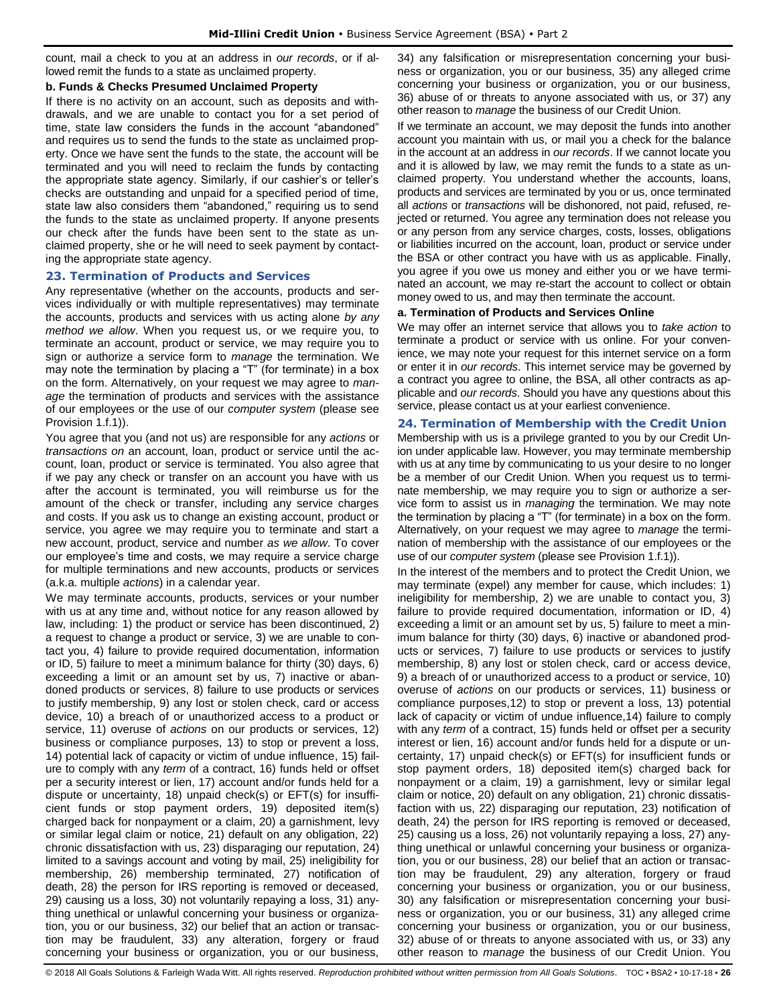count, mail a check to you at an address in *our records*, or if allowed remit the funds to a state as unclaimed property.

#### **b. Funds & Checks Presumed Unclaimed Property**

If there is no activity on an account, such as deposits and withdrawals, and we are unable to contact you for a set period of time, state law considers the funds in the account "abandoned" and requires us to send the funds to the state as unclaimed property. Once we have sent the funds to the state, the account will be terminated and you will need to reclaim the funds by contacting the appropriate state agency. Similarly, if our cashier's or teller's checks are outstanding and unpaid for a specified period of time, state law also considers them "abandoned," requiring us to send the funds to the state as unclaimed property. If anyone presents our check after the funds have been sent to the state as unclaimed property, she or he will need to seek payment by contacting the appropriate state agency.

## <span id="page-26-0"></span>**23. Termination of Products and Services**

Any representative (whether on the accounts, products and services individually or with multiple representatives) may terminate the accounts, products and services with us acting alone *by any method we allow*. When you request us, or we require you, to terminate an account, product or service, we may require you to sign or authorize a service form to *manage* the termination. We may note the termination by placing a "T" (for terminate) in a box on the form. Alternatively, on your request we may agree to *manage* the termination of products and services with the assistance of our employees or the use of our *computer system* (please see Provision 1.f.1)).

You agree that you (and not us) are responsible for any *actions* or *transactions on* an account, loan, product or service until the account, loan, product or service is terminated. You also agree that if we pay any check or transfer on an account you have with us after the account is terminated, you will reimburse us for the amount of the check or transfer, including any service charges and costs. If you ask us to change an existing account, product or service, you agree we may require you to terminate and start a new account, product, service and number *as we allow*. To cover our employee's time and costs, we may require a service charge for multiple terminations and new accounts, products or services (a.k.a. multiple *actions*) in a calendar year.

We may terminate accounts, products, services or your number with us at any time and, without notice for any reason allowed by law, including: 1) the product or service has been discontinued, 2) a request to change a product or service, 3) we are unable to contact you, 4) failure to provide required documentation, information or ID, 5) failure to meet a minimum balance for thirty (30) days, 6) exceeding a limit or an amount set by us, 7) inactive or abandoned products or services, 8) failure to use products or services to justify membership, 9) any lost or stolen check, card or access device, 10) a breach of or unauthorized access to a product or service, 11) overuse of *actions* on our products or services, 12) business or compliance purposes, 13) to stop or prevent a loss, 14) potential lack of capacity or victim of undue influence, 15) failure to comply with any *term* of a contract, 16) funds held or offset per a security interest or lien, 17) account and/or funds held for a dispute or uncertainty, 18) unpaid check(s) or EFT(s) for insufficient funds or stop payment orders, 19) deposited item(s) charged back for nonpayment or a claim, 20) a garnishment, levy or similar legal claim or notice, 21) default on any obligation, 22) chronic dissatisfaction with us, 23) disparaging our reputation, 24) limited to a savings account and voting by mail, 25) ineligibility for membership, 26) membership terminated, 27) notification of death, 28) the person for IRS reporting is removed or deceased, 29) causing us a loss, 30) not voluntarily repaying a loss, 31) anything unethical or unlawful concerning your business or organization, you or our business, 32) our belief that an action or transaction may be fraudulent, 33) any alteration, forgery or fraud concerning your business or organization, you or our business,

34) any falsification or misrepresentation concerning your business or organization, you or our business, 35) any alleged crime concerning your business or organization, you or our business, 36) abuse of or threats to anyone associated with us, or 37) any other reason to *manage* the business of our Credit Union.

If we terminate an account, we may deposit the funds into another account you maintain with us, or mail you a check for the balance in the account at an address in *our records*. If we cannot locate you and it is allowed by law, we may remit the funds to a state as unclaimed property. You understand whether the accounts, loans, products and services are terminated by you or us, once terminated all *actions* or *transactions* will be dishonored, not paid, refused, rejected or returned. You agree any termination does not release you or any person from any service charges, costs, losses, obligations or liabilities incurred on the account, loan, product or service under the BSA or other contract you have with us as applicable. Finally, you agree if you owe us money and either you or we have terminated an account, we may re-start the account to collect or obtain money owed to us, and may then terminate the account.

#### **a. Termination of Products and Services Online**

We may offer an internet service that allows you to *take action* to terminate a product or service with us online. For your convenience, we may note your request for this internet service on a form or enter it in *our records*. This internet service may be governed by a contract you agree to online, the BSA, all other contracts as applicable and *our records*. Should you have any questions about this service, please contact us at your earliest convenience.

## <span id="page-26-1"></span>**24. Termination of Membership with the Credit Union**

Membership with us is a privilege granted to you by our Credit Union under applicable law. However, you may terminate membership with us at any time by communicating to us your desire to no longer be a member of our Credit Union. When you request us to terminate membership, we may require you to sign or authorize a service form to assist us in *managing* the termination. We may note the termination by placing a "T" (for terminate) in a box on the form. Alternatively, on your request we may agree to *manage* the termination of membership with the assistance of our employees or the use of our *computer system* (please see Provision 1.f.1)).

In the interest of the members and to protect the Credit Union, we may terminate (expel) any member for cause, which includes: 1) ineligibility for membership, 2) we are unable to contact you, 3) failure to provide required documentation, information or ID, 4) exceeding a limit or an amount set by us, 5) failure to meet a minimum balance for thirty (30) days, 6) inactive or abandoned products or services, 7) failure to use products or services to justify membership, 8) any lost or stolen check, card or access device, 9) a breach of or unauthorized access to a product or service, 10) overuse of *actions* on our products or services, 11) business or compliance purposes,12) to stop or prevent a loss, 13) potential lack of capacity or victim of undue influence,14) failure to comply with any *term* of a contract, 15) funds held or offset per a security interest or lien, 16) account and/or funds held for a dispute or uncertainty, 17) unpaid check(s) or EFT(s) for insufficient funds or stop payment orders, 18) deposited item(s) charged back for nonpayment or a claim, 19) a garnishment, levy or similar legal claim or notice, 20) default on any obligation, 21) chronic dissatisfaction with us, 22) disparaging our reputation, 23) notification of death, 24) the person for IRS reporting is removed or deceased, 25) causing us a loss, 26) not voluntarily repaying a loss, 27) anything unethical or unlawful concerning your business or organization, you or our business, 28) our belief that an action or transaction may be fraudulent, 29) any alteration, forgery or fraud concerning your business or organization, you or our business, 30) any falsification or misrepresentation concerning your business or organization, you or our business, 31) any alleged crime concerning your business or organization, you or our business, 32) abuse of or threats to anyone associated with us, or 33) any other reason to *manage* the business of our Credit Union. You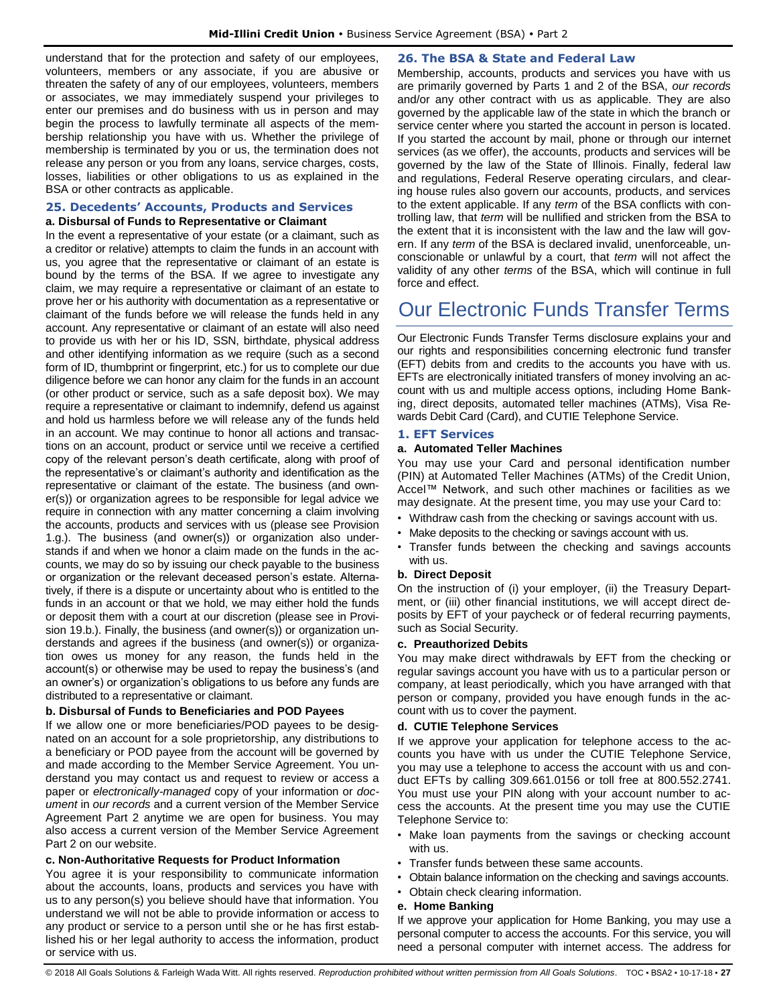understand that for the protection and safety of our employees, volunteers, members or any associate, if you are abusive or threaten the safety of any of our employees, volunteers, members or associates, we may immediately suspend your privileges to enter our premises and do business with us in person and may begin the process to lawfully terminate all aspects of the membership relationship you have with us. Whether the privilege of membership is terminated by you or us, the termination does not release any person or you from any loans, service charges, costs, losses, liabilities or other obligations to us as explained in the BSA or other contracts as applicable.

#### <span id="page-27-0"></span>**25. Decedents' Accounts, Products and Services a. Disbursal of Funds to Representative or Claimant**

In the event a representative of your estate (or a claimant, such as a creditor or relative) attempts to claim the funds in an account with us, you agree that the representative or claimant of an estate is bound by the terms of the BSA. If we agree to investigate any claim, we may require a representative or claimant of an estate to prove her or his authority with documentation as a representative or claimant of the funds before we will release the funds held in any account. Any representative or claimant of an estate will also need to provide us with her or his ID, SSN, birthdate, physical address and other identifying information as we require (such as a second form of ID, thumbprint or fingerprint, etc.) for us to complete our due diligence before we can honor any claim for the funds in an account (or other product or service, such as a safe deposit box). We may require a representative or claimant to indemnify, defend us against and hold us harmless before we will release any of the funds held in an account. We may continue to honor all actions and transactions on an account, product or service until we receive a certified copy of the relevant person's death certificate, along with proof of the representative's or claimant's authority and identification as the representative or claimant of the estate. The business (and owner(s)) or organization agrees to be responsible for legal advice we require in connection with any matter concerning a claim involving the accounts, products and services with us (please see Provision 1.g.). The business (and owner(s)) or organization also understands if and when we honor a claim made on the funds in the accounts, we may do so by issuing our check payable to the business or organization or the relevant deceased person's estate. Alternatively, if there is a dispute or uncertainty about who is entitled to the funds in an account or that we hold, we may either hold the funds or deposit them with a court at our discretion (please see in Provision 19.b.). Finally, the business (and owner(s)) or organization understands and agrees if the business (and owner(s)) or organization owes us money for any reason, the funds held in the account(s) or otherwise may be used to repay the business's (and an owner's) or organization's obligations to us before any funds are distributed to a representative or claimant.

#### **b. Disbursal of Funds to Beneficiaries and POD Payees**

If we allow one or more beneficiaries/POD payees to be designated on an account for a sole proprietorship, any distributions to a beneficiary or POD payee from the account will be governed by and made according to the Member Service Agreement. You understand you may contact us and request to review or access a paper or *electronically-managed* copy of your information or *document* in *our records* and a current version of the Member Service Agreement Part 2 anytime we are open for business. You may also access a current version of the Member Service Agreement Part 2 on our website.

## **c. Non-Authoritative Requests for Product Information**

You agree it is your responsibility to communicate information about the accounts, loans, products and services you have with us to any person(s) you believe should have that information. You understand we will not be able to provide information or access to any product or service to a person until she or he has first established his or her legal authority to access the information, product or service with us.

## <span id="page-27-1"></span>**26. The BSA & State and Federal Law**

Membership, accounts, products and services you have with us are primarily governed by Parts 1 and 2 of the BSA, *our records* and/or any other contract with us as applicable. They are also governed by the applicable law of the state in which the branch or service center where you started the account in person is located. If you started the account by mail, phone or through our internet services (as we offer), the accounts, products and services will be governed by the law of the State of Illinois. Finally, federal law and regulations, Federal Reserve operating circulars, and clearing house rules also govern our accounts, products, and services to the extent applicable. If any *term* of the BSA conflicts with controlling law, that *term* will be nullified and stricken from the BSA to the extent that it is inconsistent with the law and the law will govern. If any *term* of the BSA is declared invalid, unenforceable, unconscionable or unlawful by a court, that *term* will not affect the validity of any other *terms* of the BSA, which will continue in full force and effect.

# <span id="page-27-2"></span>Our Electronic Funds Transfer Terms

Our Electronic Funds Transfer Terms disclosure explains your and our rights and responsibilities concerning electronic fund transfer (EFT) debits from and credits to the accounts you have with us. EFTs are electronically initiated transfers of money involving an account with us and multiple access options, including Home Banking, direct deposits, automated teller machines (ATMs), Visa Rewards Debit Card (Card), and CUTIE Telephone Service.

#### <span id="page-27-3"></span>**1. EFT Services**

#### **a. Automated Teller Machines**

You may use your Card and personal identification number (PIN) at Automated Teller Machines (ATMs) of the Credit Union, Accel™ Network, and such other machines or facilities as we may designate. At the present time, you may use your Card to:

- Withdraw cash from the checking or savings account with us.
- Make deposits to the checking or savings account with us.
- Transfer funds between the checking and savings accounts with us.

#### **b. Direct Deposit**

On the instruction of (i) your employer, (ii) the Treasury Department, or (iii) other financial institutions, we will accept direct deposits by EFT of your paycheck or of federal recurring payments, such as Social Security.

#### **c. Preauthorized Debits**

You may make direct withdrawals by EFT from the checking or regular savings account you have with us to a particular person or company, at least periodically, which you have arranged with that person or company, provided you have enough funds in the account with us to cover the payment.

#### **d. CUTIE Telephone Services**

If we approve your application for telephone access to the accounts you have with us under the CUTIE Telephone Service, you may use a telephone to access the account with us and conduct EFTs by calling 309.661.0156 or toll free at 800.552.2741. You must use your PIN along with your account number to access the accounts. At the present time you may use the CUTIE Telephone Service to:

- Make loan payments from the savings or checking account with us.
- Transfer funds between these same accounts.
- Obtain balance information on the checking and savings accounts.
- Obtain check clearing information.

#### **e. Home Banking**

If we approve your application for Home Banking, you may use a personal computer to access the accounts. For this service, you will need a personal computer with internet access. The address for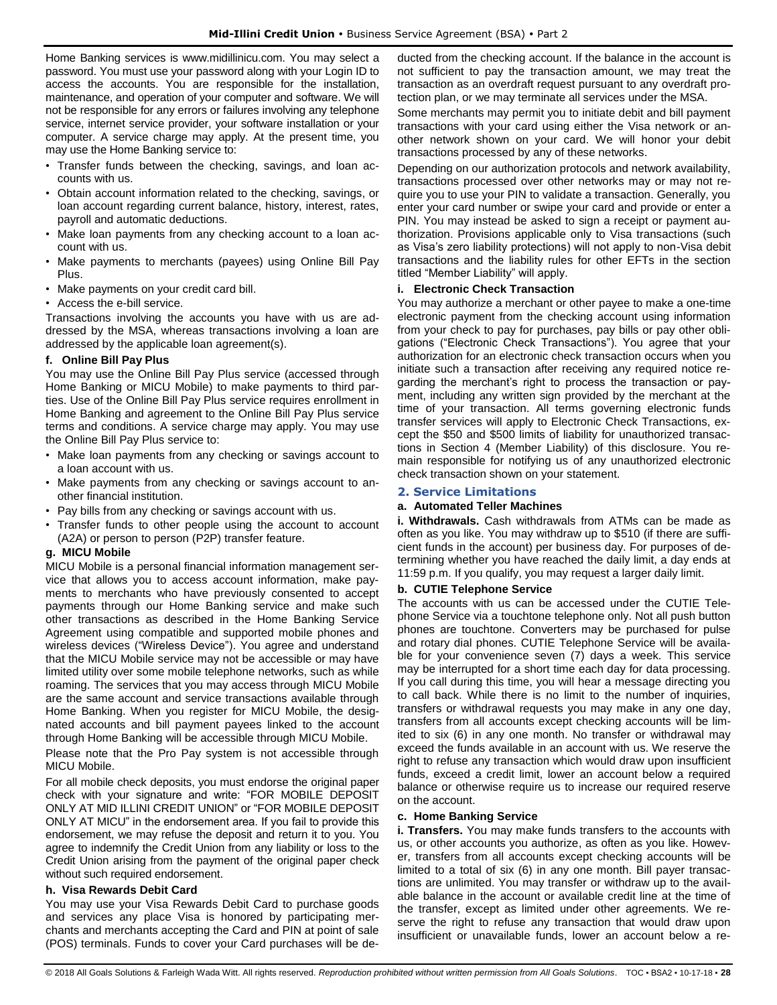Home Banking services is www.midillinicu.com. You may select a password. You must use your password along with your Login ID to access the accounts. You are responsible for the installation, maintenance, and operation of your computer and software. We will not be responsible for any errors or failures involving any telephone service, internet service provider, your software installation or your computer. A service charge may apply. At the present time, you may use the Home Banking service to:

- Transfer funds between the checking, savings, and loan accounts with us.
- Obtain account information related to the checking, savings, or loan account regarding current balance, history, interest, rates, payroll and automatic deductions.
- Make loan payments from any checking account to a loan account with us.
- Make payments to merchants (payees) using Online Bill Pay Plus.
- Make payments on your credit card bill.
- Access the e-bill service.

Transactions involving the accounts you have with us are addressed by the MSA, whereas transactions involving a loan are addressed by the applicable loan agreement(s).

## **f. Online Bill Pay Plus**

You may use the Online Bill Pay Plus service (accessed through Home Banking or MICU Mobile) to make payments to third parties. Use of the Online Bill Pay Plus service requires enrollment in Home Banking and agreement to the Online Bill Pay Plus service terms and conditions. A service charge may apply. You may use the Online Bill Pay Plus service to:

- Make loan payments from any checking or savings account to a loan account with us.
- Make payments from any checking or savings account to another financial institution.
- Pay bills from any checking or savings account with us.
- Transfer funds to other people using the account to account (A2A) or person to person (P2P) transfer feature.

## **g. MICU Mobile**

MICU Mobile is a personal financial information management service that allows you to access account information, make payments to merchants who have previously consented to accept payments through our Home Banking service and make such other transactions as described in the Home Banking Service Agreement using compatible and supported mobile phones and wireless devices ("Wireless Device"). You agree and understand that the MICU Mobile service may not be accessible or may have limited utility over some mobile telephone networks, such as while roaming. The services that you may access through MICU Mobile are the same account and service transactions available through Home Banking. When you register for MICU Mobile, the designated accounts and bill payment payees linked to the account through Home Banking will be accessible through MICU Mobile.

Please note that the Pro Pay system is not accessible through MICU Mobile.

For all mobile check deposits, you must endorse the original paper check with your signature and write: "FOR MOBILE DEPOSIT ONLY AT MID ILLINI CREDIT UNION" or "FOR MOBILE DEPOSIT ONLY AT MICU" in the endorsement area. If you fail to provide this endorsement, we may refuse the deposit and return it to you. You agree to indemnify the Credit Union from any liability or loss to the Credit Union arising from the payment of the original paper check without such required endorsement.

## **h. Visa Rewards Debit Card**

You may use your Visa Rewards Debit Card to purchase goods and services any place Visa is honored by participating merchants and merchants accepting the Card and PIN at point of sale (POS) terminals. Funds to cover your Card purchases will be deducted from the checking account. If the balance in the account is not sufficient to pay the transaction amount, we may treat the transaction as an overdraft request pursuant to any overdraft protection plan, or we may terminate all services under the MSA.

Some merchants may permit you to initiate debit and bill payment transactions with your card using either the Visa network or another network shown on your card. We will honor your debit transactions processed by any of these networks.

Depending on our authorization protocols and network availability, transactions processed over other networks may or may not require you to use your PIN to validate a transaction. Generally, you enter your card number or swipe your card and provide or enter a PIN. You may instead be asked to sign a receipt or payment authorization. Provisions applicable only to Visa transactions (such as Visa's zero liability protections) will not apply to non-Visa debit transactions and the liability rules for other EFTs in the section titled "Member Liability" will apply.

## **i. Electronic Check Transaction**

You may authorize a merchant or other payee to make a one-time electronic payment from the checking account using information from your check to pay for purchases, pay bills or pay other obligations ("Electronic Check Transactions"). You agree that your authorization for an electronic check transaction occurs when you initiate such a transaction after receiving any required notice regarding the merchant's right to process the transaction or payment, including any written sign provided by the merchant at the time of your transaction. All terms governing electronic funds transfer services will apply to Electronic Check Transactions, except the \$50 and \$500 limits of liability for unauthorized transactions in Section 4 (Member Liability) of this disclosure. You remain responsible for notifying us of any unauthorized electronic check transaction shown on your statement.

## <span id="page-28-0"></span>**2. Service Limitations**

## **a. Automated Teller Machines**

**i. Withdrawals.** Cash withdrawals from ATMs can be made as often as you like. You may withdraw up to \$510 (if there are sufficient funds in the account) per business day. For purposes of determining whether you have reached the daily limit, a day ends at 11:59 p.m. If you qualify, you may request a larger daily limit.

## **b. CUTIE Telephone Service**

The accounts with us can be accessed under the CUTIE Telephone Service via a touchtone telephone only. Not all push button phones are touchtone. Converters may be purchased for pulse and rotary dial phones. CUTIE Telephone Service will be available for your convenience seven (7) days a week. This service may be interrupted for a short time each day for data processing. If you call during this time, you will hear a message directing you to call back. While there is no limit to the number of inquiries, transfers or withdrawal requests you may make in any one day, transfers from all accounts except checking accounts will be limited to six (6) in any one month. No transfer or withdrawal may exceed the funds available in an account with us. We reserve the right to refuse any transaction which would draw upon insufficient funds, exceed a credit limit, lower an account below a required balance or otherwise require us to increase our required reserve on the account.

## **c. Home Banking Service**

**i. Transfers.** You may make funds transfers to the accounts with us, or other accounts you authorize, as often as you like. However, transfers from all accounts except checking accounts will be limited to a total of six (6) in any one month. Bill payer transactions are unlimited. You may transfer or withdraw up to the available balance in the account or available credit line at the time of the transfer, except as limited under other agreements. We reserve the right to refuse any transaction that would draw upon insufficient or unavailable funds, lower an account below a re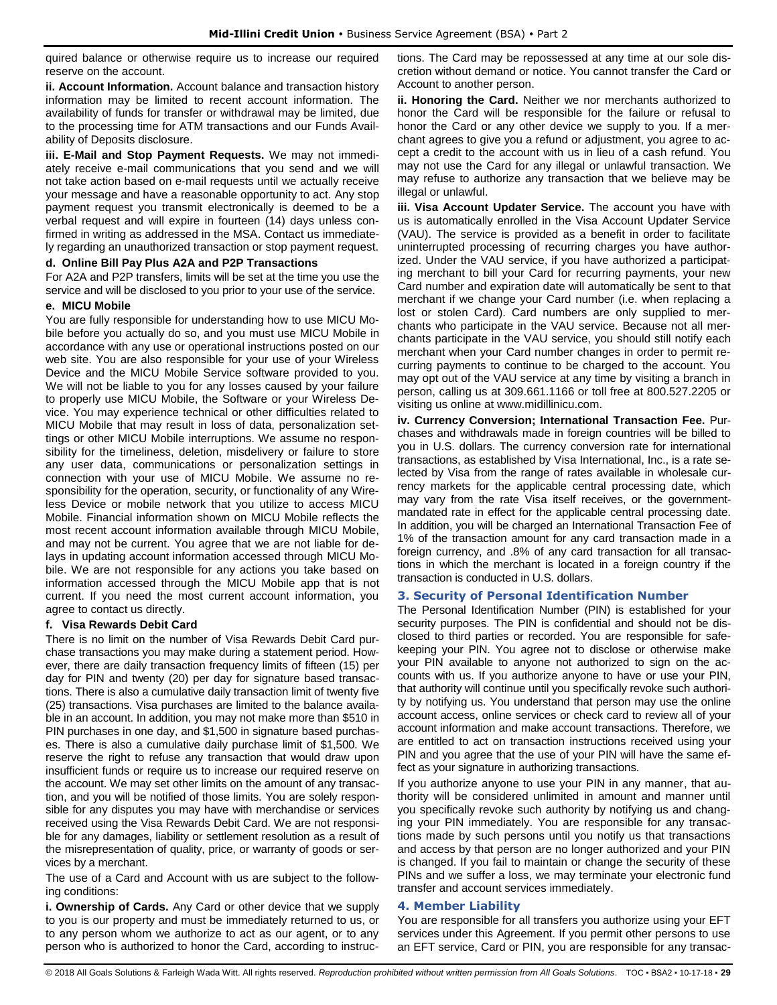quired balance or otherwise require us to increase our required reserve on the account.

**ii. Account Information.** Account balance and transaction history information may be limited to recent account information. The availability of funds for transfer or withdrawal may be limited, due to the processing time for ATM transactions and our Funds Availability of Deposits disclosure.

**iii. E-Mail and Stop Payment Requests.** We may not immediately receive e-mail communications that you send and we will not take action based on e-mail requests until we actually receive your message and have a reasonable opportunity to act. Any stop payment request you transmit electronically is deemed to be a verbal request and will expire in fourteen (14) days unless confirmed in writing as addressed in the MSA. Contact us immediately regarding an unauthorized transaction or stop payment request.

#### **d. Online Bill Pay Plus A2A and P2P Transactions**

For A2A and P2P transfers, limits will be set at the time you use the service and will be disclosed to you prior to your use of the service.

#### **e. MICU Mobile**

You are fully responsible for understanding how to use MICU Mobile before you actually do so, and you must use MICU Mobile in accordance with any use or operational instructions posted on our web site. You are also responsible for your use of your Wireless Device and the MICU Mobile Service software provided to you. We will not be liable to you for any losses caused by your failure to properly use MICU Mobile, the Software or your Wireless Device. You may experience technical or other difficulties related to MICU Mobile that may result in loss of data, personalization settings or other MICU Mobile interruptions. We assume no responsibility for the timeliness, deletion, misdelivery or failure to store any user data, communications or personalization settings in connection with your use of MICU Mobile. We assume no responsibility for the operation, security, or functionality of any Wireless Device or mobile network that you utilize to access MICU Mobile. Financial information shown on MICU Mobile reflects the most recent account information available through MICU Mobile, and may not be current. You agree that we are not liable for delays in updating account information accessed through MICU Mobile. We are not responsible for any actions you take based on information accessed through the MICU Mobile app that is not current. If you need the most current account information, you agree to contact us directly.

## **f. Visa Rewards Debit Card**

There is no limit on the number of Visa Rewards Debit Card purchase transactions you may make during a statement period. However, there are daily transaction frequency limits of fifteen (15) per day for PIN and twenty (20) per day for signature based transactions. There is also a cumulative daily transaction limit of twenty five (25) transactions. Visa purchases are limited to the balance available in an account. In addition, you may not make more than \$510 in PIN purchases in one day, and \$1,500 in signature based purchases. There is also a cumulative daily purchase limit of \$1,500. We reserve the right to refuse any transaction that would draw upon insufficient funds or require us to increase our required reserve on the account. We may set other limits on the amount of any transaction, and you will be notified of those limits. You are solely responsible for any disputes you may have with merchandise or services received using the Visa Rewards Debit Card. We are not responsible for any damages, liability or settlement resolution as a result of the misrepresentation of quality, price, or warranty of goods or services by a merchant.

The use of a Card and Account with us are subject to the following conditions:

**i. Ownership of Cards.** Any Card or other device that we supply to you is our property and must be immediately returned to us, or to any person whom we authorize to act as our agent, or to any person who is authorized to honor the Card, according to instructions. The Card may be repossessed at any time at our sole discretion without demand or notice. You cannot transfer the Card or Account to another person.

**ii. Honoring the Card.** Neither we nor merchants authorized to honor the Card will be responsible for the failure or refusal to honor the Card or any other device we supply to you. If a merchant agrees to give you a refund or adjustment, you agree to accept a credit to the account with us in lieu of a cash refund. You may not use the Card for any illegal or unlawful transaction. We may refuse to authorize any transaction that we believe may be illegal or unlawful.

**iii. Visa Account Updater Service.** The account you have with us is automatically enrolled in the Visa Account Updater Service (VAU). The service is provided as a benefit in order to facilitate uninterrupted processing of recurring charges you have authorized. Under the VAU service, if you have authorized a participating merchant to bill your Card for recurring payments, your new Card number and expiration date will automatically be sent to that merchant if we change your Card number (i.e. when replacing a lost or stolen Card). Card numbers are only supplied to merchants who participate in the VAU service. Because not all merchants participate in the VAU service, you should still notify each merchant when your Card number changes in order to permit recurring payments to continue to be charged to the account. You may opt out of the VAU service at any time by visiting a branch in person, calling us at 309.661.1166 or toll free at 800.527.2205 or visiting us online at www.midillinicu.com.

**iv. Currency Conversion; International Transaction Fee.** Purchases and withdrawals made in foreign countries will be billed to you in U.S. dollars. The currency conversion rate for international transactions, as established by Visa International, Inc., is a rate selected by Visa from the range of rates available in wholesale currency markets for the applicable central processing date, which may vary from the rate Visa itself receives, or the governmentmandated rate in effect for the applicable central processing date. In addition, you will be charged an International Transaction Fee of 1% of the transaction amount for any card transaction made in a foreign currency, and .8% of any card transaction for all transactions in which the merchant is located in a foreign country if the transaction is conducted in U.S. dollars.

## <span id="page-29-0"></span>**3. Security of Personal Identification Number**

The Personal Identification Number (PIN) is established for your security purposes. The PIN is confidential and should not be disclosed to third parties or recorded. You are responsible for safekeeping your PIN. You agree not to disclose or otherwise make your PIN available to anyone not authorized to sign on the accounts with us. If you authorize anyone to have or use your PIN, that authority will continue until you specifically revoke such authority by notifying us. You understand that person may use the online account access, online services or check card to review all of your account information and make account transactions. Therefore, we are entitled to act on transaction instructions received using your PIN and you agree that the use of your PIN will have the same effect as your signature in authorizing transactions.

If you authorize anyone to use your PIN in any manner, that authority will be considered unlimited in amount and manner until you specifically revoke such authority by notifying us and changing your PIN immediately. You are responsible for any transactions made by such persons until you notify us that transactions and access by that person are no longer authorized and your PIN is changed. If you fail to maintain or change the security of these PINs and we suffer a loss, we may terminate your electronic fund transfer and account services immediately.

## <span id="page-29-1"></span>**4. Member Liability**

You are responsible for all transfers you authorize using your EFT services under this Agreement. If you permit other persons to use an EFT service, Card or PIN, you are responsible for any transac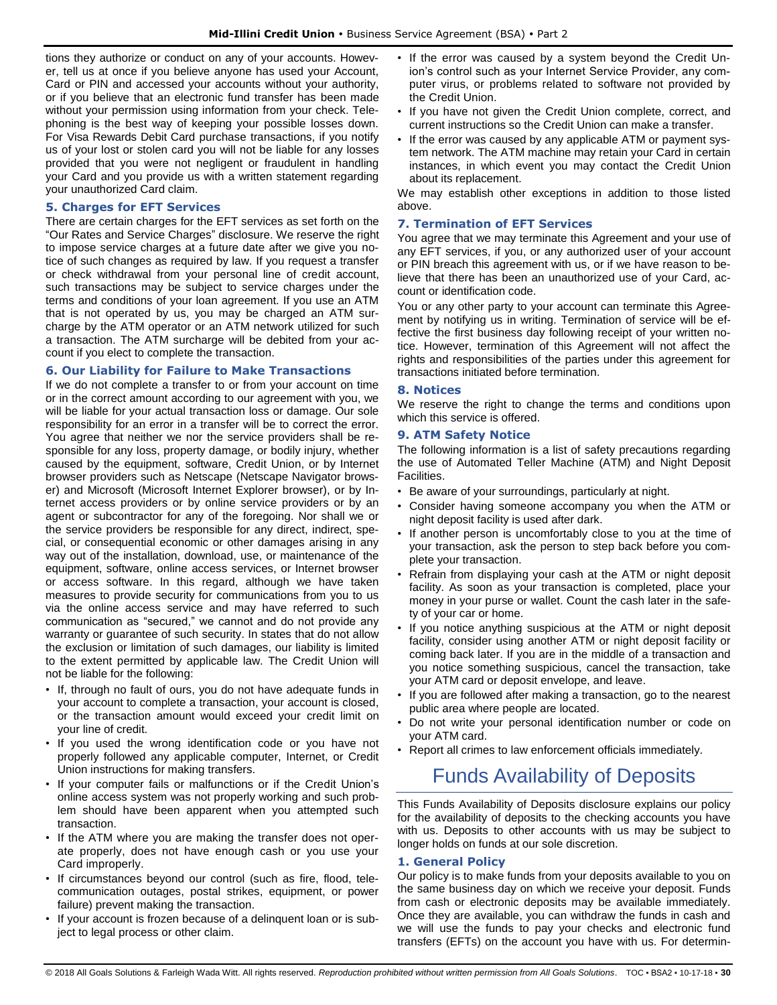tions they authorize or conduct on any of your accounts. However, tell us at once if you believe anyone has used your Account, Card or PIN and accessed your accounts without your authority, or if you believe that an electronic fund transfer has been made without your permission using information from your check. Telephoning is the best way of keeping your possible losses down. For Visa Rewards Debit Card purchase transactions, if you notify us of your lost or stolen card you will not be liable for any losses provided that you were not negligent or fraudulent in handling your Card and you provide us with a written statement regarding your unauthorized Card claim.

#### <span id="page-30-0"></span>**5. Charges for EFT Services**

There are certain charges for the EFT services as set forth on the "Our Rates and Service Charges" disclosure. We reserve the right to impose service charges at a future date after we give you notice of such changes as required by law. If you request a transfer or check withdrawal from your personal line of credit account, such transactions may be subject to service charges under the terms and conditions of your loan agreement. If you use an ATM that is not operated by us, you may be charged an ATM surcharge by the ATM operator or an ATM network utilized for such a transaction. The ATM surcharge will be debited from your account if you elect to complete the transaction.

#### <span id="page-30-1"></span>**6. Our Liability for Failure to Make Transactions**

If we do not complete a transfer to or from your account on time or in the correct amount according to our agreement with you, we will be liable for your actual transaction loss or damage. Our sole responsibility for an error in a transfer will be to correct the error. You agree that neither we nor the service providers shall be responsible for any loss, property damage, or bodily injury, whether caused by the equipment, software, Credit Union, or by Internet browser providers such as Netscape (Netscape Navigator browser) and Microsoft (Microsoft Internet Explorer browser), or by Internet access providers or by online service providers or by an agent or subcontractor for any of the foregoing. Nor shall we or the service providers be responsible for any direct, indirect, special, or consequential economic or other damages arising in any way out of the installation, download, use, or maintenance of the equipment, software, online access services, or Internet browser or access software. In this regard, although we have taken measures to provide security for communications from you to us via the online access service and may have referred to such communication as "secured," we cannot and do not provide any warranty or guarantee of such security. In states that do not allow the exclusion or limitation of such damages, our liability is limited to the extent permitted by applicable law. The Credit Union will not be liable for the following:

- If, through no fault of ours, you do not have adequate funds in your account to complete a transaction, your account is closed, or the transaction amount would exceed your credit limit on your line of credit.
- If you used the wrong identification code or you have not properly followed any applicable computer, Internet, or Credit Union instructions for making transfers.
- If your computer fails or malfunctions or if the Credit Union's online access system was not properly working and such problem should have been apparent when you attempted such transaction.
- If the ATM where you are making the transfer does not operate properly, does not have enough cash or you use your Card improperly.
- If circumstances beyond our control (such as fire, flood, telecommunication outages, postal strikes, equipment, or power failure) prevent making the transaction.
- If your account is frozen because of a delinquent loan or is subject to legal process or other claim.
- If the error was caused by a system beyond the Credit Union's control such as your Internet Service Provider, any computer virus, or problems related to software not provided by the Credit Union.
- If you have not given the Credit Union complete, correct, and current instructions so the Credit Union can make a transfer.
- If the error was caused by any applicable ATM or payment system network. The ATM machine may retain your Card in certain instances, in which event you may contact the Credit Union about its replacement.

We may establish other exceptions in addition to those listed above.

#### <span id="page-30-2"></span>**7. Termination of EFT Services**

You agree that we may terminate this Agreement and your use of any EFT services, if you, or any authorized user of your account or PIN breach this agreement with us, or if we have reason to believe that there has been an unauthorized use of your Card, account or identification code.

You or any other party to your account can terminate this Agreement by notifying us in writing. Termination of service will be effective the first business day following receipt of your written notice. However, termination of this Agreement will not affect the rights and responsibilities of the parties under this agreement for transactions initiated before termination.

#### <span id="page-30-3"></span>**8. Notices**

We reserve the right to change the terms and conditions upon which this service is offered.

#### <span id="page-30-4"></span>**9. ATM Safety Notice**

The following information is a list of safety precautions regarding the use of Automated Teller Machine (ATM) and Night Deposit Facilities.

- Be aware of your surroundings, particularly at night.
- Consider having someone accompany you when the ATM or night deposit facility is used after dark.
- If another person is uncomfortably close to you at the time of your transaction, ask the person to step back before you complete your transaction.
- Refrain from displaying your cash at the ATM or night deposit facility. As soon as your transaction is completed, place your money in your purse or wallet. Count the cash later in the safety of your car or home.
- If you notice anything suspicious at the ATM or night deposit facility, consider using another ATM or night deposit facility or coming back later. If you are in the middle of a transaction and you notice something suspicious, cancel the transaction, take your ATM card or deposit envelope, and leave.
- If you are followed after making a transaction, go to the nearest public area where people are located.
- Do not write your personal identification number or code on your ATM card.
- <span id="page-30-5"></span>• Report all crimes to law enforcement officials immediately.

# Funds Availability of Deposits

This Funds Availability of Deposits disclosure explains our policy for the availability of deposits to the checking accounts you have with us. Deposits to other accounts with us may be subject to longer holds on funds at our sole discretion.

## <span id="page-30-6"></span>**1. General Policy**

Our policy is to make funds from your deposits available to you on the same business day on which we receive your deposit. Funds from cash or electronic deposits may be available immediately. Once they are available, you can withdraw the funds in cash and we will use the funds to pay your checks and electronic fund transfers (EFTs) on the account you have with us. For determin